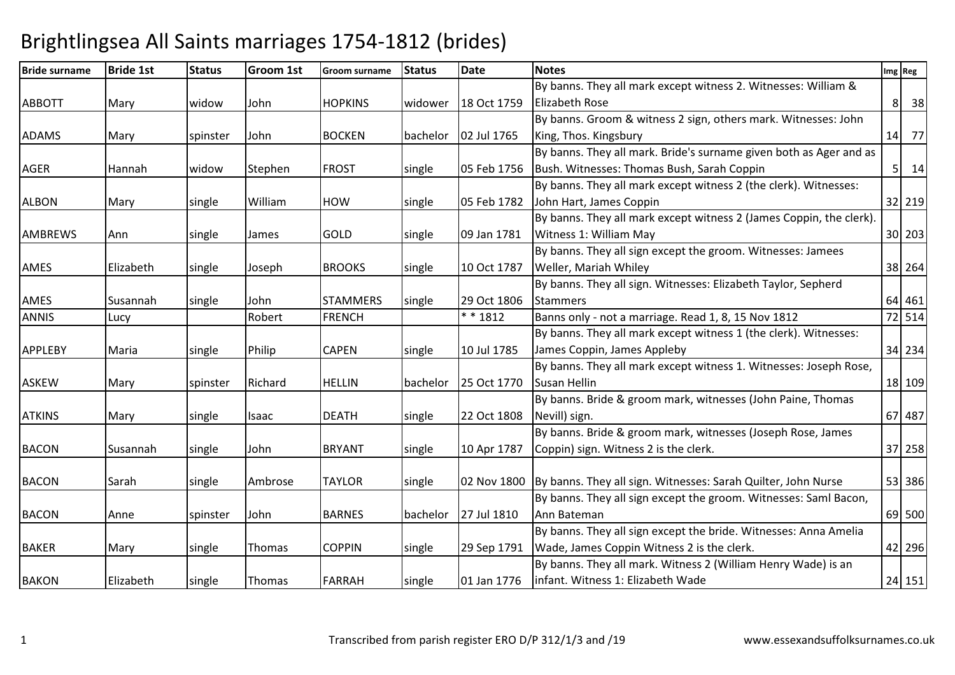| <b>Bride surname</b> | <b>Bride 1st</b> | <b>Status</b>   | Groom 1st | Groom surname   | <b>Status</b> | <b>Date</b> | <b>Notes</b>                                                        | Img Reg      |
|----------------------|------------------|-----------------|-----------|-----------------|---------------|-------------|---------------------------------------------------------------------|--------------|
|                      |                  |                 |           |                 |               |             | By banns. They all mark except witness 2. Witnesses: William &      |              |
| <b>ABBOTT</b>        | Mary             | widow           | John      | <b>HOPKINS</b>  | widower       | 18 Oct 1759 | <b>Elizabeth Rose</b>                                               | 8 38         |
|                      |                  |                 |           |                 |               |             | By banns. Groom & witness 2 sign, others mark. Witnesses: John      |              |
| <b>ADAMS</b>         | Mary             | <b>spinster</b> | John      | <b>BOCKEN</b>   | bachelor      | 02 Jul 1765 | King, Thos. Kingsbury                                               | 14 77        |
|                      |                  |                 |           |                 |               |             | By banns. They all mark. Bride's surname given both as Ager and as  |              |
| AGER                 | Hannah           | widow           | Stephen   | <b>FROST</b>    | single        | 05 Feb 1756 | Bush. Witnesses: Thomas Bush, Sarah Coppin                          | $5 \quad 14$ |
|                      |                  |                 |           |                 |               |             | By banns. They all mark except witness 2 (the clerk). Witnesses:    |              |
| <b>ALBON</b>         | Mary             | single          | William   | <b>HOW</b>      | single        | 05 Feb 1782 | John Hart, James Coppin                                             | 32 219       |
|                      |                  |                 |           |                 |               |             | By banns. They all mark except witness 2 (James Coppin, the clerk). |              |
| <b>AMBREWS</b>       | Ann              | single          | James     | <b>GOLD</b>     | single        | 09 Jan 1781 | Witness 1: William May                                              | 30 203       |
|                      |                  |                 |           |                 |               |             | By banns. They all sign except the groom. Witnesses: Jamees         |              |
| AMES                 | Elizabeth        | single          | Joseph    | <b>BROOKS</b>   | single        | 10 Oct 1787 | Weller, Mariah Whiley                                               | 38 264       |
|                      |                  |                 |           |                 |               |             | By banns. They all sign. Witnesses: Elizabeth Taylor, Sepherd       |              |
| AMES                 | Susannah         | single          | John      | <b>STAMMERS</b> | single        | 29 Oct 1806 | <b>Stammers</b>                                                     | 64 461       |
| <b>ANNIS</b>         | Lucy             |                 | Robert    | <b>FRENCH</b>   |               | $* * 1812$  | Banns only - not a marriage. Read 1, 8, 15 Nov 1812                 | 72 514       |
|                      |                  |                 |           |                 |               |             | By banns. They all mark except witness 1 (the clerk). Witnesses:    |              |
| <b>APPLEBY</b>       | Maria            | single          | Philip    | <b>CAPEN</b>    | single        | 10 Jul 1785 | James Coppin, James Appleby                                         | 34 234       |
|                      |                  |                 |           |                 |               |             | By banns. They all mark except witness 1. Witnesses: Joseph Rose,   |              |
| <b>ASKEW</b>         | Mary             | spinster        | Richard   | <b>HELLIN</b>   | bachelor      | 25 Oct 1770 | Susan Hellin                                                        | 18 109       |
|                      |                  |                 |           |                 |               |             | By banns. Bride & groom mark, witnesses (John Paine, Thomas         |              |
| <b>ATKINS</b>        | Mary             | single          | Isaac     | <b>DEATH</b>    | single        | 22 Oct 1808 | Nevill) sign.                                                       | 67 487       |
|                      |                  |                 |           |                 |               |             | By banns. Bride & groom mark, witnesses (Joseph Rose, James         |              |
| <b>BACON</b>         | Susannah         | single          | John      | <b>BRYANT</b>   | single        | 10 Apr 1787 | Coppin) sign. Witness 2 is the clerk.                               | 37 258       |
|                      |                  |                 |           |                 |               |             |                                                                     |              |
| <b>BACON</b>         | Sarah            | single          | Ambrose   | <b>TAYLOR</b>   | single        | 02 Nov 1800 | By banns. They all sign. Witnesses: Sarah Quilter, John Nurse       | 53 386       |
|                      |                  |                 |           |                 |               |             | By banns. They all sign except the groom. Witnesses: Saml Bacon,    |              |
| <b>BACON</b>         | Anne             | spinster        | John      | <b>BARNES</b>   | bachelor      | 27 Jul 1810 | Ann Bateman                                                         | 69 500       |
|                      |                  |                 |           |                 |               |             | By banns. They all sign except the bride. Witnesses: Anna Amelia    |              |
| <b>BAKER</b>         | Mary             | single          | Thomas    | <b>COPPIN</b>   | single        | 29 Sep 1791 | Wade, James Coppin Witness 2 is the clerk.                          | 42 296       |
|                      |                  |                 |           |                 |               |             | By banns. They all mark. Witness 2 (William Henry Wade) is an       |              |
| <b>BAKON</b>         | Elizabeth        | single          | Thomas    | <b>FARRAH</b>   | single        | 01 Jan 1776 | infant. Witness 1: Elizabeth Wade                                   | 24 151       |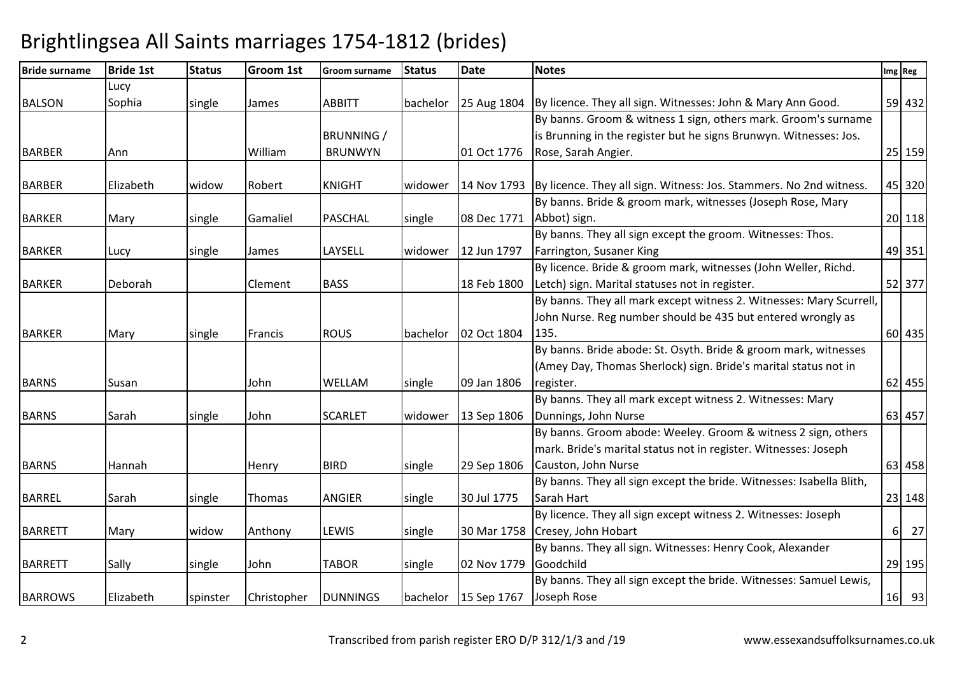| <b>Bride surname</b> | <b>Bride 1st</b> | <b>Status</b> | Groom 1st   | <b>Groom surname</b> | <b>Status</b> | <b>Date</b>            | <b>Notes</b>                                                              |          | Img Reg |
|----------------------|------------------|---------------|-------------|----------------------|---------------|------------------------|---------------------------------------------------------------------------|----------|---------|
|                      | Lucy             |               |             |                      |               |                        |                                                                           |          |         |
| <b>BALSON</b>        | Sophia           | single        | James       | <b>ABBITT</b>        | bachelor      |                        | 25 Aug 1804   By licence. They all sign. Witnesses: John & Mary Ann Good. |          | 59 432  |
|                      |                  |               |             |                      |               |                        | By banns. Groom & witness 1 sign, others mark. Groom's surname            |          |         |
|                      |                  |               |             | <b>BRUNNING /</b>    |               |                        | is Brunning in the register but he signs Brunwyn. Witnesses: Jos.         |          |         |
| <b>BARBER</b>        | Ann              |               | William     | <b>BRUNWYN</b>       |               | 01 Oct 1776            | Rose, Sarah Angier.                                                       |          | 25 159  |
| <b>BARBER</b>        | Elizabeth        | widow         | Robert      | <b>KNIGHT</b>        | widower       | 14 Nov 1793            | By licence. They all sign. Witness: Jos. Stammers. No 2nd witness.        |          | 45 320  |
|                      |                  |               |             |                      |               |                        | By banns. Bride & groom mark, witnesses (Joseph Rose, Mary                |          |         |
| <b>BARKER</b>        | Mary             | single        | Gamaliel    | <b>PASCHAL</b>       | single        | 08 Dec 1771            | Abbot) sign.                                                              |          | 20 118  |
|                      |                  |               |             |                      |               |                        | By banns. They all sign except the groom. Witnesses: Thos.                |          |         |
| <b>BARKER</b>        | Lucy             | single        | James       | LAYSELL              | widower       | 12 Jun 1797            | Farrington, Susaner King                                                  |          | 49 351  |
|                      |                  |               |             |                      |               |                        | By licence. Bride & groom mark, witnesses (John Weller, Richd.            |          |         |
| <b>BARKER</b>        | Deborah          |               | Clement     | <b>BASS</b>          |               | 18 Feb 1800            | Letch) sign. Marital statuses not in register.                            |          | 52 377  |
|                      |                  |               |             |                      |               |                        | By banns. They all mark except witness 2. Witnesses: Mary Scurrell,       |          |         |
|                      |                  |               |             |                      |               |                        | John Nurse. Reg number should be 435 but entered wrongly as               |          |         |
| <b>BARKER</b>        | Mary             | single        | Francis     | <b>ROUS</b>          | bachelor      | 02 Oct 1804            | 135.                                                                      |          | 60 435  |
|                      |                  |               |             |                      |               |                        | By banns. Bride abode: St. Osyth. Bride & groom mark, witnesses           |          |         |
|                      |                  |               |             |                      |               |                        | (Amey Day, Thomas Sherlock) sign. Bride's marital status not in           |          |         |
| <b>BARNS</b>         | Susan            |               | John        | <b>WELLAM</b>        | single        | 09 Jan 1806            | register.                                                                 |          | 62 455  |
|                      |                  |               |             |                      |               |                        | By banns. They all mark except witness 2. Witnesses: Mary                 |          |         |
| <b>BARNS</b>         | Sarah            | single        | John        | <b>SCARLET</b>       | widower       | 13 Sep 1806            | Dunnings, John Nurse                                                      |          | 63 457  |
|                      |                  |               |             |                      |               |                        | By banns. Groom abode: Weeley. Groom & witness 2 sign, others             |          |         |
|                      |                  |               |             |                      |               |                        | mark. Bride's marital status not in register. Witnesses: Joseph           |          |         |
| <b>BARNS</b>         | Hannah           |               | Henry       | <b>BIRD</b>          | single        | 29 Sep 1806            | Causton, John Nurse                                                       |          | 63 458  |
|                      |                  |               |             |                      |               |                        | By banns. They all sign except the bride. Witnesses: Isabella Blith,      |          |         |
| <b>BARREL</b>        | Sarah            | single        | Thomas      | <b>ANGIER</b>        | single        | 30 Jul 1775            | Sarah Hart                                                                |          | 23 148  |
|                      |                  |               |             |                      |               |                        | By licence. They all sign except witness 2. Witnesses: Joseph             |          |         |
| <b>BARRETT</b>       | Mary             | widow         | Anthony     | <b>LEWIS</b>         | single        |                        | 30 Mar 1758 Cresey, John Hobart                                           | $6 \mid$ | 27      |
|                      |                  |               |             |                      |               |                        | By banns. They all sign. Witnesses: Henry Cook, Alexander                 |          |         |
| <b>BARRETT</b>       | Sally            | single        | John        | <b>TABOR</b>         | single        | 02 Nov 1779            | Goodchild                                                                 |          | 29 195  |
|                      |                  |               |             |                      |               |                        | By banns. They all sign except the bride. Witnesses: Samuel Lewis,        |          |         |
| <b>BARROWS</b>       | Elizabeth        | spinster      | Christopher | <b>DUNNINGS</b>      |               | bachelor   15 Sep 1767 | Joseph Rose                                                               |          | 16 93   |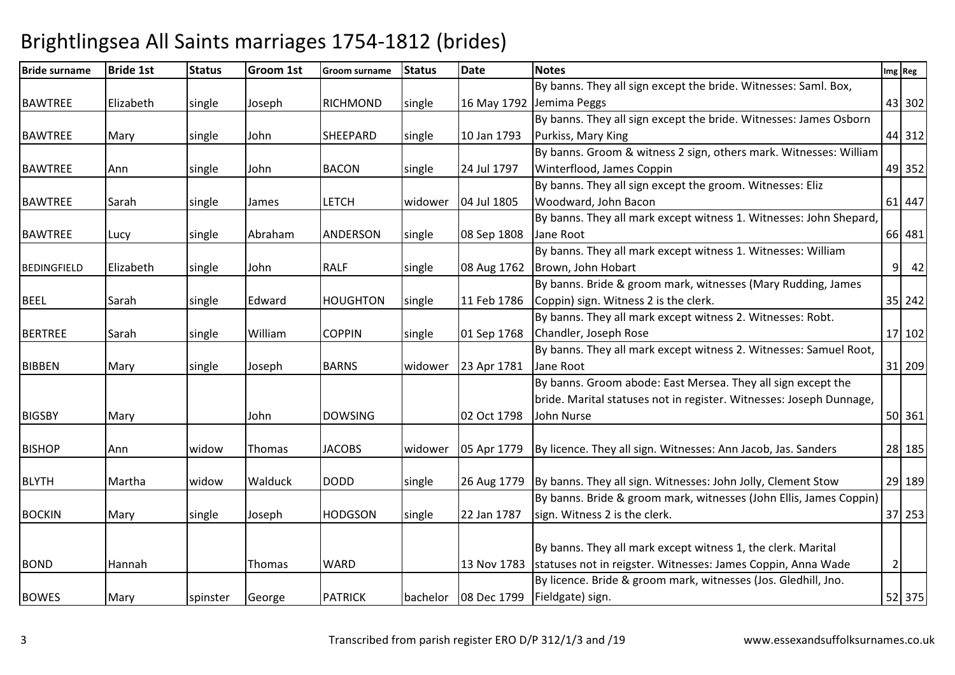| <b>Bride surname</b> | <b>Bride 1st</b> | <b>Status</b> | <b>Groom 1st</b> | <b>Groom surname</b> | <b>Status</b> | <b>Date</b> | <b>Notes</b>                                                               |                | Img Reg              |
|----------------------|------------------|---------------|------------------|----------------------|---------------|-------------|----------------------------------------------------------------------------|----------------|----------------------|
|                      |                  |               |                  |                      |               |             | By banns. They all sign except the bride. Witnesses: Saml. Box,            |                |                      |
| <b>BAWTREE</b>       | Elizabeth        | single        | Joseph           | RICHMOND             | single        |             | 16 May 1792 Jemima Peggs                                                   |                | 43 302               |
|                      |                  |               |                  |                      |               |             | By banns. They all sign except the bride. Witnesses: James Osborn          |                |                      |
| <b>BAWTREE</b>       | Mary             | single        | John             | <b>SHEEPARD</b>      | single        | 10 Jan 1793 | Purkiss, Mary King                                                         |                | 44 312               |
|                      |                  |               |                  |                      |               |             | By banns. Groom & witness 2 sign, others mark. Witnesses: William          |                |                      |
| <b>BAWTREE</b>       | Ann              | single        | John             | <b>BACON</b>         | single        | 24 Jul 1797 | Winterflood, James Coppin                                                  |                | 49 352               |
|                      |                  |               |                  |                      |               |             | By banns. They all sign except the groom. Witnesses: Eliz                  |                |                      |
| <b>BAWTREE</b>       | Sarah            | single        | James            | <b>LETCH</b>         | widower       | 04 Jul 1805 | Woodward, John Bacon                                                       |                | 61 447               |
|                      |                  |               |                  |                      |               |             | By banns. They all mark except witness 1. Witnesses: John Shepard,         |                |                      |
| <b>BAWTREE</b>       | Lucy             | single        | Abraham          | ANDERSON             | single        | 08 Sep 1808 | Jane Root                                                                  |                | 66 481               |
|                      |                  |               |                  |                      |               |             | By banns. They all mark except witness 1. Witnesses: William               |                |                      |
| <b>BEDINGFIELD</b>   | Elizabeth        | single        | John             | <b>RALF</b>          | single        | 08 Aug 1762 | Brown, John Hobart                                                         |                | 42<br>9 <sup>1</sup> |
|                      |                  |               |                  |                      |               |             | By banns. Bride & groom mark, witnesses (Mary Rudding, James               |                |                      |
| <b>BEEL</b>          | Sarah            | single        | Edward           | <b>HOUGHTON</b>      | single        | 11 Feb 1786 | Coppin) sign. Witness 2 is the clerk.                                      |                | 35 242               |
|                      |                  |               |                  |                      |               |             | By banns. They all mark except witness 2. Witnesses: Robt.                 |                |                      |
| <b>BERTREE</b>       | Sarah            | single        | William          | <b>COPPIN</b>        | single        | 01 Sep 1768 | Chandler, Joseph Rose                                                      |                | 17 102               |
|                      |                  |               |                  |                      |               |             | By banns. They all mark except witness 2. Witnesses: Samuel Root,          |                |                      |
| <b>BIBBEN</b>        | Mary             | single        | Joseph           | <b>BARNS</b>         | widower       | 23 Apr 1781 | Jane Root                                                                  |                | 31 209               |
|                      |                  |               |                  |                      |               |             | By banns. Groom abode: East Mersea. They all sign except the               |                |                      |
|                      |                  |               |                  |                      |               |             | bride. Marital statuses not in register. Witnesses: Joseph Dunnage,        |                |                      |
| <b>BIGSBY</b>        | Mary             |               | John             | <b>DOWSING</b>       |               | 02 Oct 1798 | John Nurse                                                                 |                | 50 361               |
|                      |                  |               |                  |                      |               |             |                                                                            |                |                      |
| <b>BISHOP</b>        | Ann              | widow         | Thomas           | <b>JACOBS</b>        | widower       | 05 Apr 1779 | By licence. They all sign. Witnesses: Ann Jacob, Jas. Sanders              |                | 28 185               |
|                      |                  |               |                  |                      |               |             |                                                                            |                |                      |
| <b>BLYTH</b>         | Martha           | widow         | Walduck          | <b>DODD</b>          | single        |             | 26 Aug 1779   By banns. They all sign. Witnesses: John Jolly, Clement Stow |                | 29 189               |
|                      |                  |               |                  |                      |               |             | By banns. Bride & groom mark, witnesses (John Ellis, James Coppin)         |                |                      |
| <b>BOCKIN</b>        | Mary             | single        | Joseph           | <b>HODGSON</b>       | single        | 22 Jan 1787 | sign. Witness 2 is the clerk.                                              |                | 37 253               |
|                      |                  |               |                  |                      |               |             |                                                                            |                |                      |
|                      |                  |               |                  |                      |               |             | By banns. They all mark except witness 1, the clerk. Marital               |                |                      |
| <b>BOND</b>          | Hannah           |               | Thomas           | <b>WARD</b>          |               |             | 13 Nov 1783 statuses not in reigster. Witnesses: James Coppin, Anna Wade   | $\overline{2}$ |                      |
|                      |                  |               |                  |                      |               |             | By licence. Bride & groom mark, witnesses (Jos. Gledhill, Jno.             |                |                      |
| <b>BOWES</b>         | Mary             | spinster      | George           | <b>PATRICK</b>       | bachelor      |             | 08 Dec 1799   Fieldgate) sign.                                             |                | 52 375               |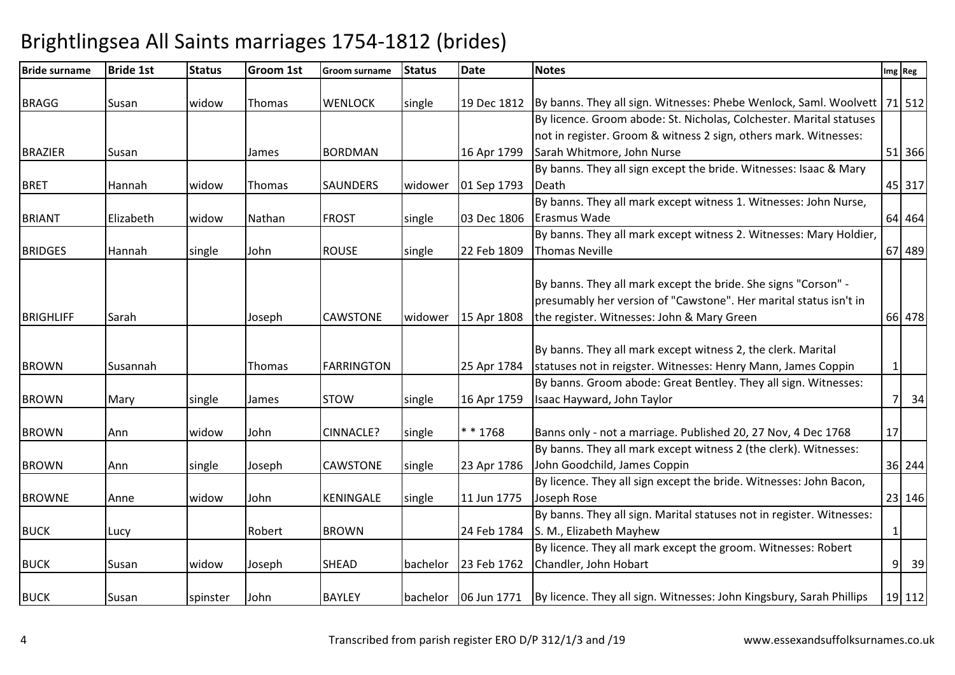| <b>Bride surname</b> | <b>Bride 1st</b> | <b>Status</b> | <b>Groom 1st</b> | <b>Groom surname</b> | <b>Status</b> | <b>Date</b> | <b>Notes</b>                                                                                  |              | Img Reg |
|----------------------|------------------|---------------|------------------|----------------------|---------------|-------------|-----------------------------------------------------------------------------------------------|--------------|---------|
|                      |                  |               |                  |                      |               |             |                                                                                               |              |         |
| <b>BRAGG</b>         | Susan            | widow         | Thomas           | <b>WENLOCK</b>       | single        | 19 Dec 1812 | By banns. They all sign. Witnesses: Phebe Wenlock, Saml. Woolvett                             |              | 71 512  |
|                      |                  |               |                  |                      |               |             | By licence. Groom abode: St. Nicholas, Colchester. Marital statuses                           |              |         |
|                      |                  |               |                  |                      |               |             | not in register. Groom & witness 2 sign, others mark. Witnesses:                              |              |         |
| <b>BRAZIER</b>       | Susan            |               | James            | <b>BORDMAN</b>       |               | 16 Apr 1799 | Sarah Whitmore, John Nurse                                                                    |              | 51 366  |
|                      |                  |               |                  |                      |               |             | By banns. They all sign except the bride. Witnesses: Isaac & Mary                             |              |         |
| <b>BRET</b>          | Hannah           | widow         | Thomas           | <b>SAUNDERS</b>      | widower       | 01 Sep 1793 | Death                                                                                         |              | 45 317  |
|                      |                  |               |                  |                      |               |             | By banns. They all mark except witness 1. Witnesses: John Nurse,                              |              |         |
| <b>BRIANT</b>        | Elizabeth        | widow         | Nathan           | <b>FROST</b>         | single        | 03 Dec 1806 | Erasmus Wade                                                                                  |              | 64 464  |
|                      |                  |               |                  |                      |               |             | By banns. They all mark except witness 2. Witnesses: Mary Holdier,                            |              |         |
| <b>BRIDGES</b>       | Hannah           | single        | John             | <b>ROUSE</b>         | single        | 22 Feb 1809 | <b>Thomas Neville</b>                                                                         |              | 67 489  |
|                      |                  |               |                  |                      |               |             |                                                                                               |              |         |
|                      |                  |               |                  |                      |               |             | By banns. They all mark except the bride. She signs "Corson" -                                |              |         |
|                      |                  |               |                  |                      |               |             | presumably her version of "Cawstone". Her marital status isn't in                             |              |         |
| <b>BRIGHLIFF</b>     | Sarah            |               | Joseph           | <b>CAWSTONE</b>      | widower       | 15 Apr 1808 | the register. Witnesses: John & Mary Green                                                    |              | 66 478  |
|                      |                  |               |                  |                      |               |             |                                                                                               |              |         |
|                      |                  |               |                  |                      |               |             | By banns. They all mark except witness 2, the clerk. Marital                                  |              |         |
| <b>BROWN</b>         | Susannah         |               | Thomas           | <b>FARRINGTON</b>    |               | 25 Apr 1784 | statuses not in reigster. Witnesses: Henry Mann, James Coppin                                 | $\mathbf{1}$ |         |
|                      |                  |               |                  |                      |               |             | By banns. Groom abode: Great Bentley. They all sign. Witnesses:                               |              |         |
| <b>BROWN</b>         | Mary             | single        | James            | <b>STOW</b>          | single        | 16 Apr 1759 | Isaac Hayward, John Taylor                                                                    | 71           | 34      |
|                      |                  |               |                  |                      |               |             |                                                                                               |              |         |
| <b>BROWN</b>         | Ann              | widow         | John             | <b>CINNACLE?</b>     | single        | $* * 1768$  | Banns only - not a marriage. Published 20, 27 Nov, 4 Dec 1768                                 | 17           |         |
|                      |                  |               |                  |                      |               |             | By banns. They all mark except witness 2 (the clerk). Witnesses:                              |              |         |
| <b>BROWN</b>         | Ann              | single        | Joseph           | <b>CAWSTONE</b>      | single        | 23 Apr 1786 | John Goodchild, James Coppin                                                                  |              | 36 244  |
|                      |                  |               |                  |                      |               |             | By licence. They all sign except the bride. Witnesses: John Bacon,                            |              |         |
| <b>BROWNE</b>        | Anne             | widow         | John             | <b>KENINGALE</b>     | single        | 11 Jun 1775 | Joseph Rose                                                                                   |              | 23 146  |
|                      |                  |               |                  |                      |               |             | By banns. They all sign. Marital statuses not in register. Witnesses:                         |              |         |
| <b>BUCK</b>          | Lucy             |               | Robert           | <b>BROWN</b>         |               | 24 Feb 1784 | S. M., Elizabeth Mayhew                                                                       | $\mathbf{1}$ |         |
|                      |                  |               |                  |                      |               |             | By licence. They all mark except the groom. Witnesses: Robert                                 |              |         |
| <b>BUCK</b>          | Susan            | widow         | Joseph           | <b>SHEAD</b>         | bachelor      | 23 Feb 1762 | Chandler, John Hobart                                                                         |              | 9<br>39 |
|                      |                  |               |                  |                      |               |             |                                                                                               |              |         |
| <b>BUCK</b>          | Susan            | spinster      | John             | <b>BAYLEY</b>        |               |             | bachelor   06 Jun 1771   By licence. They all sign. Witnesses: John Kingsbury, Sarah Phillips |              | 19 112  |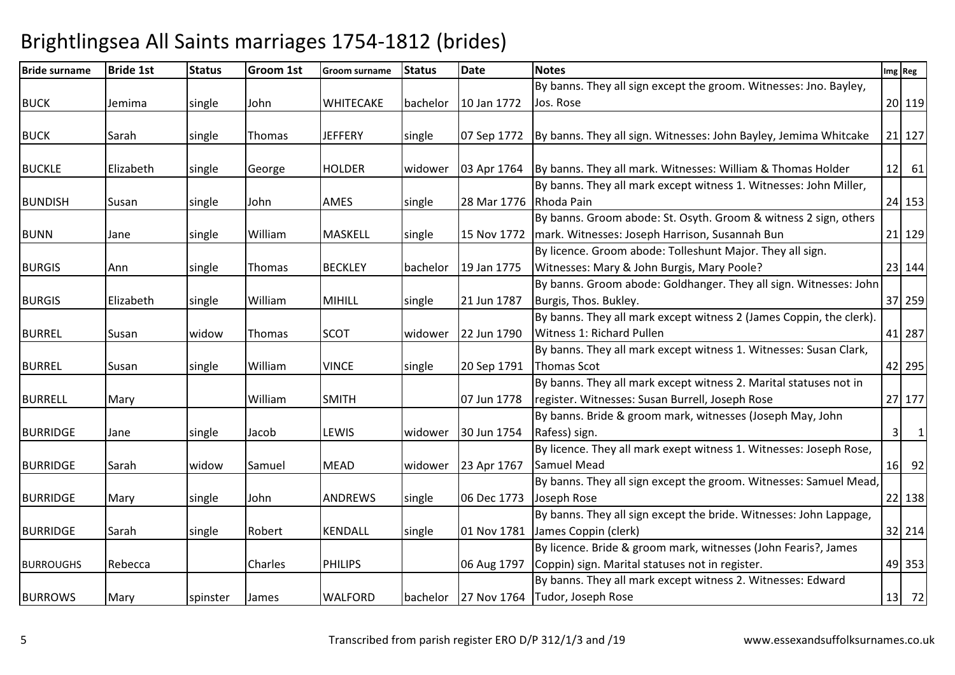| <b>Bride surname</b> | <b>Bride 1st</b> | <b>Status</b> | Groom 1st | Groom surname  | <b>Status</b> | <b>Date</b> | <b>Notes</b>                                                        |                | Img Reg        |
|----------------------|------------------|---------------|-----------|----------------|---------------|-------------|---------------------------------------------------------------------|----------------|----------------|
|                      |                  |               |           |                |               |             | By banns. They all sign except the groom. Witnesses: Jno. Bayley,   |                |                |
| <b>BUCK</b>          | Jemima           | single        | John      | WHITECAKE      | bachelor      | 10 Jan 1772 | Jos. Rose                                                           |                | 20 119         |
|                      |                  |               |           |                |               |             |                                                                     |                |                |
| <b>BUCK</b>          | Sarah            | single        | Thomas    | <b>JEFFERY</b> | single        | 07 Sep 1772 | By banns. They all sign. Witnesses: John Bayley, Jemima Whitcake    |                | 21 127         |
|                      |                  |               |           |                |               |             |                                                                     |                |                |
| <b>BUCKLE</b>        | Elizabeth        | single        | George    | <b>HOLDER</b>  | widower       | 03 Apr 1764 | By banns. They all mark. Witnesses: William & Thomas Holder         |                | $12$ 61        |
|                      |                  |               |           |                |               |             | By banns. They all mark except witness 1. Witnesses: John Miller,   |                |                |
| <b>BUNDISH</b>       | Susan            | single        | John      | AMES           | single        | 28 Mar 1776 | Rhoda Pain                                                          |                | 24 153         |
|                      |                  |               |           |                |               |             | By banns. Groom abode: St. Osyth. Groom & witness 2 sign, others    |                |                |
| <b>BUNN</b>          | Jane             | single        | William   | <b>MASKELL</b> | single        | 15 Nov 1772 | mark. Witnesses: Joseph Harrison, Susannah Bun                      |                | 21 129         |
|                      |                  |               |           |                |               |             | By licence. Groom abode: Tolleshunt Major. They all sign.           |                |                |
| <b>BURGIS</b>        | Ann              | single        | Thomas    | <b>BECKLEY</b> | bachelor      | 19 Jan 1775 | Witnesses: Mary & John Burgis, Mary Poole?                          |                | 23 144         |
|                      |                  |               |           |                |               |             | By banns. Groom abode: Goldhanger. They all sign. Witnesses: John   |                |                |
| <b>BURGIS</b>        | Elizabeth        | single        | William   | <b>MIHILL</b>  | single        | 21 Jun 1787 | Burgis, Thos. Bukley.                                               |                | 37 259         |
|                      |                  |               |           |                |               |             | By banns. They all mark except witness 2 (James Coppin, the clerk). |                |                |
| <b>BURREL</b>        | Susan            | widow         | Thomas    | <b>SCOT</b>    | widower       | 22 Jun 1790 | Witness 1: Richard Pullen                                           |                | 41 287         |
|                      |                  |               |           |                |               |             | By banns. They all mark except witness 1. Witnesses: Susan Clark,   |                |                |
| <b>BURREL</b>        | Susan            | single        | William   | <b>VINCE</b>   | single        | 20 Sep 1791 | Thomas Scot                                                         |                | 42 295         |
|                      |                  |               |           |                |               |             | By banns. They all mark except witness 2. Marital statuses not in   |                |                |
| <b>BURRELL</b>       | Mary             |               | William   | <b>SMITH</b>   |               | 07 Jun 1778 | register. Witnesses: Susan Burrell, Joseph Rose                     |                | 27 177         |
|                      |                  |               |           |                |               |             | By banns. Bride & groom mark, witnesses (Joseph May, John           |                |                |
| <b>BURRIDGE</b>      | Jane             | single        | Jacob     | LEWIS          | widower       | 30 Jun 1754 | Rafess) sign.                                                       | 3 <sup>1</sup> | $\overline{1}$ |
|                      |                  |               |           |                |               |             | By licence. They all mark exept witness 1. Witnesses: Joseph Rose,  |                |                |
| <b>BURRIDGE</b>      | Sarah            | widow         | Samuel    | <b>MEAD</b>    | widower       | 23 Apr 1767 | <b>Samuel Mead</b>                                                  |                | 16 92          |
|                      |                  |               |           |                |               |             | By banns. They all sign except the groom. Witnesses: Samuel Mead,   |                |                |
| <b>BURRIDGE</b>      | Mary             | single        | John      | <b>ANDREWS</b> | single        | 06 Dec 1773 | Joseph Rose                                                         |                | 22 138         |
|                      |                  |               |           |                |               |             | By banns. They all sign except the bride. Witnesses: John Lappage,  |                |                |
| <b>BURRIDGE</b>      | Sarah            | single        | Robert    | <b>KENDALL</b> | single        | 01 Nov 1781 | James Coppin (clerk)                                                |                | 32 214         |
|                      |                  |               |           |                |               |             | By licence. Bride & groom mark, witnesses (John Fearis?, James      |                |                |
| <b>BURROUGHS</b>     | Rebecca          |               | Charles   | <b>PHILIPS</b> |               | 06 Aug 1797 | Coppin) sign. Marital statuses not in register.                     |                | 49 353         |
|                      |                  |               |           |                |               |             | By banns. They all mark except witness 2. Witnesses: Edward         |                |                |
| <b>BURROWS</b>       | Mary             | spinster      | James     | WALFORD        |               |             | bachelor   27 Nov 1764   Tudor, Joseph Rose                         |                | 13 72          |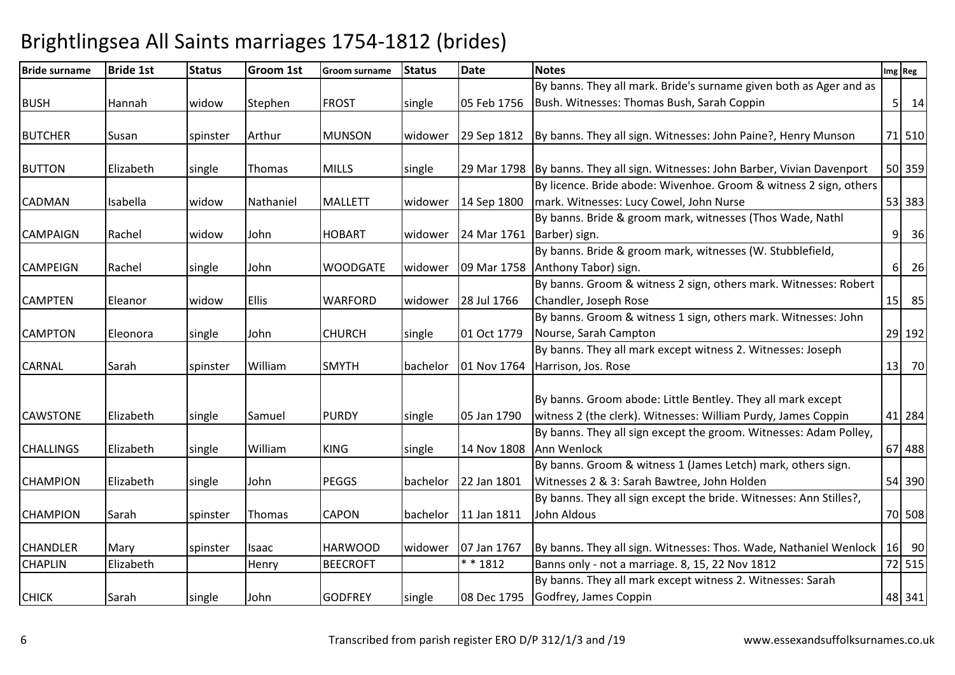| <b>Bride surname</b> | <b>Bride 1st</b> | <b>Status</b> | Groom 1st    | <b>Groom surname</b> | <b>Status</b> | <b>Date</b>                 | <b>Notes</b>                                                                  |                | Img Reg      |
|----------------------|------------------|---------------|--------------|----------------------|---------------|-----------------------------|-------------------------------------------------------------------------------|----------------|--------------|
|                      |                  |               |              |                      |               |                             | By banns. They all mark. Bride's surname given both as Ager and as            |                |              |
| <b>BUSH</b>          | Hannah           | widow         | Stephen      | <b>FROST</b>         | single        | 05 Feb 1756                 | Bush. Witnesses: Thomas Bush, Sarah Coppin                                    |                | $5 \quad 14$ |
|                      |                  |               |              |                      |               |                             |                                                                               |                |              |
| <b>BUTCHER</b>       | Susan            | spinster      | Arthur       | <b>MUNSON</b>        | widower       | 29 Sep 1812                 | By banns. They all sign. Witnesses: John Paine?, Henry Munson                 |                | 71 510       |
|                      |                  |               |              |                      |               |                             |                                                                               |                |              |
| <b>BUTTON</b>        | Elizabeth        | single        | Thomas       | <b>MILLS</b>         | single        |                             | 29 Mar 1798 By banns. They all sign. Witnesses: John Barber, Vivian Davenport |                | 50 359       |
|                      |                  |               |              |                      |               |                             | By licence. Bride abode: Wivenhoe. Groom & witness 2 sign, others             |                |              |
| <b>CADMAN</b>        | Isabella         | widow         | Nathaniel    | <b>MALLETT</b>       | widower       | 14 Sep 1800                 | mark. Witnesses: Lucy Cowel, John Nurse                                       |                | 53 383       |
|                      |                  |               |              |                      |               |                             | By banns. Bride & groom mark, witnesses (Thos Wade, Nathl                     |                |              |
| <b>CAMPAIGN</b>      | Rachel           | widow         | John         | <b>HOBART</b>        | widower       | 24 Mar 1761   Barber) sign. |                                                                               | 9 <sup>1</sup> | 36           |
|                      |                  |               |              |                      |               |                             | By banns. Bride & groom mark, witnesses (W. Stubblefield,                     |                |              |
| CAMPEIGN             | Rachel           | single        | John         | <b>WOODGATE</b>      | widower       | 09 Mar 1758                 | Anthony Tabor) sign.                                                          | $6 \mid$       | 26           |
|                      |                  |               |              |                      |               |                             | By banns. Groom & witness 2 sign, others mark. Witnesses: Robert              |                |              |
| <b>CAMPTEN</b>       | Eleanor          | widow         | <b>Ellis</b> | <b>WARFORD</b>       | widower       | 28 Jul 1766                 | Chandler, Joseph Rose                                                         | 15             | 85           |
|                      |                  |               |              |                      |               |                             | By banns. Groom & witness 1 sign, others mark. Witnesses: John                |                |              |
| <b>CAMPTON</b>       | Eleonora         | single        | John         | <b>CHURCH</b>        | single        | 01 Oct 1779                 | Nourse, Sarah Campton                                                         |                | 29 192       |
|                      |                  |               |              |                      |               |                             | By banns. They all mark except witness 2. Witnesses: Joseph                   |                |              |
| <b>CARNAL</b>        | Sarah            | spinster      | William      | <b>SMYTH</b>         | bachelor      | 01 Nov 1764                 | Harrison, Jos. Rose                                                           | 13             | 70           |
|                      |                  |               |              |                      |               |                             |                                                                               |                |              |
|                      |                  |               |              |                      |               |                             | By banns. Groom abode: Little Bentley. They all mark except                   |                |              |
| <b>CAWSTONE</b>      | Elizabeth        | single        | Samuel       | <b>PURDY</b>         | single        | 05 Jan 1790                 | witness 2 (the clerk). Witnesses: William Purdy, James Coppin                 |                | 41 284       |
|                      |                  |               |              |                      |               |                             | By banns. They all sign except the groom. Witnesses: Adam Polley,             |                |              |
| <b>CHALLINGS</b>     | Elizabeth        | single        | William      | <b>KING</b>          | single        | 14 Nov 1808                 | Ann Wenlock                                                                   |                | 67 488       |
|                      |                  |               |              |                      |               |                             | By banns. Groom & witness 1 (James Letch) mark, others sign.                  |                |              |
| <b>CHAMPION</b>      | Elizabeth        | single        | John         | <b>PEGGS</b>         | bachelor      | 22 Jan 1801                 | Witnesses 2 & 3: Sarah Bawtree, John Holden                                   |                | 54 390       |
|                      |                  |               |              |                      |               |                             | By banns. They all sign except the bride. Witnesses: Ann Stilles?,            |                |              |
| <b>CHAMPION</b>      | Sarah            | spinster      | Thomas       | CAPON                | bachelor      | 11 Jan 1811                 | John Aldous                                                                   |                | 70 508       |
|                      |                  |               |              |                      |               |                             |                                                                               |                |              |
| <b>CHANDLER</b>      | Mary             | spinster      | Isaac        | <b>HARWOOD</b>       | widower       | 07 Jan 1767                 | By banns. They all sign. Witnesses: Thos. Wade, Nathaniel Wenlock             |                | 16 90        |
| <b>CHAPLIN</b>       | Elizabeth        |               | Henry        | <b>BEECROFT</b>      |               | $* * 1812$                  | Banns only - not a marriage. 8, 15, 22 Nov 1812                               |                | 72 515       |
|                      |                  |               |              |                      |               |                             | By banns. They all mark except witness 2. Witnesses: Sarah                    |                |              |
| <b>CHICK</b>         | Sarah            | single        | John         | <b>GODFREY</b>       | single        | 08 Dec 1795                 | Godfrey, James Coppin                                                         |                | 48 341       |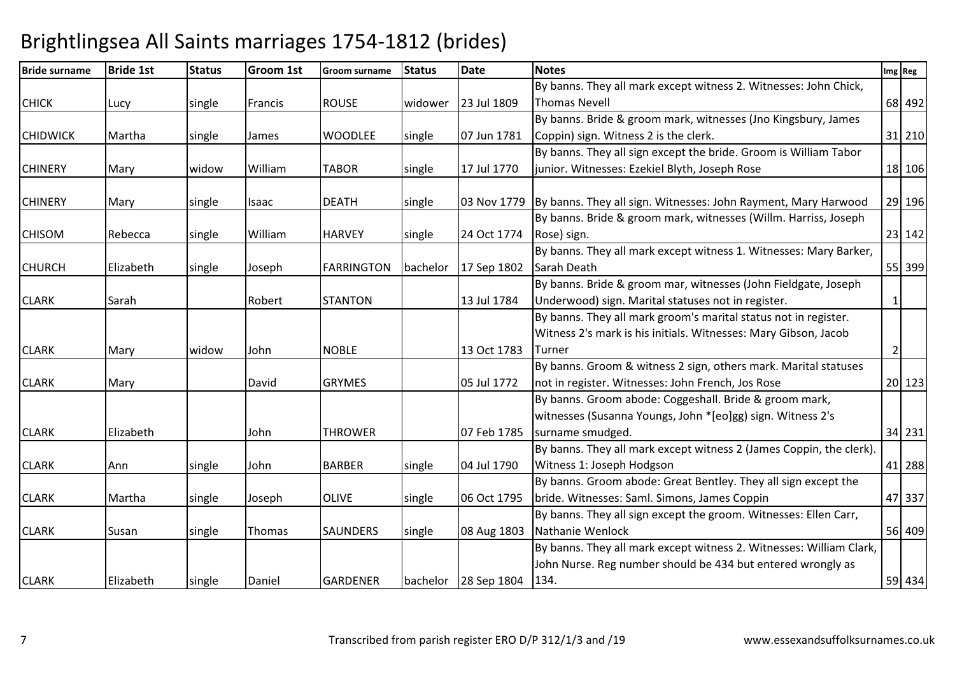| <b>Bride surname</b> | <b>Bride 1st</b> | <b>Status</b> | Groom 1st | <b>Groom surname</b> | <b>Status</b> | <b>Date</b>          | <b>Notes</b>                                                               |                | Img Reg |
|----------------------|------------------|---------------|-----------|----------------------|---------------|----------------------|----------------------------------------------------------------------------|----------------|---------|
|                      |                  |               |           |                      |               |                      | By banns. They all mark except witness 2. Witnesses: John Chick,           |                |         |
| <b>CHICK</b>         | Lucy             | single        | Francis   | <b>ROUSE</b>         | widower       | 23 Jul 1809          | <b>Thomas Nevell</b>                                                       |                | 68 492  |
|                      |                  |               |           |                      |               |                      | By banns. Bride & groom mark, witnesses (Jno Kingsbury, James              |                |         |
| <b>CHIDWICK</b>      | Martha           | single        | James     | <b>WOODLEE</b>       | single        | 07 Jun 1781          | Coppin) sign. Witness 2 is the clerk.                                      |                | 31 210  |
|                      |                  |               |           |                      |               |                      | By banns. They all sign except the bride. Groom is William Tabor           |                |         |
| <b>CHINERY</b>       | Mary             | widow         | William   | <b>TABOR</b>         | single        | 17 Jul 1770          | junior. Witnesses: Ezekiel Blyth, Joseph Rose                              |                | 18 106  |
| <b>CHINERY</b>       | Mary             | single        | Isaac     | <b>DEATH</b>         | single        |                      | 03 Nov 1779 By banns. They all sign. Witnesses: John Rayment, Mary Harwood |                | 29 196  |
|                      |                  |               |           |                      |               |                      | By banns. Bride & groom mark, witnesses (Willm. Harriss, Joseph            |                |         |
| <b>CHISOM</b>        | Rebecca          | single        | William   | <b>HARVEY</b>        | single        | 24 Oct 1774          | Rose) sign.                                                                |                | 23 142  |
|                      |                  |               |           |                      |               |                      | By banns. They all mark except witness 1. Witnesses: Mary Barker,          |                |         |
| <b>CHURCH</b>        | Elizabeth        | single        | Joseph    | <b>FARRINGTON</b>    | bachelor      | 17 Sep 1802          | Sarah Death                                                                |                | 55 399  |
|                      |                  |               |           |                      |               |                      | By banns. Bride & groom mar, witnesses (John Fieldgate, Joseph             |                |         |
| <b>CLARK</b>         | Sarah            |               | Robert    | <b>STANTON</b>       |               | 13 Jul 1784          | Underwood) sign. Marital statuses not in register.                         | $\mathbf{1}$   |         |
|                      |                  |               |           |                      |               |                      | By banns. They all mark groom's marital status not in register.            |                |         |
|                      |                  |               |           |                      |               |                      | Witness 2's mark is his initials. Witnesses: Mary Gibson, Jacob            |                |         |
| <b>CLARK</b>         | Mary             | widow         | John      | <b>NOBLE</b>         |               | 13 Oct 1783          | Turner                                                                     | $\overline{2}$ |         |
|                      |                  |               |           |                      |               |                      | By banns. Groom & witness 2 sign, others mark. Marital statuses            |                |         |
| <b>CLARK</b>         | Mary             |               | David     | <b>GRYMES</b>        |               | 05 Jul 1772          | not in register. Witnesses: John French, Jos Rose                          |                | 20 123  |
|                      |                  |               |           |                      |               |                      | By banns. Groom abode: Coggeshall. Bride & groom mark,                     |                |         |
|                      |                  |               |           |                      |               |                      | witnesses (Susanna Youngs, John *[eo]gg) sign. Witness 2's                 |                |         |
| <b>CLARK</b>         | Elizabeth        |               | John      | <b>THROWER</b>       |               | 07 Feb 1785          | surname smudged.                                                           |                | 34 231  |
|                      |                  |               |           |                      |               |                      | By banns. They all mark except witness 2 (James Coppin, the clerk).        |                |         |
| <b>CLARK</b>         | Ann              | single        | John      | <b>BARBER</b>        | single        | 04 Jul 1790          | Witness 1: Joseph Hodgson                                                  |                | 41 288  |
|                      |                  |               |           |                      |               |                      | By banns. Groom abode: Great Bentley. They all sign except the             |                |         |
| <b>CLARK</b>         | Martha           | single        | Joseph    | <b>OLIVE</b>         | single        | 06 Oct 1795          | bride. Witnesses: Saml. Simons, James Coppin                               |                | 47 337  |
|                      |                  |               |           |                      |               |                      | By banns. They all sign except the groom. Witnesses: Ellen Carr,           |                |         |
| <b>CLARK</b>         | Susan            | single        | Thomas    | <b>SAUNDERS</b>      | single        | 08 Aug 1803          | Nathanie Wenlock                                                           |                | 56 409  |
|                      |                  |               |           |                      |               |                      | By banns. They all mark except witness 2. Witnesses: William Clark,        |                |         |
|                      |                  |               |           |                      |               |                      | John Nurse. Reg number should be 434 but entered wrongly as<br>134.        |                |         |
| <b>CLARK</b>         | Elizabeth        | single        | Daniel    | <b>GARDENER</b>      |               | bachelor 28 Sep 1804 |                                                                            |                | 59 434  |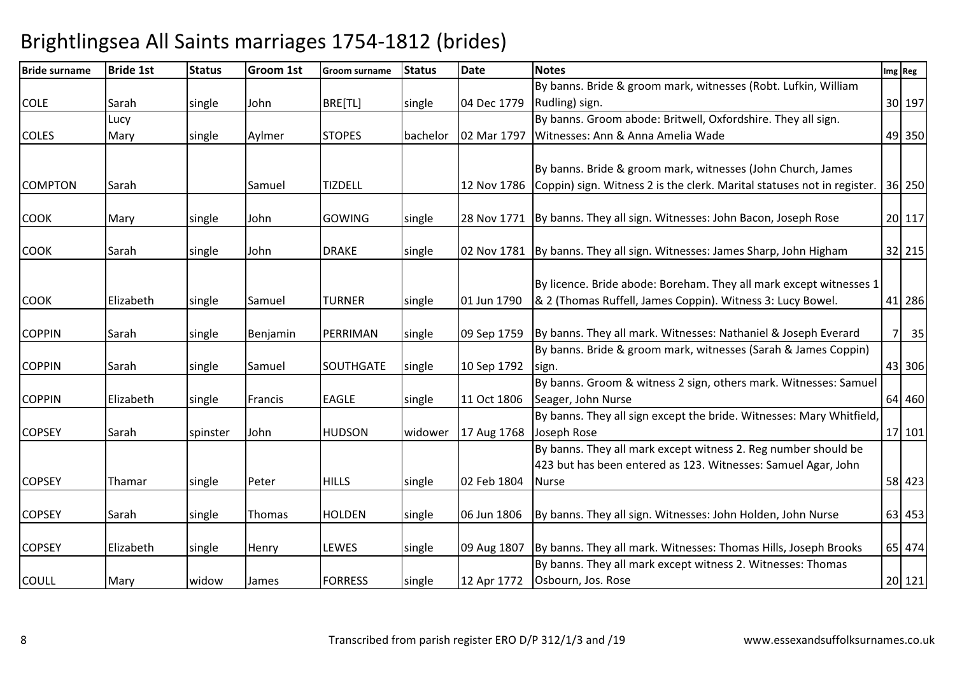| <b>Bride surname</b> | <b>Bride 1st</b> | <b>Status</b> | <b>Groom 1st</b> | Groom surname  | <b>Status</b> | <b>Date</b> | <b>Notes</b>                                                                        |     | Img Reg |
|----------------------|------------------|---------------|------------------|----------------|---------------|-------------|-------------------------------------------------------------------------------------|-----|---------|
|                      |                  |               |                  |                |               |             | By banns. Bride & groom mark, witnesses (Robt. Lufkin, William                      |     |         |
| <b>COLE</b>          | Sarah            | single        | John             | BRE[TL]        | single        | 04 Dec 1779 | Rudling) sign.                                                                      |     | 30 197  |
|                      | Lucy             |               |                  |                |               |             | By banns. Groom abode: Britwell, Oxfordshire. They all sign.                        |     |         |
| <b>COLES</b>         | Mary             | single        | Aylmer           | <b>STOPES</b>  | bachelor      | 02 Mar 1797 | Witnesses: Ann & Anna Amelia Wade                                                   |     | 49 350  |
|                      |                  |               |                  |                |               |             |                                                                                     |     |         |
|                      |                  |               |                  |                |               |             | By banns. Bride & groom mark, witnesses (John Church, James                         |     |         |
| <b>COMPTON</b>       | Sarah            |               | Samuel           | <b>TIZDELL</b> |               |             | 12 Nov 1786 Coppin) sign. Witness 2 is the clerk. Marital statuses not in register. |     | 36 250  |
|                      |                  |               |                  |                |               |             |                                                                                     |     |         |
| <b>COOK</b>          | Mary             | single        | John             | GOWING         | single        |             | 28 Nov 1771 By banns. They all sign. Witnesses: John Bacon, Joseph Rose             |     | 20 117  |
| <b>COOK</b>          | Sarah            | single        | John             | <b>DRAKE</b>   | single        |             | 02 Nov 1781 By banns. They all sign. Witnesses: James Sharp, John Higham            |     | 32 215  |
|                      |                  |               |                  |                |               |             |                                                                                     |     |         |
|                      |                  |               |                  |                |               |             | By licence. Bride abode: Boreham. They all mark except witnesses 1                  |     |         |
| <b>COOK</b>          | Elizabeth        | single        | Samuel           | <b>TURNER</b>  | single        | 01 Jun 1790 | & 2 (Thomas Ruffell, James Coppin). Witness 3: Lucy Bowel.                          |     | 41 286  |
|                      |                  |               |                  |                |               |             |                                                                                     |     |         |
| <b>COPPIN</b>        | Sarah            | single        | Benjamin         | PERRIMAN       | single        | 09 Sep 1759 | By banns. They all mark. Witnesses: Nathaniel & Joseph Everard                      | 7 I | 35      |
|                      |                  |               |                  |                |               |             | By banns. Bride & groom mark, witnesses (Sarah & James Coppin)                      |     |         |
| <b>COPPIN</b>        | Sarah            | single        | Samuel           | SOUTHGATE      | single        | 10 Sep 1792 | sign.                                                                               |     | 43 306  |
|                      |                  |               |                  |                |               |             | By banns. Groom & witness 2 sign, others mark. Witnesses: Samuel                    |     |         |
| <b>COPPIN</b>        | Elizabeth        | single        | Francis          | <b>EAGLE</b>   | single        | 11 Oct 1806 | Seager, John Nurse                                                                  |     | 64 460  |
|                      |                  |               |                  |                |               |             | By banns. They all sign except the bride. Witnesses: Mary Whitfield,                |     |         |
| <b>COPSEY</b>        | Sarah            | spinster      | John             | <b>HUDSON</b>  | widower       | 17 Aug 1768 | Joseph Rose                                                                         |     | 17 101  |
|                      |                  |               |                  |                |               |             | By banns. They all mark except witness 2. Reg number should be                      |     |         |
|                      |                  |               |                  |                |               |             | 423 but has been entered as 123. Witnesses: Samuel Agar, John                       |     |         |
| <b>COPSEY</b>        | Thamar           | single        | Peter            | <b>HILLS</b>   | single        | 02 Feb 1804 | <b>Nurse</b>                                                                        |     | 58 423  |
| <b>COPSEY</b>        | Sarah            | single        | Thomas           | <b>HOLDEN</b>  | single        | 06 Jun 1806 | By banns. They all sign. Witnesses: John Holden, John Nurse                         |     | 63 453  |
|                      |                  |               |                  |                |               |             |                                                                                     |     |         |
| <b>COPSEY</b>        | Elizabeth        | single        | Henry            | LEWES          | single        | 09 Aug 1807 | By banns. They all mark. Witnesses: Thomas Hills, Joseph Brooks                     |     | 65 474  |
|                      |                  |               |                  |                |               |             | By banns. They all mark except witness 2. Witnesses: Thomas                         |     |         |
| <b>COULL</b>         | Mary             | widow         | James            | <b>FORRESS</b> | single        | 12 Apr 1772 | Osbourn, Jos. Rose                                                                  |     | 20 121  |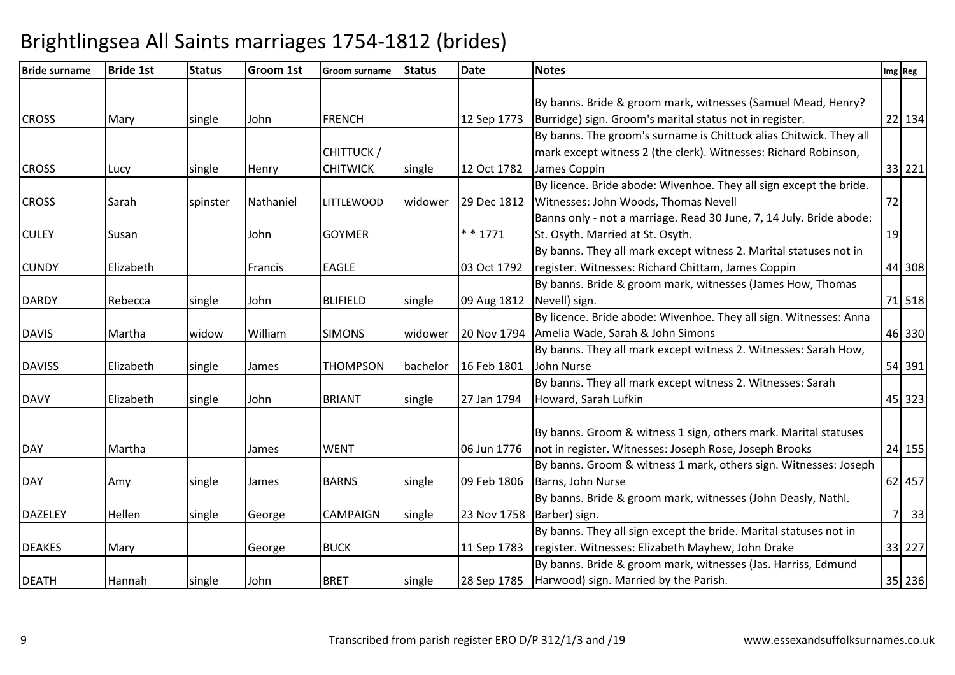| <b>Bride surname</b> | <b>Bride 1st</b> | <b>Status</b> | Groom 1st | <b>Groom surname</b> | <b>Status</b> | <b>Date</b> | <b>Notes</b>                                                        | Img Reg |        |
|----------------------|------------------|---------------|-----------|----------------------|---------------|-------------|---------------------------------------------------------------------|---------|--------|
|                      |                  |               |           |                      |               |             |                                                                     |         |        |
|                      |                  |               |           |                      |               |             | By banns. Bride & groom mark, witnesses (Samuel Mead, Henry?        |         |        |
| <b>CROSS</b>         | Mary             | single        | John      | <b>FRENCH</b>        |               | 12 Sep 1773 | Burridge) sign. Groom's marital status not in register.             |         | 22 134 |
|                      |                  |               |           |                      |               |             | By banns. The groom's surname is Chittuck alias Chitwick. They all  |         |        |
|                      |                  |               |           | CHITTUCK /           |               |             | mark except witness 2 (the clerk). Witnesses: Richard Robinson,     |         |        |
| <b>CROSS</b>         | Lucy             | single        | Henry     | <b>CHITWICK</b>      | single        | 12 Oct 1782 | James Coppin                                                        |         | 33 221 |
|                      |                  |               |           |                      |               |             | By licence. Bride abode: Wivenhoe. They all sign except the bride.  |         |        |
| <b>CROSS</b>         | Sarah            | spinster      | Nathaniel | <b>LITTLEWOOD</b>    | widower       | 29 Dec 1812 | Witnesses: John Woods, Thomas Nevell                                | 72      |        |
|                      |                  |               |           |                      |               |             | Banns only - not a marriage. Read 30 June, 7, 14 July. Bride abode: |         |        |
| <b>CULEY</b>         | Susan            |               | John      | <b>GOYMER</b>        |               | * * 1771    | St. Osyth. Married at St. Osyth.                                    | 19      |        |
|                      |                  |               |           |                      |               |             | By banns. They all mark except witness 2. Marital statuses not in   |         |        |
| <b>CUNDY</b>         | Elizabeth        |               | Francis   | <b>EAGLE</b>         |               | 03 Oct 1792 | register. Witnesses: Richard Chittam, James Coppin                  |         | 44 308 |
|                      |                  |               |           |                      |               |             | By banns. Bride & groom mark, witnesses (James How, Thomas          |         |        |
| <b>DARDY</b>         | Rebecca          | single        | John      | <b>BLIFIELD</b>      | single        | 09 Aug 1812 | Nevell) sign.                                                       |         | 71 518 |
|                      |                  |               |           |                      |               |             | By licence. Bride abode: Wivenhoe. They all sign. Witnesses: Anna   |         |        |
| <b>DAVIS</b>         | Martha           | widow         | William   | <b>SIMONS</b>        | widower       | 20 Nov 1794 | Amelia Wade, Sarah & John Simons                                    |         | 46 330 |
|                      |                  |               |           |                      |               |             | By banns. They all mark except witness 2. Witnesses: Sarah How,     |         |        |
| <b>DAVISS</b>        | Elizabeth        | single        | James     | <b>THOMPSON</b>      | bachelor      | 16 Feb 1801 | John Nurse                                                          |         | 54 391 |
|                      |                  |               |           |                      |               |             | By banns. They all mark except witness 2. Witnesses: Sarah          |         |        |
| <b>DAVY</b>          | Elizabeth        | single        | John      | <b>BRIANT</b>        | single        | 27 Jan 1794 | Howard, Sarah Lufkin                                                |         | 45 323 |
|                      |                  |               |           |                      |               |             |                                                                     |         |        |
|                      |                  |               |           |                      |               |             | By banns. Groom & witness 1 sign, others mark. Marital statuses     |         |        |
| DAY                  | Martha           |               | James     | <b>WENT</b>          |               | 06 Jun 1776 | not in register. Witnesses: Joseph Rose, Joseph Brooks              |         | 24 155 |
|                      |                  |               |           |                      |               |             | By banns. Groom & witness 1 mark, others sign. Witnesses: Joseph    |         |        |
| <b>DAY</b>           | Amy              | single        | James     | <b>BARNS</b>         | single        | 09 Feb 1806 | Barns, John Nurse                                                   |         | 62 457 |
|                      |                  |               |           |                      |               |             | By banns. Bride & groom mark, witnesses (John Deasly, Nathl.        |         |        |
| <b>DAZELEY</b>       | Hellen           | single        | George    | <b>CAMPAIGN</b>      | single        | 23 Nov 1758 | Barber) sign.                                                       | 7       | 33     |
|                      |                  |               |           |                      |               |             | By banns. They all sign except the bride. Marital statuses not in   |         |        |
| <b>DEAKES</b>        | Mary             |               | George    | <b>BUCK</b>          |               | 11 Sep 1783 | register. Witnesses: Elizabeth Mayhew, John Drake                   |         | 33 227 |
|                      |                  |               |           |                      |               |             | By banns. Bride & groom mark, witnesses (Jas. Harriss, Edmund       |         |        |
| <b>DEATH</b>         | Hannah           | single        | John      | <b>BRET</b>          | single        | 28 Sep 1785 | Harwood) sign. Married by the Parish.                               |         | 35 236 |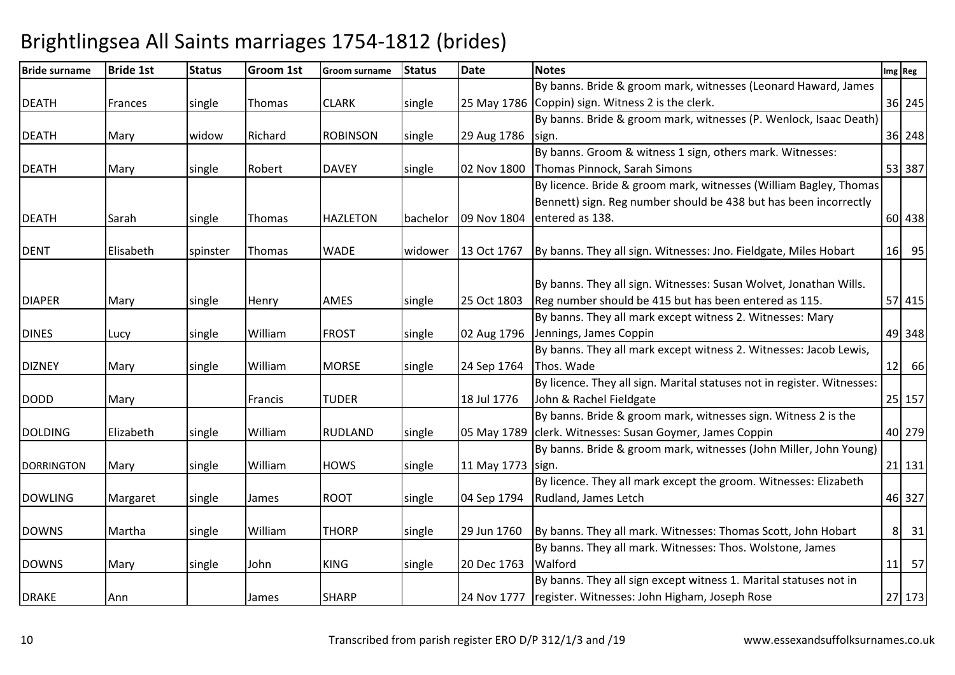| <b>Bride surname</b> | <b>Bride 1st</b> | <b>Status</b> | <b>Groom 1st</b> | <b>Groom surname</b> | <b>Status</b> | <b>Date</b>       | <b>Notes</b>                                                            | Img Reg        |    |
|----------------------|------------------|---------------|------------------|----------------------|---------------|-------------------|-------------------------------------------------------------------------|----------------|----|
|                      |                  |               |                  |                      |               |                   | By banns. Bride & groom mark, witnesses (Leonard Haward, James          |                |    |
| <b>DEATH</b>         | Frances          | single        | Thomas           | <b>CLARK</b>         | single        |                   | 25 May 1786 Coppin) sign. Witness 2 is the clerk.                       | 36 245         |    |
|                      |                  |               |                  |                      |               |                   | By banns. Bride & groom mark, witnesses (P. Wenlock, Isaac Death)       |                |    |
| <b>DEATH</b>         | Mary             | widow         | Richard          | <b>ROBINSON</b>      | single        | 29 Aug 1786       | sign.                                                                   | 36 248         |    |
|                      |                  |               |                  |                      |               |                   | By banns. Groom & witness 1 sign, others mark. Witnesses:               |                |    |
| <b>DEATH</b>         | Mary             | single        | Robert           | <b>DAVEY</b>         | single        | 02 Nov 1800       | Thomas Pinnock, Sarah Simons                                            | 53 387         |    |
|                      |                  |               |                  |                      |               |                   | By licence. Bride & groom mark, witnesses (William Bagley, Thomas       |                |    |
|                      |                  |               |                  |                      |               |                   | Bennett) sign. Reg number should be 438 but has been incorrectly        |                |    |
| <b>DEATH</b>         | Sarah            | single        | Thomas           | <b>HAZLETON</b>      | bachelor      |                   | 09 Nov 1804 entered as 138.                                             | 60 438         |    |
|                      |                  |               |                  |                      |               |                   |                                                                         |                |    |
| <b>DENT</b>          | Elisabeth        | spinster      | Thomas           | <b>WADE</b>          | widower       | 13 Oct 1767       | By banns. They all sign. Witnesses: Jno. Fieldgate, Miles Hobart        | 16 95          |    |
|                      |                  |               |                  |                      |               |                   |                                                                         |                |    |
|                      |                  |               |                  |                      |               |                   | By banns. They all sign. Witnesses: Susan Wolvet, Jonathan Wills.       |                |    |
| <b>DIAPER</b>        | Mary             | single        | Henry            | <b>AMES</b>          | single        | 25 Oct 1803       | Reg number should be 415 but has been entered as 115.                   | 57 415         |    |
|                      |                  |               |                  |                      |               |                   | By banns. They all mark except witness 2. Witnesses: Mary               |                |    |
| <b>DINES</b>         | Lucy             | single        | William          | <b>FROST</b>         | single        | 02 Aug 1796       | Jennings, James Coppin                                                  | 49 348         |    |
|                      |                  |               |                  |                      |               |                   | By banns. They all mark except witness 2. Witnesses: Jacob Lewis,       |                |    |
| <b>DIZNEY</b>        | Mary             | single        | William          | <b>MORSE</b>         | single        | 24 Sep 1764       | Thos. Wade                                                              | $12$ 66        |    |
|                      |                  |               |                  |                      |               |                   | By licence. They all sign. Marital statuses not in register. Witnesses: |                |    |
| <b>DODD</b>          | Mary             |               | Francis          | <b>TUDER</b>         |               | 18 Jul 1776       | John & Rachel Fieldgate                                                 | 25 157         |    |
|                      |                  |               |                  |                      |               |                   | By banns. Bride & groom mark, witnesses sign. Witness 2 is the          |                |    |
| <b>DOLDING</b>       | Elizabeth        | single        | William          | <b>RUDLAND</b>       | single        |                   | 05 May 1789 clerk. Witnesses: Susan Goymer, James Coppin                | 40 279         |    |
|                      |                  |               |                  |                      |               |                   | By banns. Bride & groom mark, witnesses (John Miller, John Young)       |                |    |
| <b>DORRINGTON</b>    | Mary             | single        | William          | <b>HOWS</b>          | single        | 11 May 1773 sign. |                                                                         | 21 131         |    |
|                      |                  |               |                  |                      |               |                   | By licence. They all mark except the groom. Witnesses: Elizabeth        |                |    |
| <b>DOWLING</b>       | Margaret         | single        | James            | <b>ROOT</b>          | single        | 04 Sep 1794       | Rudland, James Letch                                                    | 46 327         |    |
|                      |                  |               |                  |                      |               |                   |                                                                         |                |    |
| <b>DOWNS</b>         | Martha           | single        | William          | <b>THORP</b>         | single        | 29 Jun 1760       | By banns. They all mark. Witnesses: Thomas Scott, John Hobart           | 8 <sup>1</sup> | 31 |
|                      |                  |               |                  |                      |               |                   | By banns. They all mark. Witnesses: Thos. Wolstone, James               |                |    |
| <b>DOWNS</b>         | Mary             | single        | John             | <b>KING</b>          | single        | 20 Dec 1763       | Walford                                                                 | $11$ 57        |    |
|                      |                  |               |                  |                      |               |                   | By banns. They all sign except witness 1. Marital statuses not in       |                |    |
| <b>DRAKE</b>         | Ann              |               | James            | <b>SHARP</b>         |               |                   | 24 Nov 1777   register. Witnesses: John Higham, Joseph Rose             | 27 173         |    |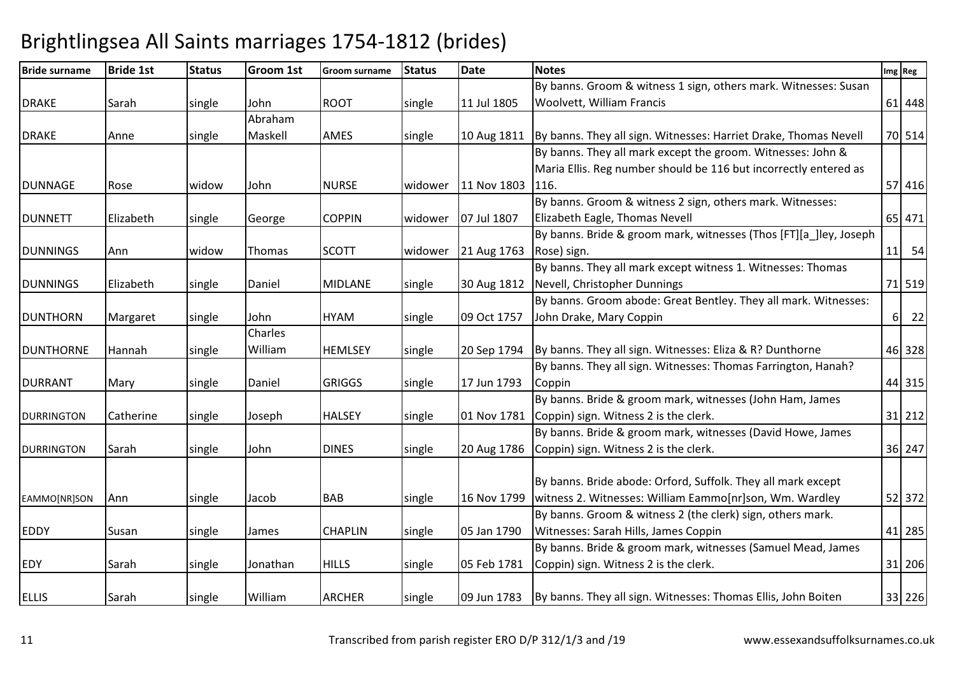| <b>Bride surname</b> | <b>Bride 1st</b> | <b>Status</b> | Groom 1st | <b>Groom surname</b> | <b>Status</b> | <b>Date</b> | <b>Notes</b>                                                                 |          | Img Reg |
|----------------------|------------------|---------------|-----------|----------------------|---------------|-------------|------------------------------------------------------------------------------|----------|---------|
|                      |                  |               |           |                      |               |             | By banns. Groom & witness 1 sign, others mark. Witnesses: Susan              |          |         |
| <b>DRAKE</b>         | Sarah            | single        | John      | <b>ROOT</b>          | single        | 11 Jul 1805 | Woolvett, William Francis                                                    |          | 61 448  |
|                      |                  |               | Abraham   |                      |               |             |                                                                              |          |         |
| <b>DRAKE</b>         | Anne             | single        | Maskell   | <b>AMES</b>          | single        |             | 10 Aug 1811 By banns. They all sign. Witnesses: Harriet Drake, Thomas Nevell |          | 70 514  |
|                      |                  |               |           |                      |               |             | By banns. They all mark except the groom. Witnesses: John &                  |          |         |
|                      |                  |               |           |                      |               |             | Maria Ellis. Reg number should be 116 but incorrectly entered as             |          |         |
| <b>DUNNAGE</b>       | Rose             | widow         | John      | <b>NURSE</b>         | widower       | 11 Nov 1803 | 116.                                                                         |          | 57 416  |
|                      |                  |               |           |                      |               |             | By banns. Groom & witness 2 sign, others mark. Witnesses:                    |          |         |
| <b>DUNNETT</b>       | Elizabeth        | single        | George    | <b>COPPIN</b>        | widower       | 07 Jul 1807 | Elizabeth Eagle, Thomas Nevell                                               |          | 65 471  |
|                      |                  |               |           |                      |               |             | By banns. Bride & groom mark, witnesses (Thos [FT][a ]ley, Joseph            |          |         |
| <b>DUNNINGS</b>      | Ann              | widow         | Thomas    | <b>SCOTT</b>         | widower       | 21 Aug 1763 | Rose) sign.                                                                  |          | $11$ 54 |
|                      |                  |               |           |                      |               |             | By banns. They all mark except witness 1. Witnesses: Thomas                  |          |         |
| <b>DUNNINGS</b>      | Elizabeth        | single        | Daniel    | <b>MIDLANE</b>       | single        | 30 Aug 1812 | Nevell, Christopher Dunnings                                                 |          | 71 519  |
|                      |                  |               |           |                      |               |             | By banns. Groom abode: Great Bentley. They all mark. Witnesses:              |          |         |
| <b>DUNTHORN</b>      | Margaret         | single        | John      | <b>HYAM</b>          | single        | 09 Oct 1757 | John Drake, Mary Coppin                                                      | $6 \mid$ | 22      |
|                      |                  |               | Charles   |                      |               |             |                                                                              |          |         |
| <b>DUNTHORNE</b>     | Hannah           | single        | William   | <b>HEMLSEY</b>       | single        | 20 Sep 1794 | By banns. They all sign. Witnesses: Eliza & R? Dunthorne                     |          | 46 328  |
|                      |                  |               |           |                      |               |             | By banns. They all sign. Witnesses: Thomas Farrington, Hanah?                |          |         |
| <b>DURRANT</b>       | Mary             | single        | Daniel    | <b>GRIGGS</b>        | single        | 17 Jun 1793 | Coppin                                                                       |          | 44 315  |
|                      |                  |               |           |                      |               |             | By banns. Bride & groom mark, witnesses (John Ham, James                     |          |         |
| <b>DURRINGTON</b>    | Catherine        | single        | Joseph    | <b>HALSEY</b>        | single        | 01 Nov 1781 | Coppin) sign. Witness 2 is the clerk.                                        |          | 31 212  |
|                      |                  |               |           |                      |               |             | By banns. Bride & groom mark, witnesses (David Howe, James                   |          |         |
| <b>DURRINGTON</b>    | Sarah            | single        | John      | <b>DINES</b>         | single        | 20 Aug 1786 | Coppin) sign. Witness 2 is the clerk.                                        |          | 36 247  |
|                      |                  |               |           |                      |               |             |                                                                              |          |         |
|                      |                  |               |           |                      |               |             | By banns. Bride abode: Orford, Suffolk. They all mark except                 |          |         |
| EAMMO[NR]SON         | Ann              | single        | Jacob     | <b>BAB</b>           | single        | 16 Nov 1799 | witness 2. Witnesses: William Eammo[nr]son, Wm. Wardley                      |          | 52 372  |
|                      |                  |               |           |                      |               |             | By banns. Groom & witness 2 (the clerk) sign, others mark.                   |          |         |
| <b>EDDY</b>          | Susan            | single        | James     | <b>CHAPLIN</b>       | single        | 05 Jan 1790 | Witnesses: Sarah Hills, James Coppin                                         |          | 41 285  |
|                      |                  |               |           |                      |               |             | By banns. Bride & groom mark, witnesses (Samuel Mead, James                  |          |         |
| <b>EDY</b>           | Sarah            | single        | Jonathan  | <b>HILLS</b>         | single        | 05 Feb 1781 | Coppin) sign. Witness 2 is the clerk.                                        |          | 31 206  |
|                      |                  |               |           |                      |               |             |                                                                              |          |         |
| <b>ELLIS</b>         | Sarah            | single        | William   | <b>ARCHER</b>        | single        |             | 09 Jun 1783   By banns. They all sign. Witnesses: Thomas Ellis, John Boiten  |          | 33 226  |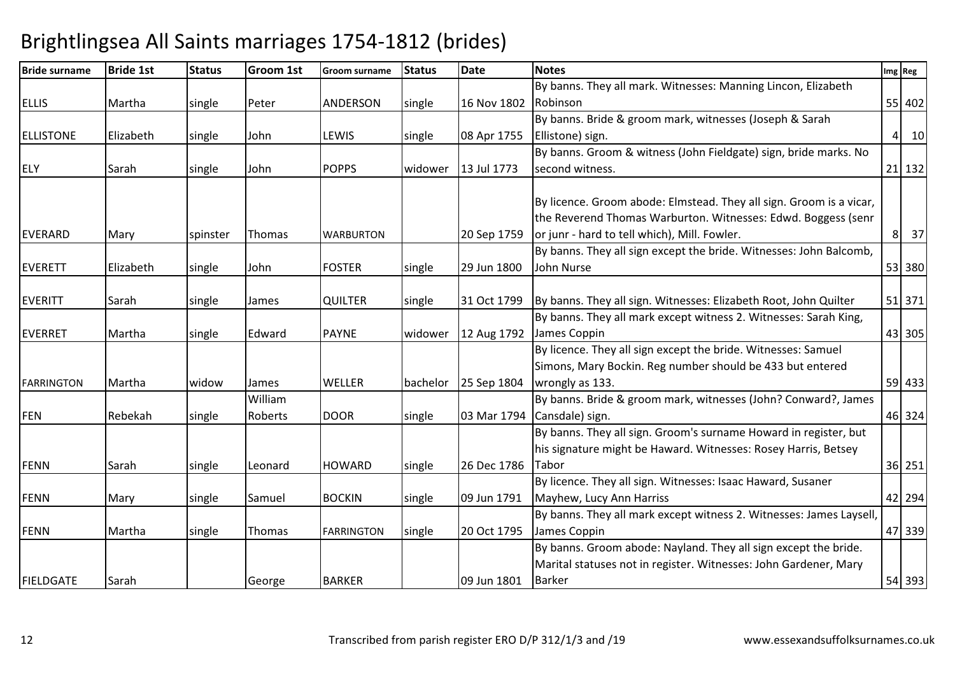| <b>Bride surname</b> | <b>Bride 1st</b> | <b>Status</b>   | <b>Groom 1st</b> | Groom surname     | <b>Status</b> | <b>Date</b> | <b>Notes</b>                                                                                                                         | Img Reg              |
|----------------------|------------------|-----------------|------------------|-------------------|---------------|-------------|--------------------------------------------------------------------------------------------------------------------------------------|----------------------|
|                      |                  |                 |                  |                   |               |             | By banns. They all mark. Witnesses: Manning Lincon, Elizabeth                                                                        |                      |
| <b>ELLIS</b>         | Martha           | single          | Peter            | <b>ANDERSON</b>   | single        | 16 Nov 1802 | Robinson                                                                                                                             | 55 402               |
|                      |                  |                 |                  |                   |               |             | By banns. Bride & groom mark, witnesses (Joseph & Sarah                                                                              |                      |
| <b>ELLISTONE</b>     | Elizabeth        | single          | John             | LEWIS             | single        | 08 Apr 1755 | Ellistone) sign.                                                                                                                     | 10<br>4 <sup>1</sup> |
|                      |                  |                 |                  |                   |               |             | By banns. Groom & witness (John Fieldgate) sign, bride marks. No                                                                     |                      |
| <b>ELY</b>           | Sarah            | single          | John             | <b>POPPS</b>      | widower       | 13 Jul 1773 | second witness.                                                                                                                      | 21 132               |
|                      |                  |                 |                  |                   |               |             |                                                                                                                                      |                      |
|                      |                  |                 |                  |                   |               |             | By licence. Groom abode: Elmstead. They all sign. Groom is a vicar,<br>the Reverend Thomas Warburton. Witnesses: Edwd. Boggess (senr |                      |
|                      |                  |                 |                  |                   |               |             | or junr - hard to tell which), Mill. Fowler.                                                                                         | 37<br>8 <sup>1</sup> |
| <b>EVERARD</b>       | Mary             | <b>spinster</b> | lThomas          | <b>WARBURTON</b>  |               | 20 Sep 1759 |                                                                                                                                      |                      |
|                      |                  |                 |                  |                   |               |             | By banns. They all sign except the bride. Witnesses: John Balcomb,                                                                   |                      |
| <b>EVERETT</b>       | Elizabeth        | single          | John             | <b>FOSTER</b>     | single        | 29 Jun 1800 | John Nurse                                                                                                                           | 53 380               |
| <b>EVERITT</b>       | Sarah            | single          | James            | <b>QUILTER</b>    | single        | 31 Oct 1799 | By banns. They all sign. Witnesses: Elizabeth Root, John Quilter                                                                     | 51 371               |
|                      |                  |                 |                  |                   |               |             | By banns. They all mark except witness 2. Witnesses: Sarah King,                                                                     |                      |
| <b>EVERRET</b>       | Martha           | single          | Edward           | <b>PAYNE</b>      | widower       | 12 Aug 1792 | James Coppin                                                                                                                         | 43 305               |
|                      |                  |                 |                  |                   |               |             | By licence. They all sign except the bride. Witnesses: Samuel                                                                        |                      |
|                      |                  |                 |                  |                   |               |             | Simons, Mary Bockin. Reg number should be 433 but entered                                                                            |                      |
| <b>FARRINGTON</b>    | Martha           | widow           | James            | <b>WELLER</b>     | bachelor      | 25 Sep 1804 | wrongly as 133.                                                                                                                      | 59 433               |
|                      |                  |                 | William          |                   |               |             | By banns. Bride & groom mark, witnesses (John? Conward?, James                                                                       |                      |
| <b>FEN</b>           | Rebekah          | single          | Roberts          | <b>DOOR</b>       | single        | 03 Mar 1794 | Cansdale) sign.                                                                                                                      | 46 324               |
|                      |                  |                 |                  |                   |               |             | By banns. They all sign. Groom's surname Howard in register, but                                                                     |                      |
|                      |                  |                 |                  |                   |               |             | his signature might be Haward. Witnesses: Rosey Harris, Betsey                                                                       |                      |
| <b>FENN</b>          | Sarah            | single          | Leonard          | <b>HOWARD</b>     | single        | 26 Dec 1786 | Tabor                                                                                                                                | 36 251               |
|                      |                  |                 |                  |                   |               |             | By licence. They all sign. Witnesses: Isaac Haward, Susaner                                                                          |                      |
| <b>FENN</b>          | Mary             | single          | Samuel           | <b>BOCKIN</b>     | single        | 09 Jun 1791 | Mayhew, Lucy Ann Harriss                                                                                                             | 42 294               |
|                      |                  |                 |                  |                   |               |             | By banns. They all mark except witness 2. Witnesses: James Laysell,                                                                  |                      |
| <b>FENN</b>          | Martha           | single          | Thomas           | <b>FARRINGTON</b> | single        | 20 Oct 1795 | James Coppin                                                                                                                         | 47 339               |
|                      |                  |                 |                  |                   |               |             | By banns. Groom abode: Nayland. They all sign except the bride.                                                                      |                      |
|                      |                  |                 |                  |                   |               |             | Marital statuses not in register. Witnesses: John Gardener, Mary                                                                     |                      |
| <b>FIELDGATE</b>     | Sarah            |                 | George           | <b>BARKER</b>     |               | 09 Jun 1801 | <b>Barker</b>                                                                                                                        | 54 393               |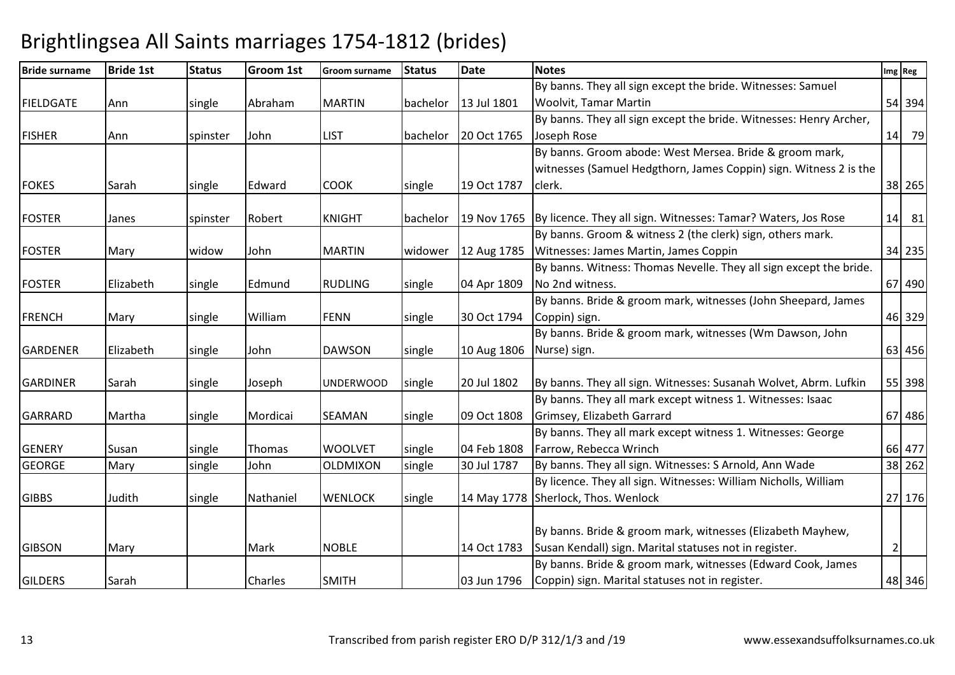| <b>Bride surname</b> | <b>Bride 1st</b> | <b>Status</b> | Groom 1st | <b>Groom surname</b> | <b>Status</b> | <b>Date</b> | <b>Notes</b>                                                                |                | Img Reg |
|----------------------|------------------|---------------|-----------|----------------------|---------------|-------------|-----------------------------------------------------------------------------|----------------|---------|
|                      |                  |               |           |                      |               |             | By banns. They all sign except the bride. Witnesses: Samuel                 |                |         |
| <b>FIELDGATE</b>     | Ann              | single        | Abraham   | <b>MARTIN</b>        | bachelor      | 13 Jul 1801 | <b>Woolvit, Tamar Martin</b>                                                |                | 54 394  |
|                      |                  |               |           |                      |               |             | By banns. They all sign except the bride. Witnesses: Henry Archer,          |                |         |
| <b>FISHER</b>        | Ann              | spinster      | John      | <b>LIST</b>          | bachelor      | 20 Oct 1765 | Joseph Rose                                                                 |                | 14 79   |
|                      |                  |               |           |                      |               |             | By banns. Groom abode: West Mersea. Bride & groom mark,                     |                |         |
|                      |                  |               |           |                      |               |             | witnesses (Samuel Hedgthorn, James Coppin) sign. Witness 2 is the           |                |         |
| <b>FOKES</b>         | Sarah            | single        | Edward    | <b>COOK</b>          | single        | 19 Oct 1787 | clerk.                                                                      |                | 38 265  |
|                      |                  |               |           |                      |               |             |                                                                             |                |         |
| <b>FOSTER</b>        | Janes            | spinster      | Robert    | <b>KNIGHT</b>        | bachelor      |             | 19 Nov 1765   By licence. They all sign. Witnesses: Tamar? Waters, Jos Rose |                | 14 81   |
|                      |                  |               |           |                      |               |             | By banns. Groom & witness 2 (the clerk) sign, others mark.                  |                |         |
| <b>FOSTER</b>        | Mary             | widow         | John      | <b>MARTIN</b>        | widower       | 12 Aug 1785 | Witnesses: James Martin, James Coppin                                       |                | 34 235  |
|                      |                  |               |           |                      |               |             | By banns. Witness: Thomas Nevelle. They all sign except the bride.          |                |         |
| <b>FOSTER</b>        | Elizabeth        | single        | Edmund    | <b>RUDLING</b>       | single        | 04 Apr 1809 | No 2nd witness.                                                             |                | 67 490  |
|                      |                  |               |           |                      |               |             | By banns. Bride & groom mark, witnesses (John Sheepard, James               |                |         |
| <b>FRENCH</b>        | Mary             | single        | William   | <b>FENN</b>          | single        | 30 Oct 1794 | Coppin) sign.                                                               |                | 46 329  |
|                      |                  |               |           |                      |               |             | By banns. Bride & groom mark, witnesses (Wm Dawson, John                    |                |         |
| <b>GARDENER</b>      | Elizabeth        | single        | John      | <b>DAWSON</b>        | single        | 10 Aug 1806 | Nurse) sign.                                                                |                | 63 456  |
|                      |                  |               |           |                      |               |             |                                                                             |                |         |
| <b>GARDINER</b>      | Sarah            | single        | Joseph    | <b>UNDERWOOD</b>     | single        | 20 Jul 1802 | By banns. They all sign. Witnesses: Susanah Wolvet, Abrm. Lufkin            |                | 55 398  |
|                      |                  |               |           |                      |               |             | By banns. They all mark except witness 1. Witnesses: Isaac                  |                |         |
| <b>GARRARD</b>       | Martha           | single        | Mordicai  | <b>SEAMAN</b>        | single        | 09 Oct 1808 | Grimsey, Elizabeth Garrard                                                  |                | 67 486  |
|                      |                  |               |           |                      |               |             | By banns. They all mark except witness 1. Witnesses: George                 |                |         |
| <b>GENERY</b>        | Susan            | single        | Thomas    | <b>WOOLVET</b>       | single        | 04 Feb 1808 | Farrow, Rebecca Wrinch                                                      |                | 66 477  |
| <b>GEORGE</b>        | Mary             | single        | John      | OLDMIXON             | single        | 30 Jul 1787 | By banns. They all sign. Witnesses: S Arnold, Ann Wade                      |                | 38 262  |
|                      |                  |               |           |                      |               |             | By licence. They all sign. Witnesses: William Nicholls, William             |                |         |
| <b>GIBBS</b>         | Judith           | single        | Nathaniel | <b>WENLOCK</b>       | single        | 14 May 1778 | Sherlock, Thos. Wenlock                                                     |                | 27 176  |
|                      |                  |               |           |                      |               |             |                                                                             |                |         |
|                      |                  |               |           |                      |               |             | By banns. Bride & groom mark, witnesses (Elizabeth Mayhew,                  |                |         |
| <b>GIBSON</b>        | Mary             |               | Mark      | <b>NOBLE</b>         |               | 14 Oct 1783 | Susan Kendall) sign. Marital statuses not in register.                      | $\overline{2}$ |         |
|                      |                  |               |           |                      |               |             | By banns. Bride & groom mark, witnesses (Edward Cook, James                 |                |         |
| <b>GILDERS</b>       | Sarah            |               | Charles   | <b>SMITH</b>         |               | 03 Jun 1796 | Coppin) sign. Marital statuses not in register.                             |                | 48 346  |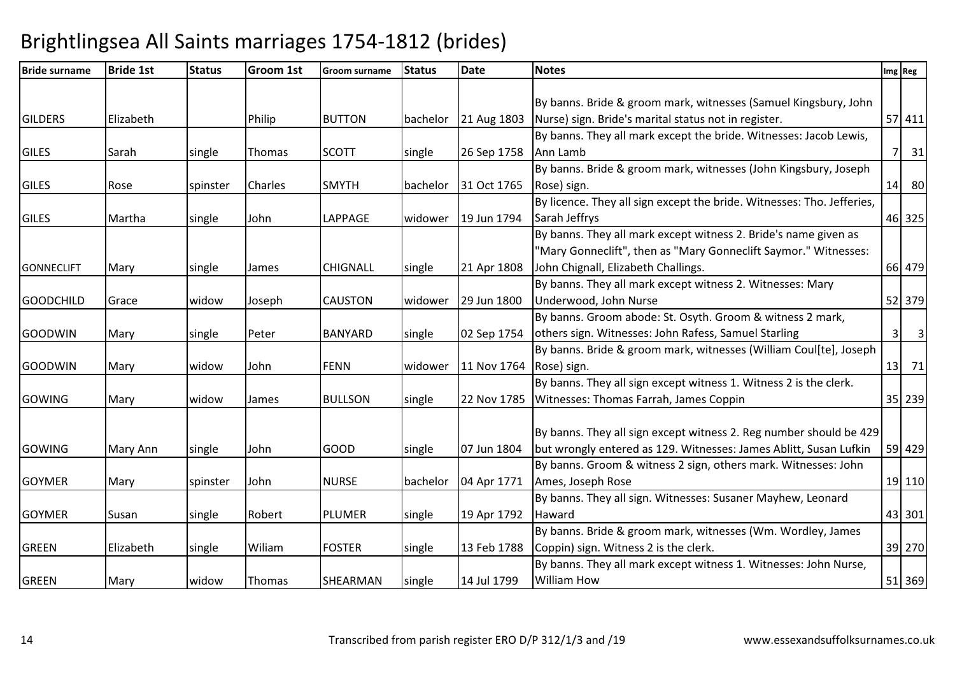| <b>Bride surname</b> | <b>Bride 1st</b> | <b>Status</b> | Groom 1st | <b>Groom surname</b> | <b>Status</b> | <b>Date</b> | <b>Notes</b>                                                           |                         | Img Reg                          |
|----------------------|------------------|---------------|-----------|----------------------|---------------|-------------|------------------------------------------------------------------------|-------------------------|----------------------------------|
|                      |                  |               |           |                      |               |             |                                                                        |                         |                                  |
|                      |                  |               |           |                      |               |             | By banns. Bride & groom mark, witnesses (Samuel Kingsbury, John        |                         |                                  |
| <b>GILDERS</b>       | Elizabeth        |               | Philip    | <b>BUTTON</b>        | bachelor      | 21 Aug 1803 | Nurse) sign. Bride's marital status not in register.                   |                         | 57 411                           |
|                      |                  |               |           |                      |               |             | By banns. They all mark except the bride. Witnesses: Jacob Lewis,      |                         |                                  |
| <b>GILES</b>         | Sarah            | single        | Thomas    | <b>SCOTT</b>         | single        | 26 Sep 1758 | Ann Lamb                                                               |                         | $7 \overline{\smash{\big)}\ 31}$ |
|                      |                  |               |           |                      |               |             | By banns. Bride & groom mark, witnesses (John Kingsbury, Joseph        |                         |                                  |
| <b>GILES</b>         | Rose             | spinster      | Charles   | <b>SMYTH</b>         | bachelor      | 31 Oct 1765 | Rose) sign.                                                            |                         | 14 80                            |
|                      |                  |               |           |                      |               |             | By licence. They all sign except the bride. Witnesses: Tho. Jefferies, |                         |                                  |
| <b>GILES</b>         | Martha           | single        | John      | LAPPAGE              | widower       | 19 Jun 1794 | Sarah Jeffrys                                                          |                         | 46 325                           |
|                      |                  |               |           |                      |               |             | By banns. They all mark except witness 2. Bride's name given as        |                         |                                  |
|                      |                  |               |           |                      |               |             | "Mary Gonneclift", then as "Mary Gonneclift Saymor." Witnesses:        |                         |                                  |
| <b>GONNECLIFT</b>    | Mary             | single        | James     | <b>CHIGNALL</b>      | single        | 21 Apr 1808 | John Chignall, Elizabeth Challings.                                    |                         | 66 479                           |
|                      |                  |               |           |                      |               |             | By banns. They all mark except witness 2. Witnesses: Mary              |                         |                                  |
| <b>GOODCHILD</b>     | Grace            | widow         | Joseph    | <b>CAUSTON</b>       | widower       | 29 Jun 1800 | Underwood, John Nurse                                                  |                         | 52 379                           |
|                      |                  |               |           |                      |               |             | By banns. Groom abode: St. Osyth. Groom & witness 2 mark,              |                         |                                  |
| <b>GOODWIN</b>       | Mary             | single        | Peter     | <b>BANYARD</b>       | single        | 02 Sep 1754 | others sign. Witnesses: John Rafess, Samuel Starling                   | $\overline{\mathbf{3}}$ | $\overline{\mathbf{3}}$          |
|                      |                  |               |           |                      |               |             | By banns. Bride & groom mark, witnesses (William Coul[te], Joseph      |                         |                                  |
| <b>GOODWIN</b>       | Mary             | widow         | John      | <b>FENN</b>          | widower       | 11 Nov 1764 | Rose) sign.                                                            |                         | $13$ 71                          |
|                      |                  |               |           |                      |               |             | By banns. They all sign except witness 1. Witness 2 is the clerk.      |                         |                                  |
| <b>GOWING</b>        | Mary             | widow         | James     | <b>BULLSON</b>       | single        |             | 22 Nov 1785 Witnesses: Thomas Farrah, James Coppin                     |                         | 35 239                           |
|                      |                  |               |           |                      |               |             |                                                                        |                         |                                  |
|                      |                  |               |           |                      |               |             | By banns. They all sign except witness 2. Reg number should be 429     |                         |                                  |
| <b>GOWING</b>        | Mary Ann         | single        | John      | <b>GOOD</b>          | single        | 07 Jun 1804 | but wrongly entered as 129. Witnesses: James Ablitt, Susan Lufkin      |                         | 59 429                           |
|                      |                  |               |           |                      |               |             | By banns. Groom & witness 2 sign, others mark. Witnesses: John         |                         |                                  |
| <b>GOYMER</b>        | Mary             | spinster      | John      | <b>NURSE</b>         | bachelor      | 04 Apr 1771 | Ames, Joseph Rose                                                      |                         | 19 110                           |
|                      |                  |               |           |                      |               |             | By banns. They all sign. Witnesses: Susaner Mayhew, Leonard            |                         |                                  |
| <b>GOYMER</b>        | Susan            | single        | Robert    | <b>PLUMER</b>        | single        | 19 Apr 1792 | Haward                                                                 |                         | 43 301                           |
|                      |                  |               |           |                      |               |             | By banns. Bride & groom mark, witnesses (Wm. Wordley, James            |                         |                                  |
| <b>GREEN</b>         | Elizabeth        | single        | Wiliam    | <b>FOSTER</b>        | single        | 13 Feb 1788 | Coppin) sign. Witness 2 is the clerk.                                  |                         | 39 270                           |
|                      |                  |               |           |                      |               |             | By banns. They all mark except witness 1. Witnesses: John Nurse,       |                         |                                  |
| <b>GREEN</b>         | Mary             | widow         | Thomas    | SHEARMAN             | single        | 14 Jul 1799 | <b>William How</b>                                                     |                         | 51 369                           |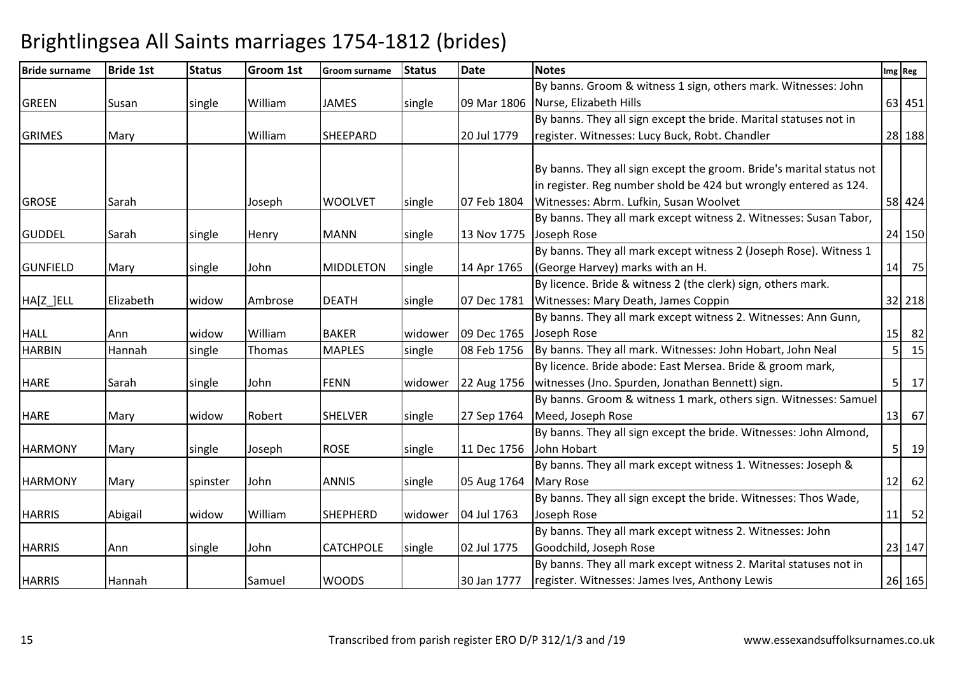| <b>Bride surname</b> | <b>Bride 1st</b> | <b>Status</b> | Groom 1st | <b>Groom surname</b> | <b>Status</b> | <b>Date</b> | <b>Notes</b>                                                         |                | Img Reg |
|----------------------|------------------|---------------|-----------|----------------------|---------------|-------------|----------------------------------------------------------------------|----------------|---------|
|                      |                  |               |           |                      |               |             | By banns. Groom & witness 1 sign, others mark. Witnesses: John       |                |         |
| <b>GREEN</b>         | Susan            | single        | William   | <b>JAMES</b>         | single        |             | 09 Mar 1806 Nurse, Elizabeth Hills                                   |                | 63 451  |
|                      |                  |               |           |                      |               |             | By banns. They all sign except the bride. Marital statuses not in    |                |         |
| <b>GRIMES</b>        | Mary             |               | William   | SHEEPARD             |               | 20 Jul 1779 | register. Witnesses: Lucy Buck, Robt. Chandler                       |                | 28 188  |
|                      |                  |               |           |                      |               |             |                                                                      |                |         |
|                      |                  |               |           |                      |               |             | By banns. They all sign except the groom. Bride's marital status not |                |         |
|                      |                  |               |           |                      |               |             | in register. Reg number shold be 424 but wrongly entered as 124.     |                |         |
| <b>GROSE</b>         | Sarah            |               | Joseph    | <b>WOOLVET</b>       | single        | 07 Feb 1804 | Witnesses: Abrm. Lufkin, Susan Woolvet                               |                | 58 424  |
|                      |                  |               |           |                      |               |             | By banns. They all mark except witness 2. Witnesses: Susan Tabor,    |                |         |
| <b>GUDDEL</b>        | Sarah            | single        | Henry     | <b>MANN</b>          | single        | 13 Nov 1775 | Joseph Rose                                                          |                | 24 150  |
|                      |                  |               |           |                      |               |             | By banns. They all mark except witness 2 (Joseph Rose). Witness 1    |                |         |
| <b>GUNFIELD</b>      | Mary             | single        | John      | <b>MIDDLETON</b>     | single        | 14 Apr 1765 | (George Harvey) marks with an H.                                     |                | 14 75   |
|                      |                  |               |           |                      |               |             | By licence. Bride & witness 2 (the clerk) sign, others mark.         |                |         |
| HA[Z_]ELL            | Elizabeth        | widow         | Ambrose   | <b>DEATH</b>         | single        | 07 Dec 1781 | Witnesses: Mary Death, James Coppin                                  |                | 32 218  |
|                      |                  |               |           |                      |               |             | By banns. They all mark except witness 2. Witnesses: Ann Gunn,       |                |         |
| <b>HALL</b>          | Ann              | widow         | William   | <b>BAKER</b>         | widower       | 09 Dec 1765 | Joseph Rose                                                          |                | $15$ 82 |
| <b>HARBIN</b>        | Hannah           | single        | Thomas    | <b>MAPLES</b>        | single        | 08 Feb 1756 | By banns. They all mark. Witnesses: John Hobart, John Neal           | 5 <sup>1</sup> | 15      |
|                      |                  |               |           |                      |               |             | By licence. Bride abode: East Mersea. Bride & groom mark,            |                |         |
| <b>HARE</b>          | Sarah            | single        | John      | <b>FENN</b>          | widower       | 22 Aug 1756 | witnesses (Jno. Spurden, Jonathan Bennett) sign.                     |                | 5<br>17 |
|                      |                  |               |           |                      |               |             | By banns. Groom & witness 1 mark, others sign. Witnesses: Samuel     |                |         |
| <b>HARE</b>          | Mary             | widow         | Robert    | <b>SHELVER</b>       | single        | 27 Sep 1764 | Meed, Joseph Rose                                                    |                | $13$ 67 |
|                      |                  |               |           |                      |               |             | By banns. They all sign except the bride. Witnesses: John Almond,    |                |         |
| <b>HARMONY</b>       | Mary             | single        | Joseph    | <b>ROSE</b>          | single        | 11 Dec 1756 | John Hobart                                                          |                | 5 19    |
|                      |                  |               |           |                      |               |             | By banns. They all mark except witness 1. Witnesses: Joseph &        |                |         |
| <b>HARMONY</b>       | Mary             | spinster      | John      | <b>ANNIS</b>         | single        | 05 Aug 1764 | <b>Mary Rose</b>                                                     |                | $12$ 62 |
|                      |                  |               |           |                      |               |             | By banns. They all sign except the bride. Witnesses: Thos Wade,      |                |         |
| <b>HARRIS</b>        | Abigail          | widow         | William   | <b>SHEPHERD</b>      | widower       | 04 Jul 1763 | Joseph Rose                                                          |                | $11$ 52 |
|                      |                  |               |           |                      |               |             | By banns. They all mark except witness 2. Witnesses: John            |                |         |
| <b>HARRIS</b>        | Ann              | single        | John      | <b>CATCHPOLE</b>     | single        | 02 Jul 1775 | Goodchild, Joseph Rose                                               |                | 23 147  |
|                      |                  |               |           |                      |               |             | By banns. They all mark except witness 2. Marital statuses not in    |                |         |
| <b>HARRIS</b>        | Hannah           |               | Samuel    | <b>WOODS</b>         |               | 30 Jan 1777 | register. Witnesses: James Ives, Anthony Lewis                       |                | 26 165  |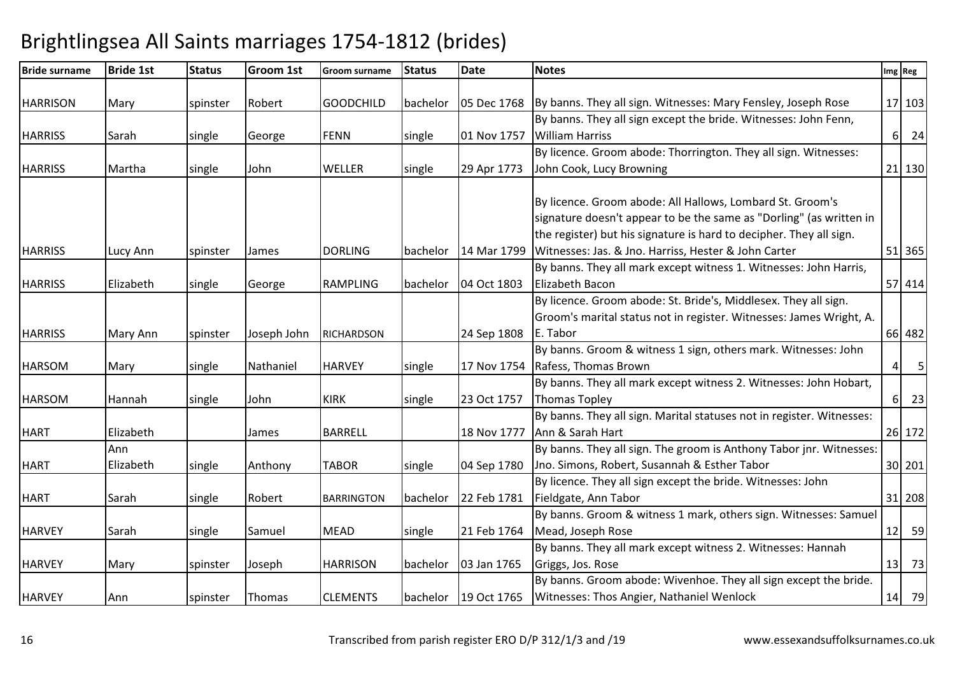| <b>Bride surname</b> | <b>Bride 1st</b> | <b>Status</b> | Groom 1st   | <b>Groom surname</b> | <b>Status</b> | <b>Date</b>          | <b>Notes</b>                                                                                                                                                                                            |         | Img Reg         |
|----------------------|------------------|---------------|-------------|----------------------|---------------|----------------------|---------------------------------------------------------------------------------------------------------------------------------------------------------------------------------------------------------|---------|-----------------|
| <b>HARRISON</b>      | Mary             | spinster      | Robert      | <b>GOODCHILD</b>     | bachelor      |                      | 05 Dec 1768 By banns. They all sign. Witnesses: Mary Fensley, Joseph Rose                                                                                                                               |         | 17 103          |
|                      |                  |               |             |                      |               |                      | By banns. They all sign except the bride. Witnesses: John Fenn,                                                                                                                                         |         |                 |
| <b>HARRISS</b>       | Sarah            | single        | George      | <b>FENN</b>          | single        | 01 Nov 1757          | <b>William Harriss</b>                                                                                                                                                                                  |         | 6 24            |
|                      |                  |               |             |                      |               |                      | By licence. Groom abode: Thorrington. They all sign. Witnesses:                                                                                                                                         |         |                 |
| <b>HARRISS</b>       | Martha           | single        | John        | <b>WELLER</b>        | single        | 29 Apr 1773          | John Cook, Lucy Browning                                                                                                                                                                                |         | 21 130          |
|                      |                  |               |             |                      |               |                      |                                                                                                                                                                                                         |         |                 |
|                      |                  |               |             |                      |               |                      | By licence. Groom abode: All Hallows, Lombard St. Groom's<br>signature doesn't appear to be the same as "Dorling" (as written in<br>the register) but his signature is hard to decipher. They all sign. |         |                 |
| <b>HARRISS</b>       | Lucy Ann         | spinster      | James       | <b>DORLING</b>       | bachelor      | 14 Mar 1799          | Witnesses: Jas. & Jno. Harriss, Hester & John Carter                                                                                                                                                    |         | 51 365          |
| <b>HARRISS</b>       | Elizabeth        | single        | George      | <b>RAMPLING</b>      | bachelor      | 04 Oct 1803          | By banns. They all mark except witness 1. Witnesses: John Harris,<br>Elizabeth Bacon                                                                                                                    |         | 57 414          |
| <b>HARRISS</b>       | Mary Ann         | spinster      | Joseph John | <b>RICHARDSON</b>    |               | 24 Sep 1808          | By licence. Groom abode: St. Bride's, Middlesex. They all sign.<br>Groom's marital status not in register. Witnesses: James Wright, A.<br>E. Tabor                                                      |         | 66 482          |
|                      |                  |               |             |                      |               |                      | By banns. Groom & witness 1 sign, others mark. Witnesses: John                                                                                                                                          |         |                 |
| <b>HARSOM</b>        | Mary             | single        | Nathaniel   | <b>HARVEY</b>        | single        | 17 Nov 1754          | Rafess, Thomas Brown                                                                                                                                                                                    | $\vert$ | $5\phantom{.0}$ |
| <b>HARSOM</b>        | Hannah           | single        | John        | <b>KIRK</b>          | single        | 23 Oct 1757          | By banns. They all mark except witness 2. Witnesses: John Hobart,<br>Thomas Topley                                                                                                                      |         | 6 23            |
| <b>HART</b>          | Elizabeth        |               | James       | <b>BARRELL</b>       |               | 18 Nov 1777          | By banns. They all sign. Marital statuses not in register. Witnesses:<br>Ann & Sarah Hart                                                                                                               |         | 26 172          |
|                      | Ann              |               |             |                      |               |                      | By banns. They all sign. The groom is Anthony Tabor jnr. Witnesses:                                                                                                                                     |         |                 |
| <b>HART</b>          | Elizabeth        | single        | Anthony     | <b>TABOR</b>         | single        | 04 Sep 1780          | Jno. Simons, Robert, Susannah & Esther Tabor                                                                                                                                                            |         | 30 201          |
|                      |                  |               |             |                      |               |                      | By licence. They all sign except the bride. Witnesses: John                                                                                                                                             |         |                 |
| <b>HART</b>          | Sarah            | single        | Robert      | <b>BARRINGTON</b>    | bachelor      | 22 Feb 1781          | Fieldgate, Ann Tabor                                                                                                                                                                                    |         | 31 208          |
|                      |                  |               |             |                      |               |                      | By banns. Groom & witness 1 mark, others sign. Witnesses: Samuel                                                                                                                                        |         |                 |
| <b>HARVEY</b>        | Sarah            | single        | Samuel      | <b>MEAD</b>          | single        | 21 Feb 1764          | Mead, Joseph Rose                                                                                                                                                                                       |         | 12 59           |
|                      |                  |               |             |                      |               |                      | By banns. They all mark except witness 2. Witnesses: Hannah                                                                                                                                             |         |                 |
| <b>HARVEY</b>        | Mary             | spinster      | Joseph      | <b>HARRISON</b>      | bachelor      | 03 Jan 1765          | Griggs, Jos. Rose                                                                                                                                                                                       |         | $13$ 73         |
|                      |                  |               |             |                      |               |                      | By banns. Groom abode: Wivenhoe. They all sign except the bride.                                                                                                                                        |         |                 |
| <b>HARVEY</b>        | Ann              | spinster      | Thomas      | <b>CLEMENTS</b>      |               | bachelor 19 Oct 1765 | Witnesses: Thos Angier, Nathaniel Wenlock                                                                                                                                                               |         | 14 79           |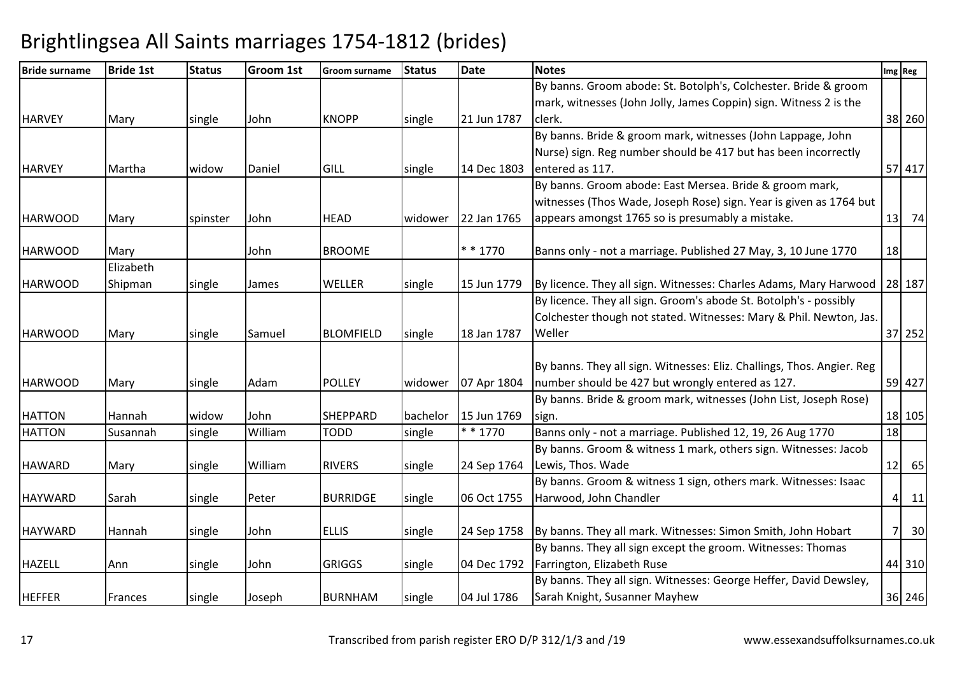| <b>Bride surname</b> | <b>Bride 1st</b> | <b>Status</b> | <b>Groom 1st</b> | <b>Groom surname</b> | <b>Status</b> | <b>Date</b> | <b>Notes</b>                                                                 | Img Reg |   |        |
|----------------------|------------------|---------------|------------------|----------------------|---------------|-------------|------------------------------------------------------------------------------|---------|---|--------|
|                      |                  |               |                  |                      |               |             | By banns. Groom abode: St. Botolph's, Colchester. Bride & groom              |         |   |        |
|                      |                  |               |                  |                      |               |             | mark, witnesses (John Jolly, James Coppin) sign. Witness 2 is the            |         |   |        |
| <b>HARVEY</b>        | Mary             | single        | John             | <b>KNOPP</b>         | single        | 21 Jun 1787 | clerk.                                                                       |         |   | 38 260 |
|                      |                  |               |                  |                      |               |             | By banns. Bride & groom mark, witnesses (John Lappage, John                  |         |   |        |
|                      |                  |               |                  |                      |               |             | Nurse) sign. Reg number should be 417 but has been incorrectly               |         |   |        |
| <b>HARVEY</b>        | Martha           | widow         | Daniel           | GILL                 | single        | 14 Dec 1803 | entered as 117.                                                              |         |   | 57 417 |
|                      |                  |               |                  |                      |               |             | By banns. Groom abode: East Mersea. Bride & groom mark,                      |         |   |        |
|                      |                  |               |                  |                      |               |             | witnesses (Thos Wade, Joseph Rose) sign. Year is given as 1764 but           |         |   |        |
| <b>HARWOOD</b>       | Mary             | spinster      | John             | <b>HEAD</b>          | widower       | 22 Jan 1765 | appears amongst 1765 so is presumably a mistake.                             | 13      |   | 74     |
| <b>HARWOOD</b>       | Mary             |               | John             | <b>BROOME</b>        |               | $* * 1770$  | Banns only - not a marriage. Published 27 May, 3, 10 June 1770               | 18      |   |        |
|                      | Elizabeth        |               |                  |                      |               |             |                                                                              |         |   |        |
| <b>HARWOOD</b>       | Shipman          | single        | James            | <b>WELLER</b>        | single        | 15 Jun 1779 | By licence. They all sign. Witnesses: Charles Adams, Mary Harwood   28   187 |         |   |        |
|                      |                  |               |                  |                      |               |             | By licence. They all sign. Groom's abode St. Botolph's - possibly            |         |   |        |
|                      |                  |               |                  |                      |               |             | Colchester though not stated. Witnesses: Mary & Phil. Newton, Jas.           |         |   |        |
| <b>HARWOOD</b>       | Mary             | single        | Samuel           | <b>BLOMFIELD</b>     | single        | 18 Jan 1787 | Weller                                                                       |         |   | 37 252 |
|                      |                  |               |                  |                      |               |             |                                                                              |         |   |        |
|                      |                  |               |                  |                      |               |             | By banns. They all sign. Witnesses: Eliz. Challings, Thos. Angier. Reg       |         |   |        |
| <b>HARWOOD</b>       | Mary             | single        | Adam             | <b>POLLEY</b>        | widower       | 07 Apr 1804 | number should be 427 but wrongly entered as 127.                             |         |   | 59 427 |
|                      |                  |               |                  |                      |               |             | By banns. Bride & groom mark, witnesses (John List, Joseph Rose)             |         |   |        |
| <b>HATTON</b>        | Hannah           | widow         | John             | <b>SHEPPARD</b>      | bachelor      | 15 Jun 1769 | sign.                                                                        |         |   | 18 105 |
| <b>HATTON</b>        | Susannah         | single        | William          | <b>TODD</b>          | single        | $* * 1770$  | Banns only - not a marriage. Published 12, 19, 26 Aug 1770                   | 18      |   |        |
|                      |                  |               |                  |                      |               |             | By banns. Groom & witness 1 mark, others sign. Witnesses: Jacob              |         |   |        |
| <b>HAWARD</b>        | Mary             | single        | William          | <b>RIVERS</b>        | single        | 24 Sep 1764 | Lewis, Thos. Wade                                                            | 12      |   | 65     |
|                      |                  |               |                  |                      |               |             | By banns. Groom & witness 1 sign, others mark. Witnesses: Isaac              |         |   |        |
| <b>HAYWARD</b>       | Sarah            | single        | Peter            | <b>BURRIDGE</b>      | single        | 06 Oct 1755 | Harwood, John Chandler                                                       |         |   | $4$ 11 |
| <b>HAYWARD</b>       | Hannah           | single        | John             | <b>ELLIS</b>         | single        | 24 Sep 1758 | By banns. They all mark. Witnesses: Simon Smith, John Hobart                 |         | 7 | 30     |
|                      |                  |               |                  |                      |               |             | By banns. They all sign except the groom. Witnesses: Thomas                  |         |   |        |
| <b>HAZELL</b>        | Ann              | single        | John             | <b>GRIGGS</b>        | single        | 04 Dec 1792 | Farrington, Elizabeth Ruse                                                   |         |   | 44 310 |
|                      |                  |               |                  |                      |               |             | By banns. They all sign. Witnesses: George Heffer, David Dewsley,            |         |   |        |
| <b>HEFFER</b>        | Frances          | single        | Joseph           | <b>BURNHAM</b>       | single        | 04 Jul 1786 | Sarah Knight, Susanner Mayhew                                                |         |   | 36 246 |
|                      |                  |               |                  |                      |               |             |                                                                              |         |   |        |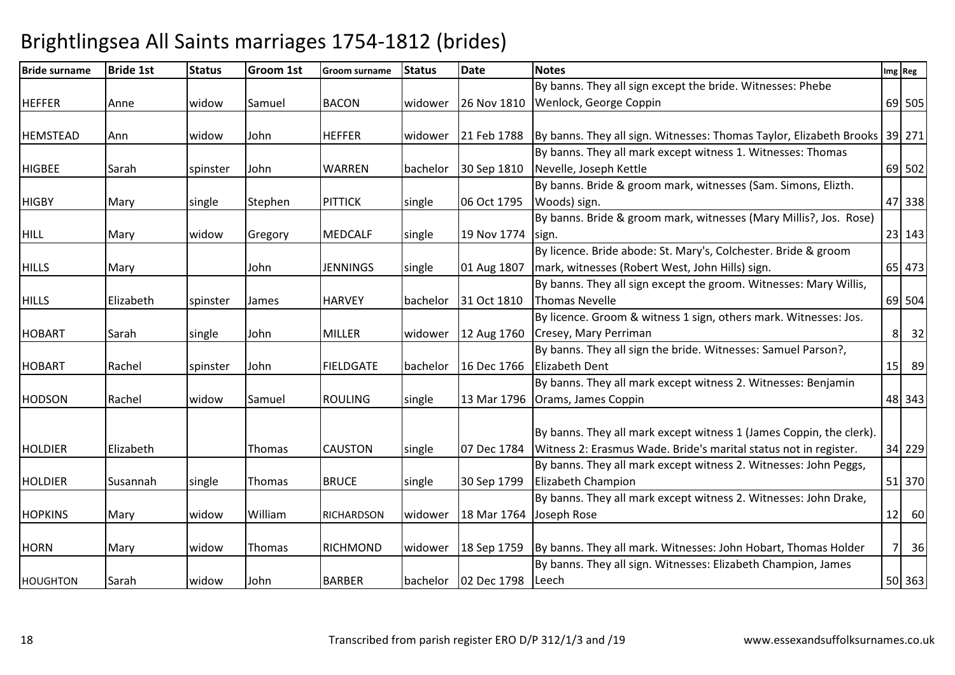| <b>Bride surname</b> | <b>Bride 1st</b> | <b>Status</b> | Groom 1st | <b>Groom surname</b> | <b>Status</b> | <b>Date</b> | <b>Notes</b>                                                               |          | Img Reg              |
|----------------------|------------------|---------------|-----------|----------------------|---------------|-------------|----------------------------------------------------------------------------|----------|----------------------|
|                      |                  |               |           |                      |               |             | By banns. They all sign except the bride. Witnesses: Phebe                 |          |                      |
| <b>HEFFER</b>        | Anne             | widow         | Samuel    | <b>BACON</b>         | widower       | 26 Nov 1810 | Wenlock, George Coppin                                                     |          | 69 505               |
|                      |                  |               |           |                      |               |             |                                                                            |          |                      |
| <b>HEMSTEAD</b>      | Ann              | widow         | John      | <b>HEFFER</b>        | widower       | 21 Feb 1788 | By banns. They all sign. Witnesses: Thomas Taylor, Elizabeth Brooks 39 271 |          |                      |
|                      |                  |               |           |                      |               |             | By banns. They all mark except witness 1. Witnesses: Thomas                |          |                      |
| <b>HIGBEE</b>        | Sarah            | spinster      | John      | <b>WARREN</b>        | bachelor      | 30 Sep 1810 | Nevelle, Joseph Kettle                                                     |          | 69 502               |
|                      |                  |               |           |                      |               |             | By banns. Bride & groom mark, witnesses (Sam. Simons, Elizth.              |          |                      |
| <b>HIGBY</b>         | Mary             | single        | Stephen   | <b>PITTICK</b>       | single        | 06 Oct 1795 | Woods) sign.                                                               |          | 47 338               |
|                      |                  |               |           |                      |               |             | By banns. Bride & groom mark, witnesses (Mary Millis?, Jos. Rose)          |          |                      |
| <b>HILL</b>          | Mary             | widow         | Gregory   | <b>MEDCALF</b>       | single        | 19 Nov 1774 | sign.                                                                      |          | 23 143               |
|                      |                  |               |           |                      |               |             | By licence. Bride abode: St. Mary's, Colchester. Bride & groom             |          |                      |
| <b>HILLS</b>         | Mary             |               | John      | <b>JENNINGS</b>      | single        | 01 Aug 1807 | mark, witnesses (Robert West, John Hills) sign.                            |          | 65 473               |
|                      |                  |               |           |                      |               |             | By banns. They all sign except the groom. Witnesses: Mary Willis,          |          |                      |
| <b>HILLS</b>         | Elizabeth        | spinster      | James     | <b>HARVEY</b>        | bachelor      | 31 Oct 1810 | Thomas Nevelle                                                             |          | 69 504               |
|                      |                  |               |           |                      |               |             | By licence. Groom & witness 1 sign, others mark. Witnesses: Jos.           |          |                      |
| <b>HOBART</b>        | Sarah            | single        | John      | MILLER               | widower       | 12 Aug 1760 | Cresey, Mary Perriman                                                      | $8 \mid$ | 32                   |
|                      |                  |               |           |                      |               |             | By banns. They all sign the bride. Witnesses: Samuel Parson?,              |          |                      |
| <b>HOBART</b>        | Rachel           | spinster      | John      | <b>FIELDGATE</b>     | bachelor      | 16 Dec 1766 | Elizabeth Dent                                                             |          | 15 89                |
|                      |                  |               |           |                      |               |             | By banns. They all mark except witness 2. Witnesses: Benjamin              |          |                      |
| <b>HODSON</b>        | Rachel           | widow         | Samuel    | <b>ROULING</b>       | single        |             | 13 Mar 1796   Orams, James Coppin                                          |          | 48 343               |
|                      |                  |               |           |                      |               |             |                                                                            |          |                      |
|                      |                  |               |           |                      |               |             | By banns. They all mark except witness 1 (James Coppin, the clerk).        |          |                      |
| <b>HOLDIER</b>       | Elizabeth        |               | Thomas    | <b>CAUSTON</b>       | single        | 07 Dec 1784 | Witness 2: Erasmus Wade. Bride's marital status not in register.           |          | 34 229               |
|                      |                  |               |           |                      |               |             | By banns. They all mark except witness 2. Witnesses: John Peggs,           |          |                      |
| <b>HOLDIER</b>       | Susannah         | single        | Thomas    | <b>BRUCE</b>         | single        | 30 Sep 1799 | Elizabeth Champion                                                         |          | 51 370               |
|                      |                  |               |           |                      |               |             | By banns. They all mark except witness 2. Witnesses: John Drake,           |          |                      |
| <b>HOPKINS</b>       | Mary             | widow         | William   | <b>RICHARDSON</b>    | widower       | 18 Mar 1764 | Joseph Rose                                                                |          | 12 60                |
|                      |                  |               |           |                      |               |             |                                                                            |          |                      |
| <b>HORN</b>          | Mary             | widow         | Thomas    | RICHMOND             | widower       | 18 Sep 1759 | By banns. They all mark. Witnesses: John Hobart, Thomas Holder             |          | 7 <sup>1</sup><br>36 |
|                      |                  |               |           |                      |               |             | By banns. They all sign. Witnesses: Elizabeth Champion, James              |          |                      |
| <b>HOUGHTON</b>      | Sarah            | widow         | John      | <b>BARBER</b>        | bachelor      | 02 Dec 1798 | Leech                                                                      |          | 50 363               |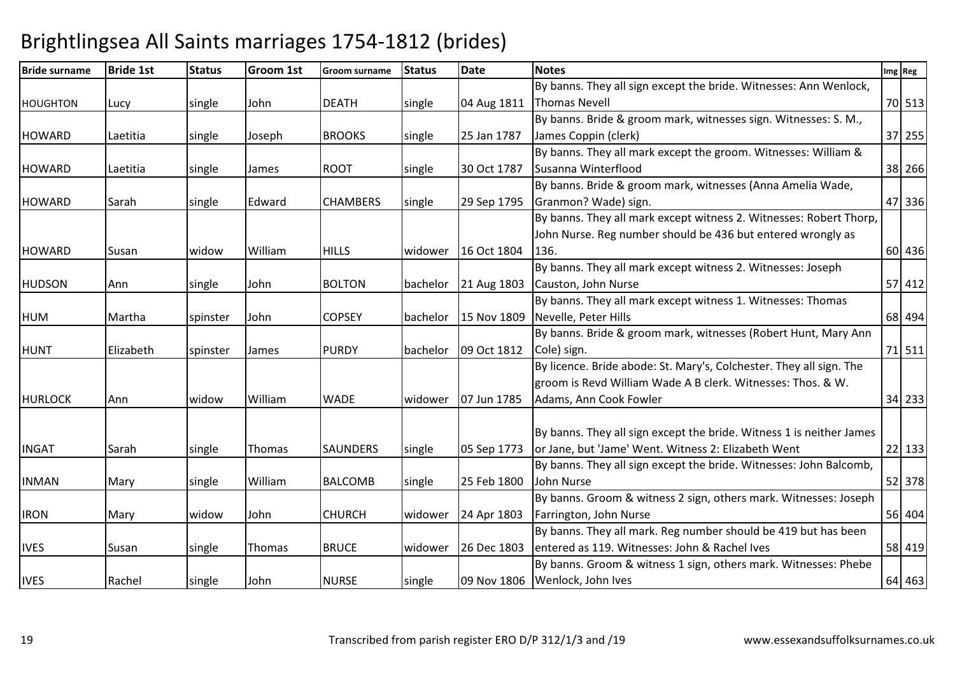| <b>Bride surname</b> | <b>Bride 1st</b> | <b>Status</b> | <b>Groom 1st</b> | <b>Groom surname</b> | <b>Status</b> | <b>Date</b> | <b>Notes</b>                                                         | Img Reg  |
|----------------------|------------------|---------------|------------------|----------------------|---------------|-------------|----------------------------------------------------------------------|----------|
|                      |                  |               |                  |                      |               |             | By banns. They all sign except the bride. Witnesses: Ann Wenlock,    |          |
| <b>HOUGHTON</b>      | Lucy             | single        | John             | <b>DEATH</b>         | single        | 04 Aug 1811 | <b>Thomas Nevell</b>                                                 | 70 513   |
|                      |                  |               |                  |                      |               |             | By banns. Bride & groom mark, witnesses sign. Witnesses: S. M.,      |          |
| <b>HOWARD</b>        | Laetitia         | single        | Joseph           | <b>BROOKS</b>        | single        | 25 Jan 1787 | James Coppin (clerk)                                                 | 37 255   |
|                      |                  |               |                  |                      |               |             | By banns. They all mark except the groom. Witnesses: William &       |          |
| <b>HOWARD</b>        | Laetitia         | single        | James            | ROOT                 | single        | 30 Oct 1787 | Susanna Winterflood                                                  | 38 266   |
|                      |                  |               |                  |                      |               |             | By banns. Bride & groom mark, witnesses (Anna Amelia Wade,           |          |
| <b>HOWARD</b>        | Sarah            | single        | Edward           | <b>CHAMBERS</b>      | single        | 29 Sep 1795 | Granmon? Wade) sign.                                                 | 47 336   |
|                      |                  |               |                  |                      |               |             | By banns. They all mark except witness 2. Witnesses: Robert Thorp,   |          |
|                      |                  |               |                  |                      |               |             | John Nurse. Reg number should be 436 but entered wrongly as          |          |
| <b>HOWARD</b>        | Susan            | widow         | William          | <b>HILLS</b>         | widower       | 16 Oct 1804 | 136.                                                                 | 60 436   |
|                      |                  |               |                  |                      |               |             | By banns. They all mark except witness 2. Witnesses: Joseph          |          |
| <b>HUDSON</b>        | Ann              | single        | John             | <b>BOLTON</b>        | bachelor      | 21 Aug 1803 | Causton, John Nurse                                                  | 57 412   |
|                      |                  |               |                  |                      |               |             | By banns. They all mark except witness 1. Witnesses: Thomas          |          |
| <b>HUM</b>           | Martha           | spinster      | John             | <b>COPSEY</b>        | bachelor      | 15 Nov 1809 | Nevelle, Peter Hills                                                 | 68 494   |
|                      |                  |               |                  |                      |               |             | By banns. Bride & groom mark, witnesses (Robert Hunt, Mary Ann       |          |
| <b>HUNT</b>          | Elizabeth        | spinster      | James            | <b>PURDY</b>         | bachelor      | 09 Oct 1812 | Cole) sign.                                                          | 71 511   |
|                      |                  |               |                  |                      |               |             | By licence. Bride abode: St. Mary's, Colchester. They all sign. The  |          |
|                      |                  |               |                  |                      |               |             | groom is Revd William Wade A B clerk. Witnesses: Thos. & W.          |          |
| <b>HURLOCK</b>       | Ann              | widow         | William          | <b>WADE</b>          | widower       | 07 Jun 1785 | Adams, Ann Cook Fowler                                               | 34 233   |
|                      |                  |               |                  |                      |               |             |                                                                      |          |
|                      |                  |               |                  |                      |               |             | By banns. They all sign except the bride. Witness 1 is neither James |          |
| <b>INGAT</b>         | Sarah            | single        | Thomas           | <b>SAUNDERS</b>      | single        | 05 Sep 1773 | or Jane, but 'Jame' Went. Witness 2: Elizabeth Went                  | $22$ 133 |
|                      |                  |               |                  |                      |               |             | By banns. They all sign except the bride. Witnesses: John Balcomb,   |          |
| <b>INMAN</b>         | Mary             | single        | William          | <b>BALCOMB</b>       | single        | 25 Feb 1800 | John Nurse                                                           | 52 378   |
|                      |                  |               |                  |                      |               |             | By banns. Groom & witness 2 sign, others mark. Witnesses: Joseph     |          |
| <b>IRON</b>          | Mary             | widow         | John             | <b>CHURCH</b>        | widower       | 24 Apr 1803 | Farrington, John Nurse                                               | 56 404   |
|                      |                  |               |                  |                      |               |             | By banns. They all mark. Reg number should be 419 but has been       |          |
| <b>IVES</b>          | Susan            | single        | Thomas           | <b>BRUCE</b>         | widower       | 26 Dec 1803 | entered as 119. Witnesses: John & Rachel Ives                        | 58 419   |
|                      |                  |               |                  |                      |               |             | By banns. Groom & witness 1 sign, others mark. Witnesses: Phebe      |          |
| <b>IVES</b>          | Rachel           | single        | John             | <b>NURSE</b>         | single        | 09 Nov 1806 | Wenlock, John Ives                                                   | 64 463   |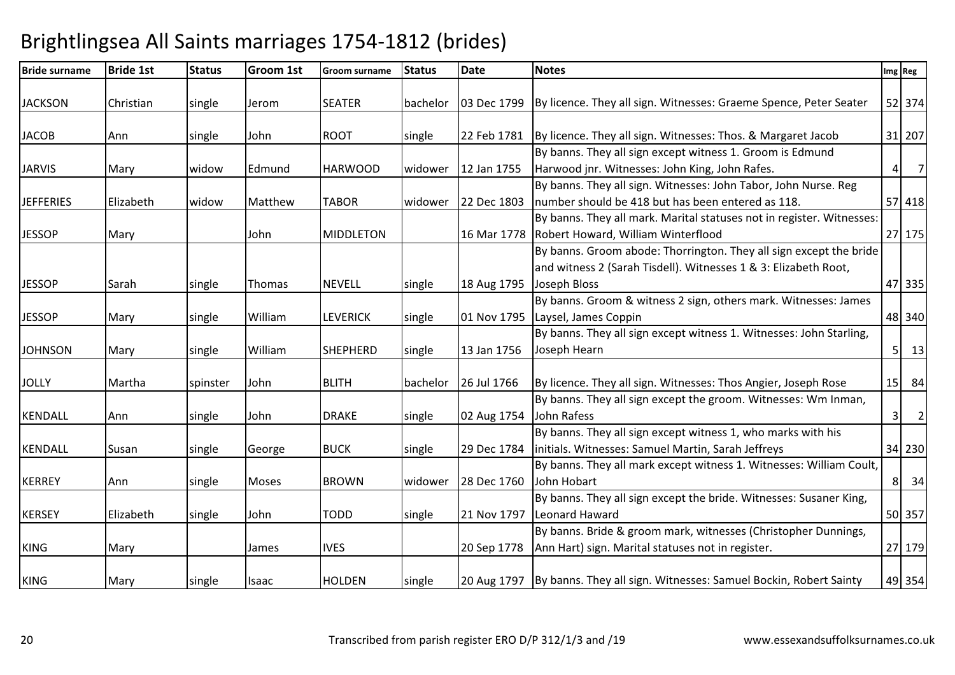| <b>Bride surname</b> | <b>Bride 1st</b> | <b>Status</b> | Groom 1st | <b>Groom surname</b> | <b>Status</b> | <b>Date</b> | <b>Notes</b>                                                                                                                                          |           | Img Reg        |
|----------------------|------------------|---------------|-----------|----------------------|---------------|-------------|-------------------------------------------------------------------------------------------------------------------------------------------------------|-----------|----------------|
| <b>JACKSON</b>       | Christian        | single        | Jerom     | <b>SEATER</b>        | bachelor      |             | 03 Dec 1799 By licence. They all sign. Witnesses: Graeme Spence, Peter Seater                                                                         |           | 52 374         |
| <b>JACOB</b>         | Ann              | single        | John      | <b>ROOT</b>          | single        | 22 Feb 1781 | By licence. They all sign. Witnesses: Thos. & Margaret Jacob                                                                                          |           | 31 207         |
| <b>JARVIS</b>        | Mary             | widow         | Edmund    | <b>HARWOOD</b>       | widower       | 12 Jan 1755 | By banns. They all sign except witness 1. Groom is Edmund<br>Harwood jnr. Witnesses: John King, John Rafes.                                           | $\vert$   | $\overline{7}$ |
| <b>JEFFERIES</b>     | Elizabeth        | widow         | Matthew   | <b>TABOR</b>         | widower       | 22 Dec 1803 | By banns. They all sign. Witnesses: John Tabor, John Nurse. Reg<br>number should be 418 but has been entered as 118.                                  |           | 57 418         |
| <b>JESSOP</b>        | Mary             |               | John      | <b>MIDDLETON</b>     |               |             | By banns. They all mark. Marital statuses not in register. Witnesses:<br>16 Mar 1778 Robert Howard, William Winterflood                               |           | 27 175         |
| <b>JESSOP</b>        | Sarah            | single        | Thomas    | <b>NEVELL</b>        | single        | 18 Aug 1795 | By banns. Groom abode: Thorrington. They all sign except the bride<br>and witness 2 (Sarah Tisdell). Witnesses 1 & 3: Elizabeth Root,<br>Joseph Bloss |           | 47 335         |
| <b>JESSOP</b>        | Mary             | single        | William   | <b>LEVERICK</b>      | single        | 01 Nov 1795 | By banns. Groom & witness 2 sign, others mark. Witnesses: James<br>Laysel, James Coppin                                                               |           | 48 340         |
| <b>JOHNSON</b>       | Mary             | single        | William   | <b>SHEPHERD</b>      | single        | 13 Jan 1756 | By banns. They all sign except witness 1. Witnesses: John Starling,<br>Joseph Hearn                                                                   |           | $5 \quad 13$   |
| <b>JOLLY</b>         | Martha           | spinster      | John      | <b>BLITH</b>         | bachelor      | 26 Jul 1766 | By licence. They all sign. Witnesses: Thos Angier, Joseph Rose                                                                                        |           | $15$ 84        |
| <b>KENDALL</b>       | Ann              | single        | John      | <b>DRAKE</b>         | single        | 02 Aug 1754 | By banns. They all sign except the groom. Witnesses: Wm Inman,<br>John Rafess                                                                         | $\vert$ 3 | $\overline{2}$ |
| KENDALL              | Susan            | single        | George    | <b>BUCK</b>          | single        | 29 Dec 1784 | By banns. They all sign except witness 1, who marks with his<br>initials. Witnesses: Samuel Martin, Sarah Jeffreys                                    |           | 34 230         |
| <b>KERREY</b>        | Ann              | single        | Moses     | <b>BROWN</b>         | widower       | 28 Dec 1760 | By banns. They all mark except witness 1. Witnesses: William Coult,<br>John Hobart                                                                    |           | 8 34           |
| <b>KERSEY</b>        | Elizabeth        | single        | John      | <b>TODD</b>          | single        | 21 Nov 1797 | By banns. They all sign except the bride. Witnesses: Susaner King,<br>Leonard Haward                                                                  |           | 50 357         |
| <b>KING</b>          | Mary             |               | James     | <b>IVES</b>          |               | 20 Sep 1778 | By banns. Bride & groom mark, witnesses (Christopher Dunnings,<br>Ann Hart) sign. Marital statuses not in register.                                   |           | 27 179         |
| <b>KING</b>          | Mary             | single        | Isaac     | <b>HOLDEN</b>        | single        |             | 20 Aug 1797 By banns. They all sign. Witnesses: Samuel Bockin, Robert Sainty                                                                          |           | 49 354         |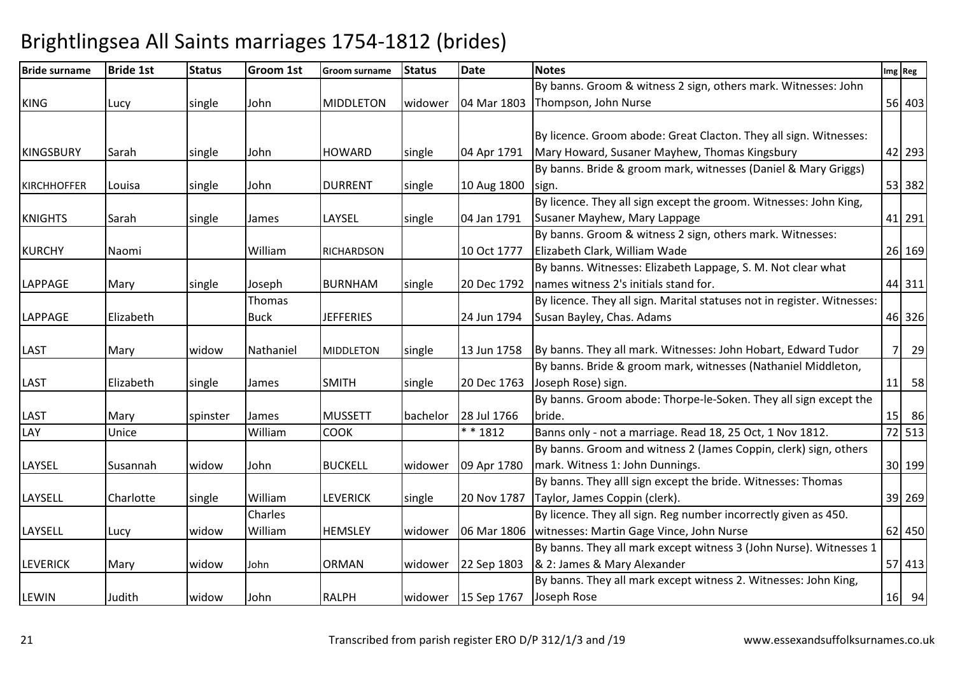| <b>Bride surname</b> | <b>Bride 1st</b> | <b>Status</b> | Groom 1st   | <b>Groom surname</b> | <b>Status</b> | <b>Date</b>            | <b>Notes</b>                                                            |                | Img Reg |
|----------------------|------------------|---------------|-------------|----------------------|---------------|------------------------|-------------------------------------------------------------------------|----------------|---------|
|                      |                  |               |             |                      |               |                        | By banns. Groom & witness 2 sign, others mark. Witnesses: John          |                |         |
| <b>KING</b>          | Lucy             | single        | John        | <b>MIDDLETON</b>     | widower       | 04 Mar 1803            | Thompson, John Nurse                                                    |                | 56 403  |
|                      |                  |               |             |                      |               |                        |                                                                         |                |         |
|                      |                  |               |             |                      |               |                        | By licence. Groom abode: Great Clacton. They all sign. Witnesses:       |                |         |
| <b>KINGSBURY</b>     | Sarah            | single        | John        | <b>HOWARD</b>        | single        | 04 Apr 1791            | Mary Howard, Susaner Mayhew, Thomas Kingsbury                           |                | 42 293  |
|                      |                  |               |             |                      |               |                        | By banns. Bride & groom mark, witnesses (Daniel & Mary Griggs)          |                |         |
| <b>KIRCHHOFFER</b>   | Louisa           | single        | John        | <b>DURRENT</b>       | single        | 10 Aug 1800            | sign.                                                                   |                | 53 382  |
|                      |                  |               |             |                      |               |                        | By licence. They all sign except the groom. Witnesses: John King,       |                |         |
| <b>KNIGHTS</b>       | Sarah            | single        | James       | LAYSEL               | single        | 04 Jan 1791            | Susaner Mayhew, Mary Lappage                                            |                | 41 291  |
|                      |                  |               |             |                      |               |                        | By banns. Groom & witness 2 sign, others mark. Witnesses:               |                |         |
| <b>KURCHY</b>        | Naomi            |               | William     | <b>RICHARDSON</b>    |               | 10 Oct 1777            | Elizabeth Clark, William Wade                                           |                | 26 169  |
|                      |                  |               |             |                      |               |                        | By banns. Witnesses: Elizabeth Lappage, S. M. Not clear what            |                |         |
| <b>LAPPAGE</b>       | Mary             | single        | Joseph      | BURNHAM              | single        | 20 Dec 1792            | names witness 2's initials stand for.                                   |                | 44 311  |
|                      |                  |               | Thomas      |                      |               |                        | By licence. They all sign. Marital statuses not in register. Witnesses: |                |         |
| <b>LAPPAGE</b>       | Elizabeth        |               | <b>Buck</b> | <b>JEFFERIES</b>     |               | 24 Jun 1794            | Susan Bayley, Chas. Adams                                               |                | 46 326  |
|                      |                  |               |             |                      |               |                        |                                                                         |                |         |
| <b>LAST</b>          | Mary             | widow         | Nathaniel   | <b>MIDDLETON</b>     | single        | 13 Jun 1758            | By banns. They all mark. Witnesses: John Hobart, Edward Tudor           | 7 <sup>1</sup> | 29      |
|                      |                  |               |             |                      |               |                        | By banns. Bride & groom mark, witnesses (Nathaniel Middleton,           |                |         |
| <b>LAST</b>          | Elizabeth        | single        | James       | <b>SMITH</b>         | single        | 20 Dec 1763            | Joseph Rose) sign.                                                      |                | $11$ 58 |
|                      |                  |               |             |                      |               |                        | By banns. Groom abode: Thorpe-le-Soken. They all sign except the        |                |         |
| <b>LAST</b>          | Mary             | spinster      | James       | <b>MUSSETT</b>       | bachelor      | 28 Jul 1766            | bride.                                                                  |                | 15 86   |
| LAY                  | Unice            |               | William     | <b>COOK</b>          |               | * * 1812               | Banns only - not a marriage. Read 18, 25 Oct, 1 Nov 1812.               |                | 72 513  |
|                      |                  |               |             |                      |               |                        | By banns. Groom and witness 2 (James Coppin, clerk) sign, others        |                |         |
| LAYSEL               | Susannah         | widow         | John        | <b>BUCKELL</b>       | widower       | 09 Apr 1780            | mark. Witness 1: John Dunnings.                                         |                | 30 199  |
|                      |                  |               |             |                      |               |                        | By banns. They alll sign except the bride. Witnesses: Thomas            |                |         |
| LAYSELL              | Charlotte        | single        | William     | <b>LEVERICK</b>      | single        | 20 Nov 1787            | Taylor, James Coppin (clerk).                                           |                | 39 269  |
|                      |                  |               | Charles     |                      |               |                        | By licence. They all sign. Reg number incorrectly given as 450.         |                |         |
| LAYSELL              | Lucy             | widow         | William     | <b>HEMSLEY</b>       | widower       | 06 Mar 1806            | witnesses: Martin Gage Vince, John Nurse                                |                | 62 450  |
|                      |                  |               |             |                      |               |                        | By banns. They all mark except witness 3 (John Nurse). Witnesses 1      |                |         |
| <b>LEVERICK</b>      | Mary             | widow         | John        | <b>ORMAN</b>         | widower       | 22 Sep 1803            | & 2: James & Mary Alexander                                             |                | 57 413  |
|                      |                  |               |             |                      |               |                        | By banns. They all mark except witness 2. Witnesses: John King,         |                |         |
| LEWIN                | Judith           | widow         | John        | <b>RALPH</b>         |               | widower $ 15$ Sep 1767 | Joseph Rose                                                             |                | $16$ 94 |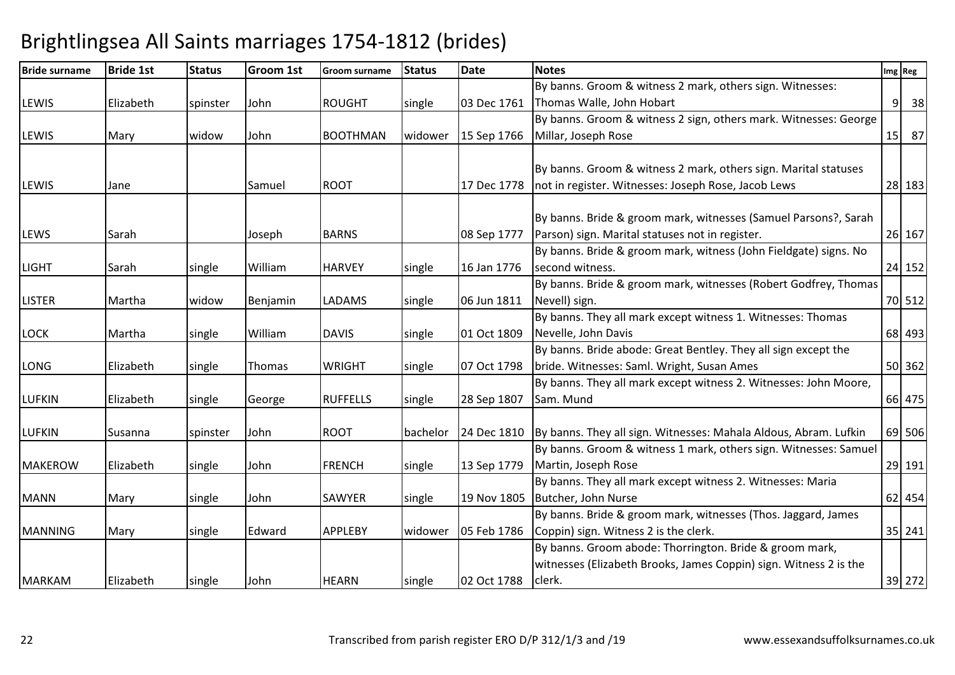| <b>Bride surname</b> | <b>Bride 1st</b> | <b>Status</b> | Groom 1st | <b>Groom surname</b> | <b>Status</b> | <b>Date</b> | <b>Notes</b>                                                      | Img Reg |
|----------------------|------------------|---------------|-----------|----------------------|---------------|-------------|-------------------------------------------------------------------|---------|
|                      |                  |               |           |                      |               |             | By banns. Groom & witness 2 mark, others sign. Witnesses:         |         |
| <b>LEWIS</b>         | Elizabeth        | spinster      | John      | <b>ROUGHT</b>        | single        | 03 Dec 1761 | Thomas Walle, John Hobart                                         | 9<br>38 |
|                      |                  |               |           |                      |               |             | By banns. Groom & witness 2 sign, others mark. Witnesses: George  |         |
| <b>LEWIS</b>         | Mary             | widow         | John      | <b>BOOTHMAN</b>      | widower       | 15 Sep 1766 | Millar, Joseph Rose                                               | 15 87   |
|                      |                  |               |           |                      |               |             |                                                                   |         |
|                      |                  |               |           |                      |               |             | By banns. Groom & witness 2 mark, others sign. Marital statuses   |         |
| <b>LEWIS</b>         | Jane             |               | Samuel    | <b>ROOT</b>          |               | 17 Dec 1778 | not in register. Witnesses: Joseph Rose, Jacob Lews               | 28 183  |
|                      |                  |               |           |                      |               |             |                                                                   |         |
|                      |                  |               |           |                      |               |             | By banns. Bride & groom mark, witnesses (Samuel Parsons?, Sarah   |         |
| <b>LEWS</b>          | Sarah            |               | Joseph    | <b>BARNS</b>         |               | 08 Sep 1777 | Parson) sign. Marital statuses not in register.                   | 26 167  |
|                      |                  |               |           |                      |               |             | By banns. Bride & groom mark, witness (John Fieldgate) signs. No  |         |
| <b>LIGHT</b>         | Sarah            | single        | William   | <b>HARVEY</b>        | single        | 16 Jan 1776 | second witness.                                                   | 24 152  |
|                      |                  |               |           |                      |               |             | By banns. Bride & groom mark, witnesses (Robert Godfrey, Thomas   |         |
| <b>LISTER</b>        | Martha           | widow         | Benjamin  | <b>LADAMS</b>        | single        | 06 Jun 1811 | Nevell) sign.                                                     | 70 512  |
|                      |                  |               |           |                      |               |             | By banns. They all mark except witness 1. Witnesses: Thomas       |         |
| <b>LOCK</b>          | Martha           | single        | William   | <b>DAVIS</b>         | single        | 01 Oct 1809 | Nevelle, John Davis                                               | 68 493  |
|                      |                  |               |           |                      |               |             | By banns. Bride abode: Great Bentley. They all sign except the    |         |
| LONG                 | Elizabeth        | single        | Thomas    | <b>WRIGHT</b>        | single        | 07 Oct 1798 | bride. Witnesses: Saml. Wright, Susan Ames                        | 50 362  |
|                      |                  |               |           |                      |               |             | By banns. They all mark except witness 2. Witnesses: John Moore,  |         |
| <b>LUFKIN</b>        | Elizabeth        | single        | George    | <b>RUFFELLS</b>      | single        | 28 Sep 1807 | Sam. Mund                                                         | 66 475  |
| <b>LUFKIN</b>        | Susanna          | spinster      | John      | <b>ROOT</b>          | bachelor      | 24 Dec 1810 | By banns. They all sign. Witnesses: Mahala Aldous, Abram. Lufkin  | 69 506  |
|                      |                  |               |           |                      |               |             | By banns. Groom & witness 1 mark, others sign. Witnesses: Samuel  |         |
| <b>MAKEROW</b>       | Elizabeth        | single        | John      | <b>FRENCH</b>        | single        | 13 Sep 1779 | Martin, Joseph Rose                                               | 29 191  |
|                      |                  |               |           |                      |               |             | By banns. They all mark except witness 2. Witnesses: Maria        |         |
| <b>MANN</b>          | Mary             | single        | John      | <b>SAWYER</b>        | single        | 19 Nov 1805 | Butcher, John Nurse                                               | 62 454  |
|                      |                  |               |           |                      |               |             | By banns. Bride & groom mark, witnesses (Thos. Jaggard, James     |         |
| <b>MANNING</b>       | Mary             | single        | Edward    | <b>APPLEBY</b>       | widower       | 05 Feb 1786 | Coppin) sign. Witness 2 is the clerk.                             | 35 241  |
|                      |                  |               |           |                      |               |             | By banns. Groom abode: Thorrington. Bride & groom mark,           |         |
|                      |                  |               |           |                      |               |             | witnesses (Elizabeth Brooks, James Coppin) sign. Witness 2 is the |         |
| <b>MARKAM</b>        | Elizabeth        | single        | John      | <b>HEARN</b>         | single        | 02 Oct 1788 | clerk.                                                            | 39 272  |
|                      |                  |               |           |                      |               |             |                                                                   |         |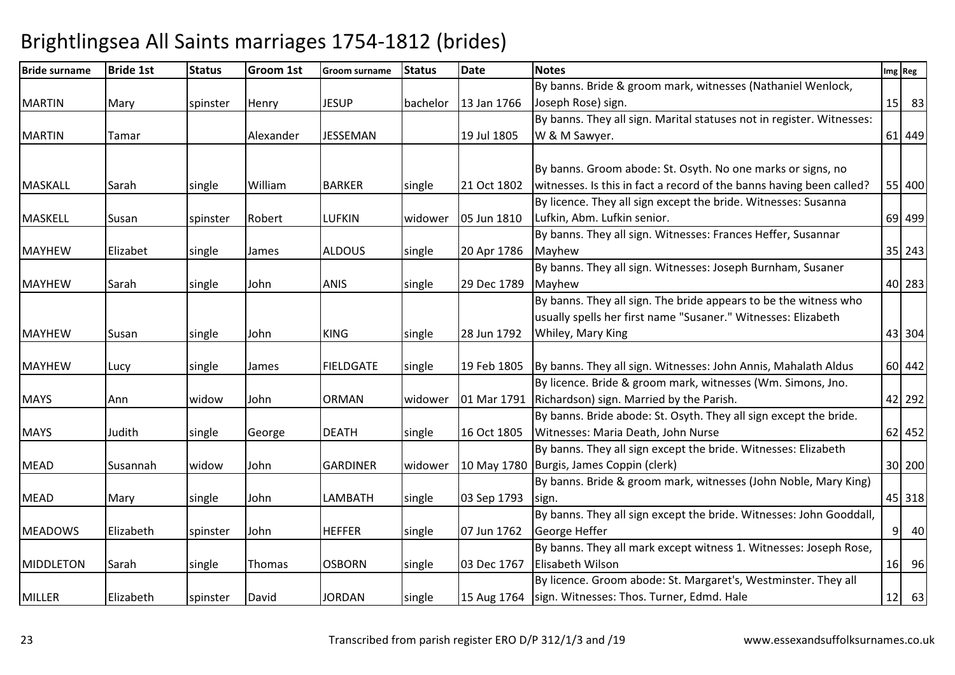| <b>Bride surname</b> | <b>Bride 1st</b> | <b>Status</b> | <b>Groom 1st</b> | <b>Groom surname</b> | <b>Status</b> | <b>Date</b> | <b>Notes</b>                                                          |   | Img Reg |
|----------------------|------------------|---------------|------------------|----------------------|---------------|-------------|-----------------------------------------------------------------------|---|---------|
|                      |                  |               |                  |                      |               |             | By banns. Bride & groom mark, witnesses (Nathaniel Wenlock,           |   |         |
| <b>MARTIN</b>        | Mary             | spinster      | Henry            | <b>JESUP</b>         | bachelor      | 13 Jan 1766 | Joseph Rose) sign.                                                    |   | 15 83   |
|                      |                  |               |                  |                      |               |             | By banns. They all sign. Marital statuses not in register. Witnesses: |   |         |
| <b>MARTIN</b>        | Tamar            |               | Alexander        | <b>JESSEMAN</b>      |               | 19 Jul 1805 | W & M Sawyer.                                                         |   | 61 449  |
|                      |                  |               |                  |                      |               |             |                                                                       |   |         |
|                      |                  |               |                  |                      |               |             | By banns. Groom abode: St. Osyth. No one marks or signs, no           |   |         |
| <b>MASKALL</b>       | Sarah            | single        | William          | <b>BARKER</b>        | single        | 21 Oct 1802 | witnesses. Is this in fact a record of the banns having been called?  |   | 55 400  |
|                      |                  |               |                  |                      |               |             | By licence. They all sign except the bride. Witnesses: Susanna        |   |         |
| <b>MASKELL</b>       | Susan            | spinster      | Robert           | <b>LUFKIN</b>        | widower       | 05 Jun 1810 | Lufkin, Abm. Lufkin senior.                                           |   | 69 499  |
|                      |                  |               |                  |                      |               |             | By banns. They all sign. Witnesses: Frances Heffer, Susannar          |   |         |
| <b>MAYHEW</b>        | Elizabet         | single        | James            | <b>ALDOUS</b>        | single        | 20 Apr 1786 | Mayhew                                                                |   | 35 243  |
|                      |                  |               |                  |                      |               |             | By banns. They all sign. Witnesses: Joseph Burnham, Susaner           |   |         |
| <b>MAYHEW</b>        | Sarah            | single        | John             | <b>ANIS</b>          | single        | 29 Dec 1789 | Mayhew                                                                |   | 40 283  |
|                      |                  |               |                  |                      |               |             | By banns. They all sign. The bride appears to be the witness who      |   |         |
|                      |                  |               |                  |                      |               |             | usually spells her first name "Susaner." Witnesses: Elizabeth         |   |         |
| <b>MAYHEW</b>        | Susan            | single        | John             | <b>KING</b>          | single        | 28 Jun 1792 | Whiley, Mary King                                                     |   | 43 304  |
| <b>MAYHEW</b>        | Lucy             | single        | James            | <b>FIELDGATE</b>     | single        | 19 Feb 1805 | By banns. They all sign. Witnesses: John Annis, Mahalath Aldus        |   | 60 442  |
|                      |                  |               |                  |                      |               |             | By licence. Bride & groom mark, witnesses (Wm. Simons, Jno.           |   |         |
| <b>MAYS</b>          | Ann              | widow         | John             | <b>ORMAN</b>         | widower       | 01 Mar 1791 | Richardson) sign. Married by the Parish.                              |   | 42 292  |
|                      |                  |               |                  |                      |               |             | By banns. Bride abode: St. Osyth. They all sign except the bride.     |   |         |
| <b>MAYS</b>          | Judith           | single        | George           | <b>DEATH</b>         | single        | 16 Oct 1805 | Witnesses: Maria Death, John Nurse                                    |   | 62 452  |
|                      |                  |               |                  |                      |               |             | By banns. They all sign except the bride. Witnesses: Elizabeth        |   |         |
| <b>MEAD</b>          | Susannah         | widow         | John             | <b>GARDINER</b>      | widower       |             | 10 May 1780   Burgis, James Coppin (clerk)                            |   | 30 200  |
|                      |                  |               |                  |                      |               |             | By banns. Bride & groom mark, witnesses (John Noble, Mary King)       |   |         |
| <b>MEAD</b>          | Mary             | single        | John             | LAMBATH              | single        | 03 Sep 1793 | sign.                                                                 |   | 45 318  |
|                      |                  |               |                  |                      |               |             | By banns. They all sign except the bride. Witnesses: John Gooddall,   |   |         |
| <b>MEADOWS</b>       | Elizabeth        | spinster      | John             | <b>HEFFER</b>        | single        | 07 Jun 1762 | George Heffer                                                         | 9 | 40      |
|                      |                  |               |                  |                      |               |             | By banns. They all mark except witness 1. Witnesses: Joseph Rose,     |   |         |
| <b>MIDDLETON</b>     | Sarah            | single        | Thomas           | <b>OSBORN</b>        | single        | 03 Dec 1767 | Elisabeth Wilson                                                      |   | 16 96   |
|                      |                  |               |                  |                      |               |             | By licence. Groom abode: St. Margaret's, Westminster. They all        |   |         |
| <b>MILLER</b>        | Elizabeth        | spinster      | David            | <b>JORDAN</b>        | single        |             | 15 Aug 1764   sign. Witnesses: Thos. Turner, Edmd. Hale               |   | $12$ 63 |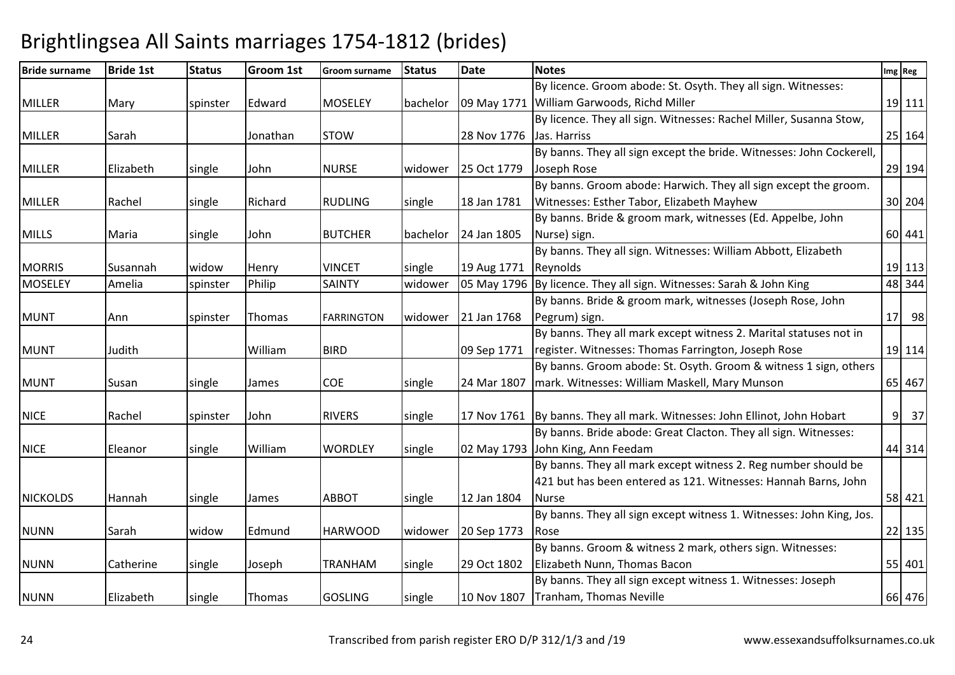| <b>Bride surname</b> | <b>Bride 1st</b> | <b>Status</b> | <b>Groom 1st</b> | <b>Groom surname</b> | <b>Status</b> | <b>Date</b> | <b>Notes</b>                                                                | Img Reg              |
|----------------------|------------------|---------------|------------------|----------------------|---------------|-------------|-----------------------------------------------------------------------------|----------------------|
|                      |                  |               |                  |                      |               |             | By licence. Groom abode: St. Osyth. They all sign. Witnesses:               |                      |
| <b>MILLER</b>        | Mary             | spinster      | Edward           | <b>MOSELEY</b>       | bachelor      |             | 09 May 1771 William Garwoods, Richd Miller                                  | 19 111               |
|                      |                  |               |                  |                      |               |             | By licence. They all sign. Witnesses: Rachel Miller, Susanna Stow,          |                      |
| <b>MILLER</b>        | Sarah            |               | Jonathan         | <b>STOW</b>          |               | 28 Nov 1776 | Jas. Harriss                                                                | 25 164               |
|                      |                  |               |                  |                      |               |             | By banns. They all sign except the bride. Witnesses: John Cockerell,        |                      |
| <b>MILLER</b>        | Elizabeth        | single        | John             | <b>NURSE</b>         | widower       | 25 Oct 1779 | Joseph Rose                                                                 | 29 194               |
|                      |                  |               |                  |                      |               |             | By banns. Groom abode: Harwich. They all sign except the groom.             |                      |
| <b>MILLER</b>        | Rachel           | single        | Richard          | <b>RUDLING</b>       | single        | 18 Jan 1781 | Witnesses: Esther Tabor, Elizabeth Mayhew                                   | 30 204               |
|                      |                  |               |                  |                      |               |             | By banns. Bride & groom mark, witnesses (Ed. Appelbe, John                  |                      |
| <b>MILLS</b>         | Maria            | single        | John             | <b>BUTCHER</b>       | bachelor      | 24 Jan 1805 | Nurse) sign.                                                                | 60 441               |
|                      |                  |               |                  |                      |               |             | By banns. They all sign. Witnesses: William Abbott, Elizabeth               |                      |
| <b>MORRIS</b>        | Susannah         | widow         | Henry            | <b>VINCET</b>        | single        | 19 Aug 1771 | Reynolds                                                                    | 19 113               |
| <b>MOSELEY</b>       | Amelia           | spinster      | Philip           | <b>SAINTY</b>        | widower       |             | 05 May 1796 By licence. They all sign. Witnesses: Sarah & John King         | 48 344               |
|                      |                  |               |                  |                      |               |             | By banns. Bride & groom mark, witnesses (Joseph Rose, John                  |                      |
| <b>MUNT</b>          | Ann              | spinster      | Thomas           | <b>FARRINGTON</b>    | widower       | 21 Jan 1768 | Pegrum) sign.                                                               | $17$ 98              |
|                      |                  |               |                  |                      |               |             | By banns. They all mark except witness 2. Marital statuses not in           |                      |
| <b>MUNT</b>          | Judith           |               | William          | <b>BIRD</b>          |               | 09 Sep 1771 | register. Witnesses: Thomas Farrington, Joseph Rose                         | 19 114               |
|                      |                  |               |                  |                      |               |             | By banns. Groom abode: St. Osyth. Groom & witness 1 sign, others            |                      |
| <b>MUNT</b>          | Susan            | single        | James            | <b>COE</b>           | single        | 24 Mar 1807 | mark. Witnesses: William Maskell, Mary Munson                               | 65 467               |
|                      |                  |               |                  |                      |               |             |                                                                             |                      |
| <b>NICE</b>          | Rachel           | spinster      | John             | <b>RIVERS</b>        | single        |             | 17 Nov 1761   By banns. They all mark. Witnesses: John Ellinot, John Hobart | 9 <sup>1</sup><br>37 |
|                      |                  |               |                  |                      |               |             | By banns. Bride abode: Great Clacton. They all sign. Witnesses:             |                      |
| <b>NICE</b>          | Eleanor          | single        | William          | <b>WORDLEY</b>       | single        | 02 May 1793 | John King, Ann Feedam                                                       | 44 314               |
|                      |                  |               |                  |                      |               |             | By banns. They all mark except witness 2. Reg number should be              |                      |
|                      |                  |               |                  |                      |               |             | 421 but has been entered as 121. Witnesses: Hannah Barns, John              |                      |
| <b>NICKOLDS</b>      | Hannah           | single        | James            | <b>ABBOT</b>         | single        | 12 Jan 1804 | <b>Nurse</b>                                                                | 58 421               |
|                      |                  |               |                  |                      |               |             | By banns. They all sign except witness 1. Witnesses: John King, Jos.        |                      |
| <b>NUNN</b>          | Sarah            | widow         | Edmund           | <b>HARWOOD</b>       | widower       | 20 Sep 1773 | Rose                                                                        | $22$ 135             |
|                      |                  |               |                  |                      |               |             | By banns. Groom & witness 2 mark, others sign. Witnesses:                   |                      |
| <b>NUNN</b>          | Catherine        | single        | Joseph           | <b>TRANHAM</b>       | single        | 29 Oct 1802 | Elizabeth Nunn, Thomas Bacon                                                | 55 401               |
|                      |                  |               |                  |                      |               |             | By banns. They all sign except witness 1. Witnesses: Joseph                 |                      |
| <b>NUNN</b>          | Elizabeth        | single        | Thomas           | <b>GOSLING</b>       | single        |             | 10 Nov 1807 Tranham, Thomas Neville                                         | 66 476               |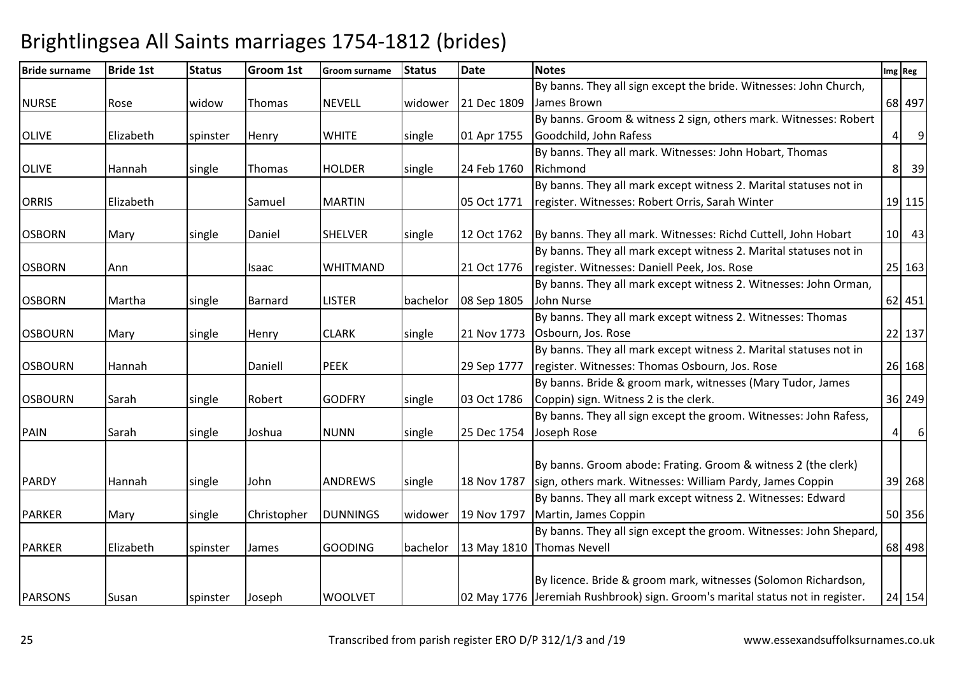| <b>Bride surname</b> | <b>Bride 1st</b> | <b>Status</b> | <b>Groom 1st</b> | Groom surname   | <b>Status</b> | <b>Date</b> | <b>Notes</b>                                                                  |                | Img Reg        |
|----------------------|------------------|---------------|------------------|-----------------|---------------|-------------|-------------------------------------------------------------------------------|----------------|----------------|
|                      |                  |               |                  |                 |               |             | By banns. They all sign except the bride. Witnesses: John Church,             |                |                |
| <b>NURSE</b>         | Rose             | widow         | Thomas           | <b>NEVELL</b>   | widower       | 21 Dec 1809 | James Brown                                                                   |                | 68 497         |
|                      |                  |               |                  |                 |               |             | By banns. Groom & witness 2 sign, others mark. Witnesses: Robert              |                |                |
| <b>OLIVE</b>         | Elizabeth        | spinster      | Henry            | <b>WHITE</b>    | single        | 01 Apr 1755 | Goodchild, John Rafess                                                        | $\vert$        | $\overline{9}$ |
|                      |                  |               |                  |                 |               |             | By banns. They all mark. Witnesses: John Hobart, Thomas                       |                |                |
| <b>OLIVE</b>         | Hannah           | single        | Thomas           | <b>HOLDER</b>   | single        | 24 Feb 1760 | Richmond                                                                      | 8 <sup>1</sup> | 39             |
|                      |                  |               |                  |                 |               |             | By banns. They all mark except witness 2. Marital statuses not in             |                |                |
| <b>ORRIS</b>         | Elizabeth        |               | Samuel           | <b>MARTIN</b>   |               | 05 Oct 1771 | register. Witnesses: Robert Orris, Sarah Winter                               |                | 19 115         |
| <b>OSBORN</b>        | Mary             | single        | Daniel           | <b>SHELVER</b>  | single        | 12 Oct 1762 | By banns. They all mark. Witnesses: Richd Cuttell, John Hobart                |                | $10$ 43        |
|                      |                  |               |                  |                 |               |             | By banns. They all mark except witness 2. Marital statuses not in             |                |                |
| <b>OSBORN</b>        | Ann              |               | Isaac            | <b>WHITMAND</b> |               | 21 Oct 1776 | register. Witnesses: Daniell Peek, Jos. Rose                                  |                | 25 163         |
|                      |                  |               |                  |                 |               |             | By banns. They all mark except witness 2. Witnesses: John Orman,              |                |                |
| <b>OSBORN</b>        | Martha           | single        | Barnard          | <b>LISTER</b>   | bachelor      | 08 Sep 1805 | John Nurse                                                                    |                | 62 451         |
|                      |                  |               |                  |                 |               |             | By banns. They all mark except witness 2. Witnesses: Thomas                   |                |                |
| <b>OSBOURN</b>       | Mary             | single        | Henry            | <b>CLARK</b>    | single        | 21 Nov 1773 | Osbourn, Jos. Rose                                                            |                | 22 137         |
|                      |                  |               |                  |                 |               |             | By banns. They all mark except witness 2. Marital statuses not in             |                |                |
| <b>OSBOURN</b>       | Hannah           |               | Daniell          | <b>PEEK</b>     |               | 29 Sep 1777 | register. Witnesses: Thomas Osbourn, Jos. Rose                                |                | 26 168         |
|                      |                  |               |                  |                 |               |             | By banns. Bride & groom mark, witnesses (Mary Tudor, James                    |                |                |
| <b>OSBOURN</b>       | Sarah            | single        | Robert           | <b>GODFRY</b>   | single        | 03 Oct 1786 | Coppin) sign. Witness 2 is the clerk.                                         |                | 36 249         |
|                      |                  |               |                  |                 |               |             | By banns. They all sign except the groom. Witnesses: John Rafess,             |                |                |
| <b>PAIN</b>          | Sarah            | single        | Joshua           | <b>NUNN</b>     | single        | 25 Dec 1754 | Joseph Rose                                                                   | $\vert$        | $6 \mid$       |
|                      |                  |               |                  |                 |               |             | By banns. Groom abode: Frating. Groom & witness 2 (the clerk)                 |                |                |
| <b>PARDY</b>         | Hannah           | single        | John             | <b>ANDREWS</b>  | single        | 18 Nov 1787 | sign, others mark. Witnesses: William Pardy, James Coppin                     |                | 39 268         |
|                      |                  |               |                  |                 |               |             | By banns. They all mark except witness 2. Witnesses: Edward                   |                |                |
| <b>PARKER</b>        | Mary             | single        | Christopher      | <b>DUNNINGS</b> | widower       | 19 Nov 1797 | Martin, James Coppin                                                          |                | 50 356         |
|                      |                  |               |                  |                 |               |             | By banns. They all sign except the groom. Witnesses: John Shepard,            |                |                |
| <b>PARKER</b>        | Elizabeth        | spinster      | James            | <b>GOODING</b>  | bachelor      |             | 13 May 1810 Thomas Nevell                                                     |                | 68 498         |
|                      |                  |               |                  |                 |               |             |                                                                               |                |                |
|                      |                  |               |                  |                 |               |             | By licence. Bride & groom mark, witnesses (Solomon Richardson,                |                |                |
| <b>PARSONS</b>       | Susan            | spinster      | Joseph           | <b>WOOLVET</b>  |               |             | 02 May 1776 Jeremiah Rushbrook) sign. Groom's marital status not in register. |                | 24 154         |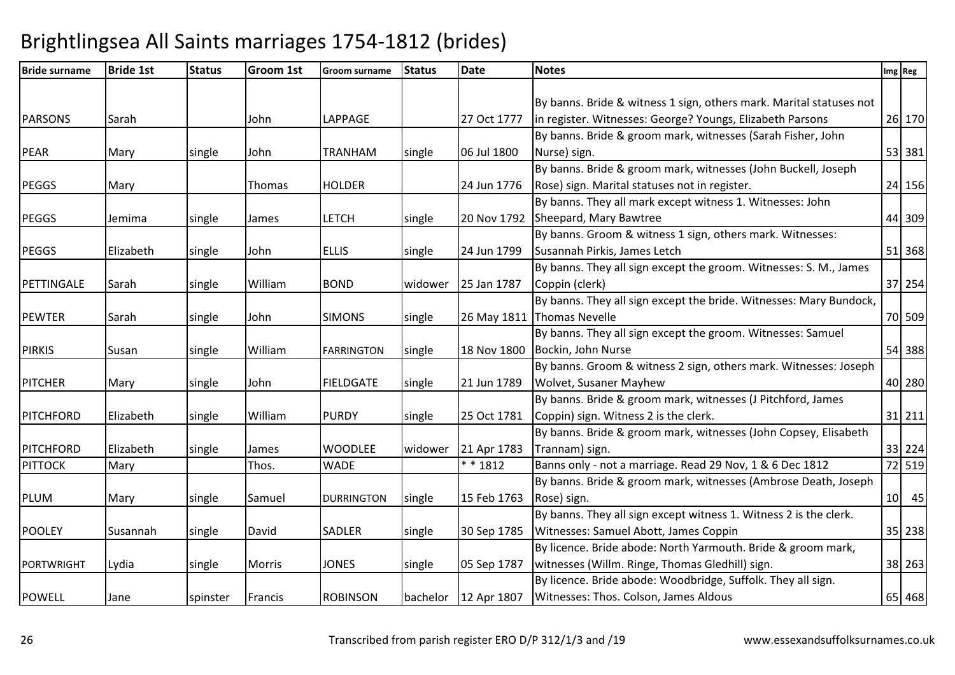| <b>Bride surname</b> | <b>Bride 1st</b> | <b>Status</b> | Groom 1st | <b>Groom surname</b> | <b>Status</b> | <b>Date</b> | <b>Notes</b>                                                        | Img Reg |        |
|----------------------|------------------|---------------|-----------|----------------------|---------------|-------------|---------------------------------------------------------------------|---------|--------|
|                      |                  |               |           |                      |               |             |                                                                     |         |        |
|                      |                  |               |           |                      |               |             | By banns. Bride & witness 1 sign, others mark. Marital statuses not |         |        |
| <b>PARSONS</b>       | Sarah            |               | John      | LAPPAGE              |               | 27 Oct 1777 | in register. Witnesses: George? Youngs, Elizabeth Parsons           |         | 26 170 |
|                      |                  |               |           |                      |               |             | By banns. Bride & groom mark, witnesses (Sarah Fisher, John         |         |        |
| <b>PEAR</b>          | Mary             | single        | John      | <b>TRANHAM</b>       | single        | 06 Jul 1800 | Nurse) sign.                                                        |         | 53 381 |
|                      |                  |               |           |                      |               |             | By banns. Bride & groom mark, witnesses (John Buckell, Joseph       |         |        |
| <b>PEGGS</b>         | Mary             |               | Thomas    | <b>HOLDER</b>        |               | 24 Jun 1776 | Rose) sign. Marital statuses not in register.                       |         | 24 156 |
|                      |                  |               |           |                      |               |             | By banns. They all mark except witness 1. Witnesses: John           |         |        |
| <b>PEGGS</b>         | Jemima           | single        | James     | <b>LETCH</b>         | single        | 20 Nov 1792 | Sheepard, Mary Bawtree                                              |         | 44 309 |
|                      |                  |               |           |                      |               |             | By banns. Groom & witness 1 sign, others mark. Witnesses:           |         |        |
| <b>PEGGS</b>         | Elizabeth        | single        | John      | <b>ELLIS</b>         | single        | 24 Jun 1799 | Susannah Pirkis, James Letch                                        |         | 51 368 |
|                      |                  |               |           |                      |               |             | By banns. They all sign except the groom. Witnesses: S. M., James   |         |        |
| PETTINGALE           | Sarah            | single        | William   | <b>BOND</b>          | widower       | 25 Jan 1787 | Coppin (clerk)                                                      |         | 37 254 |
|                      |                  |               |           |                      |               |             | By banns. They all sign except the bride. Witnesses: Mary Bundock,  |         |        |
| <b>PEWTER</b>        | Sarah            | single        | John      | <b>SIMONS</b>        | single        | 26 May 1811 | <b>Thomas Nevelle</b>                                               |         | 70 509 |
|                      |                  |               |           |                      |               |             | By banns. They all sign except the groom. Witnesses: Samuel         |         |        |
| <b>PIRKIS</b>        | Susan            | single        | William   | <b>FARRINGTON</b>    | single        | 18 Nov 1800 | Bockin, John Nurse                                                  |         | 54 388 |
|                      |                  |               |           |                      |               |             | By banns. Groom & witness 2 sign, others mark. Witnesses: Joseph    |         |        |
| <b>PITCHER</b>       | Mary             | single        | John      | <b>FIELDGATE</b>     | single        | 21 Jun 1789 | Wolvet, Susaner Mayhew                                              |         | 40 280 |
|                      |                  |               |           |                      |               |             | By banns. Bride & groom mark, witnesses (J Pitchford, James         |         |        |
| <b>PITCHFORD</b>     | Elizabeth        | single        | William   | <b>PURDY</b>         | single        | 25 Oct 1781 | Coppin) sign. Witness 2 is the clerk.                               |         | 31 211 |
|                      |                  |               |           |                      |               |             | By banns. Bride & groom mark, witnesses (John Copsey, Elisabeth     |         |        |
| <b>PITCHFORD</b>     | Elizabeth        | single        | James     | <b>WOODLEE</b>       | widower       | 21 Apr 1783 | Trannam) sign.                                                      |         | 33 224 |
| <b>PITTOCK</b>       | Mary             |               | Thos.     | <b>WADE</b>          |               | $* * 1812$  | Banns only - not a marriage. Read 29 Nov, 1 & 6 Dec 1812            |         | 72 519 |
|                      |                  |               |           |                      |               |             | By banns. Bride & groom mark, witnesses (Ambrose Death, Joseph      |         |        |
| PLUM                 | Mary             | single        | Samuel    | <b>DURRINGTON</b>    | single        | 15 Feb 1763 | Rose) sign.                                                         |         | 10 45  |
|                      |                  |               |           |                      |               |             | By banns. They all sign except witness 1. Witness 2 is the clerk.   |         |        |
| <b>POOLEY</b>        | Susannah         | single        | David     | SADLER               | single        | 30 Sep 1785 | Witnesses: Samuel Abott, James Coppin                               |         | 35 238 |
|                      |                  |               |           |                      |               |             | By licence. Bride abode: North Yarmouth. Bride & groom mark,        |         |        |
| <b>PORTWRIGHT</b>    | Lydia            | single        | Morris    | <b>JONES</b>         | single        | 05 Sep 1787 | witnesses (Willm. Ringe, Thomas Gledhill) sign.                     |         | 38 263 |
|                      |                  |               |           |                      |               |             | By licence. Bride abode: Woodbridge, Suffolk. They all sign.        |         |        |
| <b>POWELL</b>        | Jane             | spinster      | Francis   | <b>ROBINSON</b>      | bachelor      | 12 Apr 1807 | Witnesses: Thos. Colson, James Aldous                               |         | 65 468 |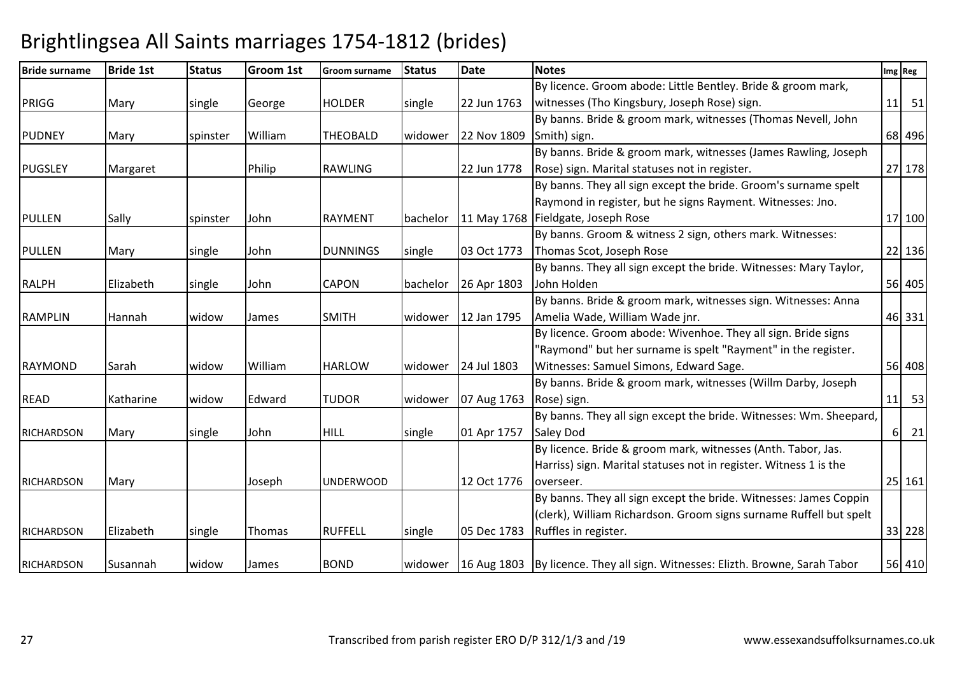| <b>Bride surname</b> | <b>Bride 1st</b> | <b>Status</b> | <b>Groom 1st</b> | <b>Groom surname</b> | <b>Status</b> | <b>Date</b> | <b>Notes</b>                                                                              | Img Reg |          |        |
|----------------------|------------------|---------------|------------------|----------------------|---------------|-------------|-------------------------------------------------------------------------------------------|---------|----------|--------|
|                      |                  |               |                  |                      |               |             | By licence. Groom abode: Little Bentley. Bride & groom mark,                              |         |          |        |
| PRIGG                | Mary             | single        | George           | <b>HOLDER</b>        | single        | 22 Jun 1763 | witnesses (Tho Kingsbury, Joseph Rose) sign.                                              | 11      |          | 51     |
|                      |                  |               |                  |                      |               |             | By banns. Bride & groom mark, witnesses (Thomas Nevell, John                              |         |          |        |
| <b>PUDNEY</b>        | Mary             | spinster      | William          | <b>THEOBALD</b>      | widower       | 22 Nov 1809 | Smith) sign.                                                                              |         |          | 68 496 |
|                      |                  |               |                  |                      |               |             | By banns. Bride & groom mark, witnesses (James Rawling, Joseph                            |         |          |        |
| <b>PUGSLEY</b>       | Margaret         |               | Philip           | <b>RAWLING</b>       |               | 22 Jun 1778 | Rose) sign. Marital statuses not in register.                                             |         |          | 27 178 |
|                      |                  |               |                  |                      |               |             | By banns. They all sign except the bride. Groom's surname spelt                           |         |          |        |
|                      |                  |               |                  |                      |               |             | Raymond in register, but he signs Rayment. Witnesses: Jno.                                |         |          |        |
| <b>PULLEN</b>        | Sally            | spinster      | John             | <b>RAYMENT</b>       | bachelor      |             | 11 May 1768 Fieldgate, Joseph Rose                                                        |         |          | 17 100 |
|                      |                  |               |                  |                      |               |             | By banns. Groom & witness 2 sign, others mark. Witnesses:                                 |         |          |        |
| <b>PULLEN</b>        | Mary             | single        | John             | <b>DUNNINGS</b>      | single        | 03 Oct 1773 | Thomas Scot, Joseph Rose                                                                  |         |          | 22 136 |
|                      |                  |               |                  |                      |               |             | By banns. They all sign except the bride. Witnesses: Mary Taylor,                         |         |          |        |
| <b>RALPH</b>         | Elizabeth        | single        | John             | <b>CAPON</b>         | bachelor      | 26 Apr 1803 | John Holden                                                                               |         |          | 56 405 |
|                      |                  |               |                  |                      |               |             | By banns. Bride & groom mark, witnesses sign. Witnesses: Anna                             |         |          |        |
| <b>RAMPLIN</b>       | Hannah           | widow         | James            | <b>SMITH</b>         | widower       | 12 Jan 1795 | Amelia Wade, William Wade jnr.                                                            |         |          | 46 331 |
|                      |                  |               |                  |                      |               |             | By licence. Groom abode: Wivenhoe. They all sign. Bride signs                             |         |          |        |
|                      |                  |               |                  |                      |               |             | 'Raymond" but her surname is spelt "Rayment" in the register.                             |         |          |        |
| RAYMOND              | Sarah            | widow         | William          | <b>HARLOW</b>        | widower       | 24 Jul 1803 | Witnesses: Samuel Simons, Edward Sage.                                                    |         |          | 56 408 |
|                      |                  |               |                  |                      |               |             | By banns. Bride & groom mark, witnesses (Willm Darby, Joseph                              |         |          |        |
| <b>READ</b>          | Katharine        | widow         | Edward           | <b>TUDOR</b>         | widower       | 07 Aug 1763 | Rose) sign.                                                                               | 11      |          | 53     |
|                      |                  |               |                  |                      |               |             | By banns. They all sign except the bride. Witnesses: Wm. Sheepard,                        |         |          |        |
| <b>RICHARDSON</b>    | Mary             | single        | John             | <b>HILL</b>          | single        | 01 Apr 1757 | <b>Saley Dod</b>                                                                          |         | $6 \mid$ | 21     |
|                      |                  |               |                  |                      |               |             | By licence. Bride & groom mark, witnesses (Anth. Tabor, Jas.                              |         |          |        |
|                      |                  |               |                  |                      |               |             | Harriss) sign. Marital statuses not in register. Witness 1 is the                         |         |          |        |
| <b>RICHARDSON</b>    | Mary             |               | Joseph           | <b>UNDERWOOD</b>     |               | 12 Oct 1776 | overseer.                                                                                 |         |          | 25 161 |
|                      |                  |               |                  |                      |               |             | By banns. They all sign except the bride. Witnesses: James Coppin                         |         |          |        |
|                      |                  |               |                  |                      |               |             | (clerk), William Richardson. Groom signs surname Ruffell but spelt                        |         |          |        |
| <b>RICHARDSON</b>    | Elizabeth        | single        | Thomas           | <b>RUFFELL</b>       | single        | 05 Dec 1783 | Ruffles in register.                                                                      |         |          | 33 228 |
|                      |                  |               |                  |                      |               |             |                                                                                           |         |          |        |
| <b>RICHARDSON</b>    | Susannah         | widow         | James            | <b>BOND</b>          |               |             | widower   16 Aug 1803   By licence. They all sign. Witnesses: Elizth. Browne, Sarah Tabor |         |          | 56 410 |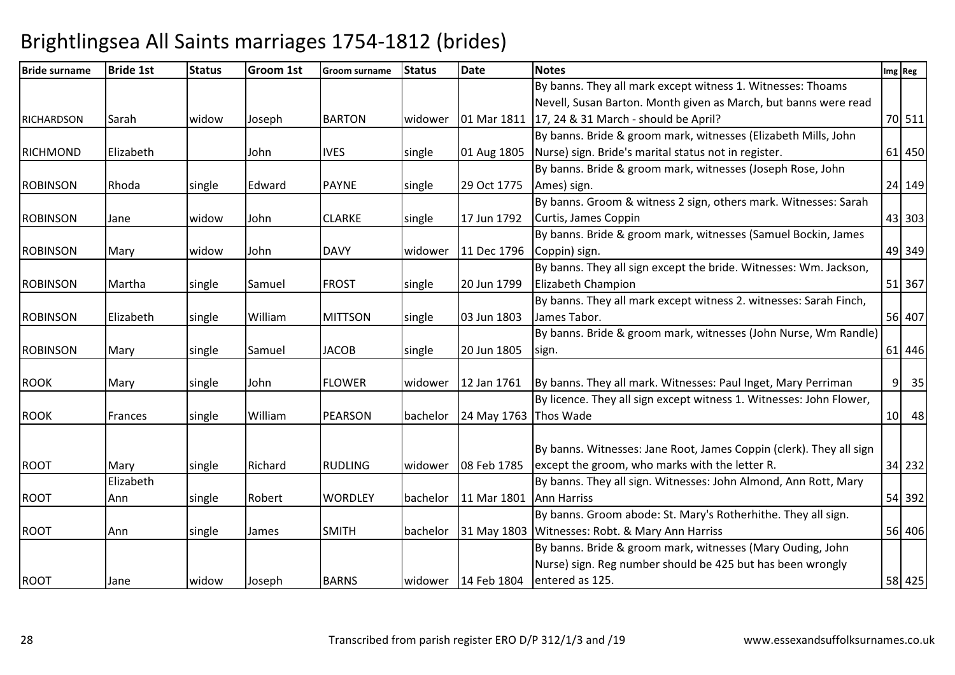| <b>Bride surname</b> | <b>Bride 1st</b> | <b>Status</b> | <b>Groom 1st</b> | <b>Groom surname</b> | <b>Status</b> | <b>Date</b>           | <b>Notes</b>                                                        |                 | Img Reg |
|----------------------|------------------|---------------|------------------|----------------------|---------------|-----------------------|---------------------------------------------------------------------|-----------------|---------|
|                      |                  |               |                  |                      |               |                       | By banns. They all mark except witness 1. Witnesses: Thoams         |                 |         |
|                      |                  |               |                  |                      |               |                       | Nevell, Susan Barton. Month given as March, but banns were read     |                 |         |
| <b>RICHARDSON</b>    | Sarah            | widow         | Joseph           | <b>BARTON</b>        | widower       |                       | 01 Mar 1811   17, 24 & 31 March - should be April?                  |                 | 70 511  |
|                      |                  |               |                  |                      |               |                       | By banns. Bride & groom mark, witnesses (Elizabeth Mills, John      |                 |         |
| RICHMOND             | Elizabeth        |               | John             | <b>IVES</b>          | single        | 01 Aug 1805           | Nurse) sign. Bride's marital status not in register.                |                 | 61 450  |
|                      |                  |               |                  |                      |               |                       | By banns. Bride & groom mark, witnesses (Joseph Rose, John          |                 |         |
| <b>ROBINSON</b>      | Rhoda            | single        | Edward           | <b>PAYNE</b>         | single        | 29 Oct 1775           | Ames) sign.                                                         |                 | 24 149  |
|                      |                  |               |                  |                      |               |                       | By banns. Groom & witness 2 sign, others mark. Witnesses: Sarah     |                 |         |
| <b>ROBINSON</b>      | Jane             | widow         | John             | <b>CLARKE</b>        | single        | 17 Jun 1792           | Curtis, James Coppin                                                |                 | 43 303  |
|                      |                  |               |                  |                      |               |                       | By banns. Bride & groom mark, witnesses (Samuel Bockin, James       |                 |         |
| <b>ROBINSON</b>      | Mary             | widow         | John             | <b>DAVY</b>          | widower       | 11 Dec 1796           | Coppin) sign.                                                       |                 | 49 349  |
|                      |                  |               |                  |                      |               |                       | By banns. They all sign except the bride. Witnesses: Wm. Jackson,   |                 |         |
| <b>ROBINSON</b>      | Martha           | single        | Samuel           | <b>FROST</b>         | single        | 20 Jun 1799           | Elizabeth Champion                                                  |                 | 51 367  |
|                      |                  |               |                  |                      |               |                       | By banns. They all mark except witness 2. witnesses: Sarah Finch,   |                 |         |
| <b>ROBINSON</b>      | Elizabeth        | single        | William          | <b>MITTSON</b>       | single        | 03 Jun 1803           | James Tabor.                                                        |                 | 56 407  |
|                      |                  |               |                  |                      |               |                       | By banns. Bride & groom mark, witnesses (John Nurse, Wm Randle)     |                 |         |
| <b>ROBINSON</b>      | Mary             | single        | Samuel           | <b>JACOB</b>         | single        | 20 Jun 1805           | sign.                                                               |                 | 61 446  |
|                      |                  |               |                  |                      |               |                       |                                                                     |                 |         |
| <b>ROOK</b>          | Mary             | single        | John             | <b>FLOWER</b>        | widower       | 12 Jan 1761           | By banns. They all mark. Witnesses: Paul Inget, Mary Perriman       | 9               | 35      |
|                      |                  |               |                  |                      |               |                       | By licence. They all sign except witness 1. Witnesses: John Flower, |                 |         |
| <b>ROOK</b>          | Frances          | single        | William          | <b>PEARSON</b>       | bachelor      | 24 May 1763 Thos Wade |                                                                     | 10 <sup>1</sup> | 48      |
|                      |                  |               |                  |                      |               |                       |                                                                     |                 |         |
|                      |                  |               |                  |                      |               |                       | By banns. Witnesses: Jane Root, James Coppin (clerk). They all sign |                 |         |
| <b>ROOT</b>          | Mary             | single        | Richard          | <b>RUDLING</b>       | widower       | 08 Feb 1785           | except the groom, who marks with the letter R.                      |                 | 34 232  |
|                      | Elizabeth        |               |                  |                      |               |                       | By banns. They all sign. Witnesses: John Almond, Ann Rott, Mary     |                 |         |
| <b>ROOT</b>          | Ann              | single        | Robert           | <b>WORDLEY</b>       | bachelor      | 11 Mar 1801           | <b>Ann Harriss</b>                                                  |                 | 54 392  |
|                      |                  |               |                  |                      |               |                       | By banns. Groom abode: St. Mary's Rotherhithe. They all sign.       |                 |         |
| <b>ROOT</b>          | Ann              | single        | James            | <b>SMITH</b>         | bachelor      |                       | 31 May 1803 Witnesses: Robt. & Mary Ann Harriss                     |                 | 56 406  |
|                      |                  |               |                  |                      |               |                       | By banns. Bride & groom mark, witnesses (Mary Ouding, John          |                 |         |
|                      |                  |               |                  |                      |               |                       | Nurse) sign. Reg number should be 425 but has been wrongly          |                 |         |
| <b>ROOT</b>          | Jane             | widow         | Joseph           | <b>BARNS</b>         |               |                       | widower   14 Feb 1804   entered as 125.                             |                 | 58 425  |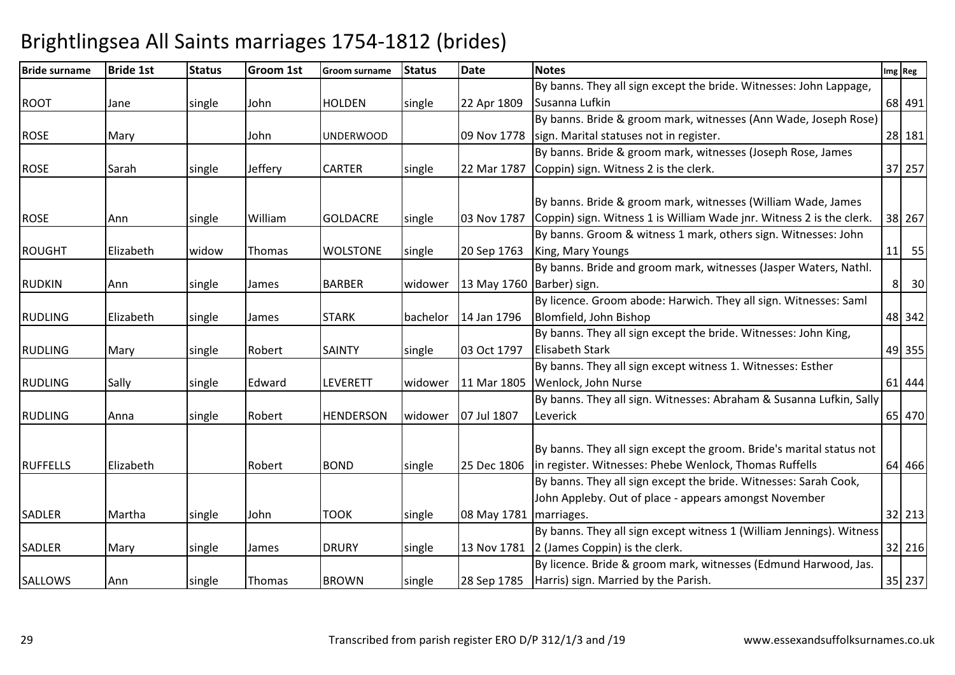| <b>Bride surname</b> | <b>Bride 1st</b> | <b>Status</b> | Groom 1st | Groom surname    | <b>Status</b> | <b>Date</b>               | <b>Notes</b>                                                         |                | Img Reg |
|----------------------|------------------|---------------|-----------|------------------|---------------|---------------------------|----------------------------------------------------------------------|----------------|---------|
|                      |                  |               |           |                  |               |                           | By banns. They all sign except the bride. Witnesses: John Lappage,   |                |         |
| <b>ROOT</b>          | Jane             | single        | John      | <b>HOLDEN</b>    | single        | 22 Apr 1809               | Susanna Lufkin                                                       |                | 68 491  |
|                      |                  |               |           |                  |               |                           | By banns. Bride & groom mark, witnesses (Ann Wade, Joseph Rose)      |                |         |
| <b>ROSE</b>          | Mary             |               | John      | <b>UNDERWOOD</b> |               |                           | 09 Nov 1778 sign. Marital statuses not in register.                  |                | 28 181  |
|                      |                  |               |           |                  |               |                           | By banns. Bride & groom mark, witnesses (Joseph Rose, James          |                |         |
| <b>ROSE</b>          | Sarah            | single        | Jeffery   | <b>CARTER</b>    | single        | 22 Mar 1787               | Coppin) sign. Witness 2 is the clerk.                                |                | 37 257  |
|                      |                  |               |           |                  |               |                           |                                                                      |                |         |
|                      |                  |               |           |                  |               |                           | By banns. Bride & groom mark, witnesses (William Wade, James         |                |         |
| <b>ROSE</b>          | Ann              | single        | William   | <b>GOLDACRE</b>  | single        | 03 Nov 1787               | Coppin) sign. Witness 1 is William Wade jnr. Witness 2 is the clerk. |                | 38 267  |
|                      |                  |               |           |                  |               |                           | By banns. Groom & witness 1 mark, others sign. Witnesses: John       |                |         |
| <b>ROUGHT</b>        | Elizabeth        | widow         | Thomas    | <b>WOLSTONE</b>  | single        | 20 Sep 1763               | King, Mary Youngs                                                    |                | $11$ 55 |
|                      |                  |               |           |                  |               |                           | By banns. Bride and groom mark, witnesses (Jasper Waters, Nathl.     |                |         |
| <b>RUDKIN</b>        | Ann              | single        | James     | <b>BARBER</b>    | widower       | 13 May 1760 Barber) sign. |                                                                      | 8 <sup>1</sup> | 30      |
|                      |                  |               |           |                  |               |                           | By licence. Groom abode: Harwich. They all sign. Witnesses: Saml     |                |         |
| <b>RUDLING</b>       | Elizabeth        | single        | James     | <b>STARK</b>     | bachelor      | 14 Jan 1796               | Blomfield, John Bishop                                               |                | 48 342  |
|                      |                  |               |           |                  |               |                           | By banns. They all sign except the bride. Witnesses: John King,      |                |         |
| <b>RUDLING</b>       | Mary             | single        | Robert    | <b>SAINTY</b>    | single        | 03 Oct 1797               | <b>Elisabeth Stark</b>                                               |                | 49 355  |
|                      |                  |               |           |                  |               |                           | By banns. They all sign except witness 1. Witnesses: Esther          |                |         |
| <b>RUDLING</b>       | Sally            | single        | Edward    | LEVERETT         | widower       | 11 Mar 1805               | Wenlock, John Nurse                                                  |                | 61 444  |
|                      |                  |               |           |                  |               |                           | By banns. They all sign. Witnesses: Abraham & Susanna Lufkin, Sally  |                |         |
| <b>RUDLING</b>       | Anna             | single        | Robert    | <b>HENDERSON</b> | widower       | 07 Jul 1807               | Leverick                                                             |                | 65 470  |
|                      |                  |               |           |                  |               |                           |                                                                      |                |         |
|                      |                  |               |           |                  |               |                           | By banns. They all sign except the groom. Bride's marital status not |                |         |
| <b>RUFFELLS</b>      | Elizabeth        |               | Robert    | <b>BOND</b>      | single        | 25 Dec 1806               | in register. Witnesses: Phebe Wenlock, Thomas Ruffells               |                | 64 466  |
|                      |                  |               |           |                  |               |                           | By banns. They all sign except the bride. Witnesses: Sarah Cook,     |                |         |
|                      |                  |               |           |                  |               |                           | John Appleby. Out of place - appears amongst November                |                |         |
| <b>SADLER</b>        | Martha           | single        | John      | <b>TOOK</b>      | single        | 08 May 1781               | marriages.                                                           |                | 32 213  |
|                      |                  |               |           |                  |               |                           | By banns. They all sign except witness 1 (William Jennings). Witness |                |         |
| <b>SADLER</b>        | Mary             | single        | James     | <b>DRURY</b>     | single        |                           | 13 Nov 1781 2 (James Coppin) is the clerk.                           |                | 32 216  |
|                      |                  |               |           |                  |               |                           | By licence. Bride & groom mark, witnesses (Edmund Harwood, Jas.      |                |         |
| <b>SALLOWS</b>       | Ann              | single        | Thomas    | <b>BROWN</b>     | single        |                           | 28 Sep 1785   Harris) sign. Married by the Parish.                   |                | 35 237  |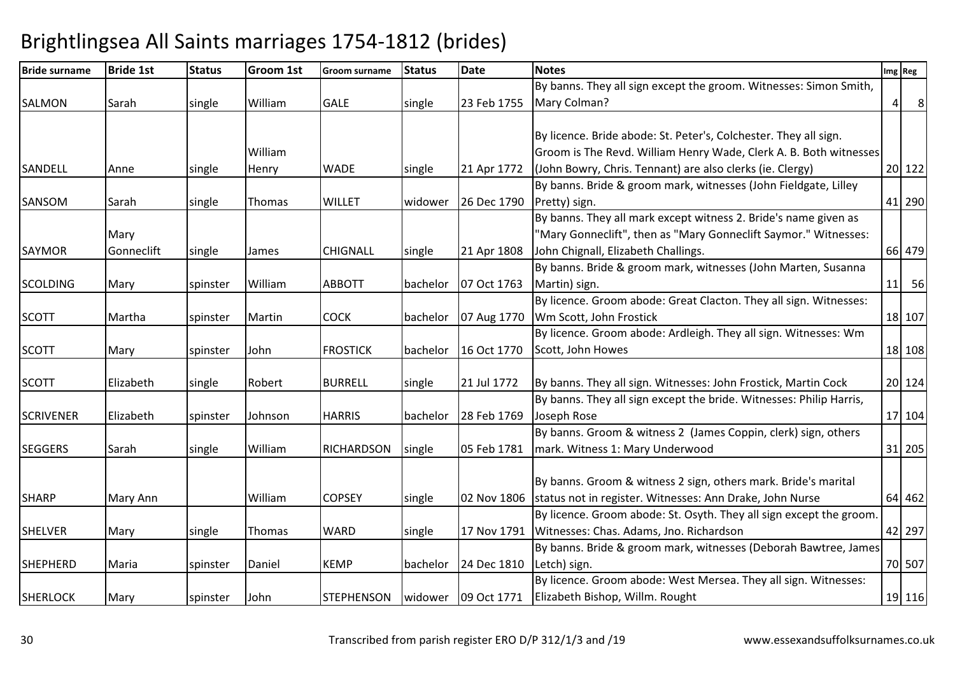| <b>Bride surname</b> | <b>Bride 1st</b> | <b>Status</b> | Groom 1st | <b>Groom surname</b> | <b>Status</b> | <b>Date</b> | <b>Notes</b>                                                        |                | Img Reg        |
|----------------------|------------------|---------------|-----------|----------------------|---------------|-------------|---------------------------------------------------------------------|----------------|----------------|
|                      |                  |               |           |                      |               |             | By banns. They all sign except the groom. Witnesses: Simon Smith,   |                |                |
| <b>SALMON</b>        | Sarah            | single        | William   | <b>GALE</b>          | single        | 23 Feb 1755 | Mary Colman?                                                        | 4 <sup>1</sup> | 8 <sup>8</sup> |
|                      |                  |               |           |                      |               |             |                                                                     |                |                |
|                      |                  |               |           |                      |               |             | By licence. Bride abode: St. Peter's, Colchester. They all sign.    |                |                |
|                      |                  |               | William   |                      |               |             | Groom is The Revd. William Henry Wade, Clerk A. B. Both witnesses   |                |                |
| SANDELL              | Anne             | single        | Henry     | <b>WADE</b>          | single        | 21 Apr 1772 | (John Bowry, Chris. Tennant) are also clerks (ie. Clergy)           |                | 20 122         |
|                      |                  |               |           |                      |               |             | By banns. Bride & groom mark, witnesses (John Fieldgate, Lilley     |                |                |
| <b>SANSOM</b>        | Sarah            | single        | Thomas    | <b>WILLET</b>        | widower       | 26 Dec 1790 | Pretty) sign.                                                       |                | 41 290         |
|                      |                  |               |           |                      |               |             | By banns. They all mark except witness 2. Bride's name given as     |                |                |
|                      | Mary             |               |           |                      |               |             | "Mary Gonneclift", then as "Mary Gonneclift Saymor." Witnesses:     |                |                |
| <b>SAYMOR</b>        | Gonneclift       | single        | James     | <b>CHIGNALL</b>      | single        | 21 Apr 1808 | John Chignall, Elizabeth Challings.                                 |                | 66 479         |
|                      |                  |               |           |                      |               |             | By banns. Bride & groom mark, witnesses (John Marten, Susanna       |                |                |
| <b>SCOLDING</b>      | Mary             | spinster      | William   | <b>ABBOTT</b>        | bachelor      | 07 Oct 1763 | Martin) sign.                                                       |                | 11 56          |
|                      |                  |               |           |                      |               |             | By licence. Groom abode: Great Clacton. They all sign. Witnesses:   |                |                |
| <b>SCOTT</b>         | Martha           | spinster      | Martin    | <b>COCK</b>          | bachelor      | 07 Aug 1770 | Wm Scott, John Frostick                                             |                | 18 107         |
|                      |                  |               |           |                      |               |             | By licence. Groom abode: Ardleigh. They all sign. Witnesses: Wm     |                |                |
| <b>SCOTT</b>         | Mary             | spinster      | John      | <b>FROSTICK</b>      | bachelor      | 16 Oct 1770 | Scott, John Howes                                                   |                | 18 108         |
|                      |                  |               |           |                      |               |             |                                                                     |                |                |
| <b>SCOTT</b>         | Elizabeth        | single        | Robert    | <b>BURRELL</b>       | single        | 21 Jul 1772 | By banns. They all sign. Witnesses: John Frostick, Martin Cock      |                | 20 124         |
|                      |                  |               |           |                      |               |             | By banns. They all sign except the bride. Witnesses: Philip Harris, |                |                |
| <b>SCRIVENER</b>     | Elizabeth        | spinster      | Johnson   | <b>HARRIS</b>        | bachelor      | 28 Feb 1769 | Joseph Rose                                                         |                | 17 104         |
|                      |                  |               |           |                      |               |             | By banns. Groom & witness 2 (James Coppin, clerk) sign, others      |                |                |
| <b>SEGGERS</b>       | Sarah            | single        | William   | <b>RICHARDSON</b>    | single        | 05 Feb 1781 | mark. Witness 1: Mary Underwood                                     |                | 31 205         |
|                      |                  |               |           |                      |               |             |                                                                     |                |                |
|                      |                  |               |           |                      |               |             | By banns. Groom & witness 2 sign, others mark. Bride's marital      |                |                |
| <b>SHARP</b>         | Mary Ann         |               | William   | <b>COPSEY</b>        | single        | 02 Nov 1806 | status not in register. Witnesses: Ann Drake, John Nurse            |                | 64 462         |
|                      |                  |               |           |                      |               |             | By licence. Groom abode: St. Osyth. They all sign except the groom. |                |                |
| <b>SHELVER</b>       | Mary             | single        | Thomas    | <b>WARD</b>          | single        | 17 Nov 1791 | Witnesses: Chas. Adams, Jno. Richardson                             |                | 42 297         |
|                      |                  |               |           |                      |               |             | By banns. Bride & groom mark, witnesses (Deborah Bawtree, James     |                |                |
| <b>SHEPHERD</b>      | Maria            | spinster      | Daniel    | <b>KEMP</b>          | bachelor      | 24 Dec 1810 | Letch) sign.                                                        |                | 70 507         |
|                      |                  |               |           |                      |               |             | By licence. Groom abode: West Mersea. They all sign. Witnesses:     |                |                |
| <b>SHERLOCK</b>      | Mary             | spinster      | John      | <b>STEPHENSON</b>    |               |             | widower   09 Oct 1771   Elizabeth Bishop, Willm. Rought             |                | 19 116         |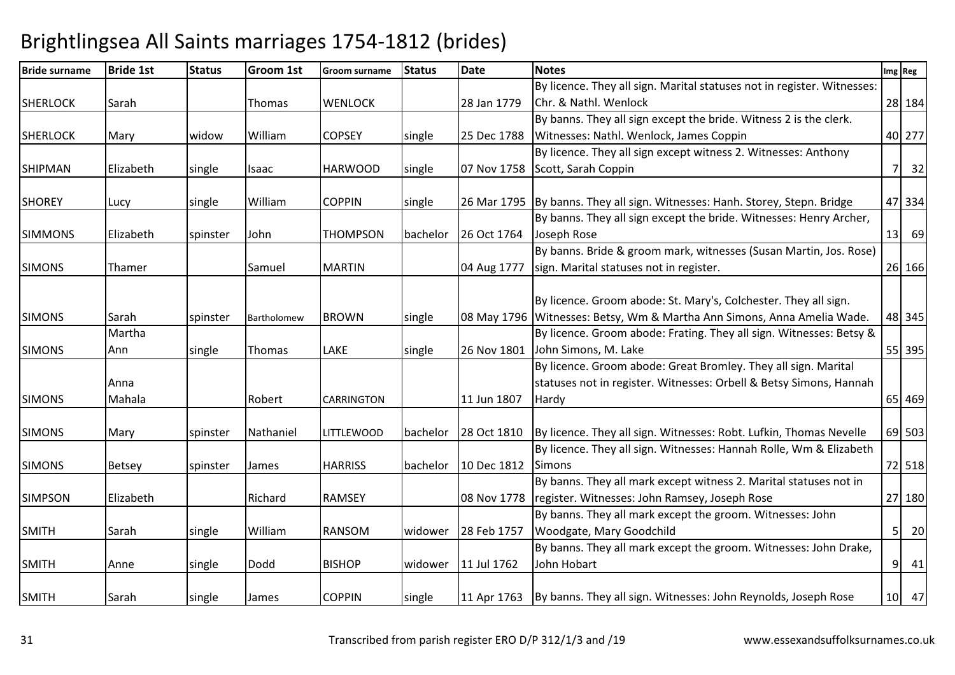| <b>Bride surname</b> | <b>Bride 1st</b> | <b>Status</b> | <b>Groom 1st</b> | <b>Groom surname</b> | <b>Status</b> | <b>Date</b> | <b>Notes</b>                                                                 |                | Img Reg |
|----------------------|------------------|---------------|------------------|----------------------|---------------|-------------|------------------------------------------------------------------------------|----------------|---------|
|                      |                  |               |                  |                      |               |             | By licence. They all sign. Marital statuses not in register. Witnesses:      |                |         |
| <b>SHERLOCK</b>      | Sarah            |               | Thomas           | <b>WENLOCK</b>       |               | 28 Jan 1779 | Chr. & Nathl. Wenlock                                                        |                | 28 184  |
|                      |                  |               |                  |                      |               |             | By banns. They all sign except the bride. Witness 2 is the clerk.            |                |         |
| <b>SHERLOCK</b>      | Mary             | widow         | William          | <b>COPSEY</b>        | single        | 25 Dec 1788 | Witnesses: Nathl. Wenlock, James Coppin                                      |                | 40 277  |
|                      |                  |               |                  |                      |               |             | By licence. They all sign except witness 2. Witnesses: Anthony               |                |         |
| <b>SHIPMAN</b>       | Elizabeth        | single        | Isaac            | <b>HARWOOD</b>       | single        | 07 Nov 1758 | Scott, Sarah Coppin                                                          |                | 7<br>32 |
| <b>SHOREY</b>        | Lucy             | single        | William          | <b>COPPIN</b>        | single        |             | 26 Mar 1795 By banns. They all sign. Witnesses: Hanh. Storey, Stepn. Bridge  |                | 47 334  |
|                      |                  |               |                  |                      |               |             | By banns. They all sign except the bride. Witnesses: Henry Archer,           |                |         |
| <b>SIMMONS</b>       | Elizabeth        | spinster      | John             | <b>THOMPSON</b>      | bachelor      | 26 Oct 1764 | Joseph Rose                                                                  |                | $13$ 69 |
|                      |                  |               |                  |                      |               |             | By banns. Bride & groom mark, witnesses (Susan Martin, Jos. Rose)            |                |         |
| <b>SIMONS</b>        | Thamer           |               | Samuel           | <b>MARTIN</b>        |               | 04 Aug 1777 | sign. Marital statuses not in register.                                      |                | 26 166  |
|                      |                  |               |                  |                      |               |             |                                                                              |                |         |
|                      |                  |               |                  |                      |               |             | By licence. Groom abode: St. Mary's, Colchester. They all sign.              |                |         |
| <b>SIMONS</b>        | Sarah            | spinster      | Bartholomew      | <b>BROWN</b>         | single        | 08 May 1796 | Witnesses: Betsy, Wm & Martha Ann Simons, Anna Amelia Wade.                  |                | 48 345  |
|                      | Martha           |               |                  |                      |               |             | By licence. Groom abode: Frating. They all sign. Witnesses: Betsy &          |                |         |
| <b>SIMONS</b>        | Ann              | single        | Thomas           | LAKE                 | single        | 26 Nov 1801 | John Simons, M. Lake                                                         |                | 55 395  |
|                      |                  |               |                  |                      |               |             | By licence. Groom abode: Great Bromley. They all sign. Marital               |                |         |
|                      | Anna             |               |                  |                      |               |             | statuses not in register. Witnesses: Orbell & Betsy Simons, Hannah           |                |         |
| <b>SIMONS</b>        | Mahala           |               | Robert           | <b>CARRINGTON</b>    |               | 11 Jun 1807 | Hardy                                                                        |                | 65 469  |
| <b>SIMONS</b>        | Mary             | spinster      | Nathaniel        | <b>LITTLEWOOD</b>    | bachelor      | 28 Oct 1810 | By licence. They all sign. Witnesses: Robt. Lufkin, Thomas Nevelle           |                | 69 503  |
|                      |                  |               |                  |                      |               |             | By licence. They all sign. Witnesses: Hannah Rolle, Wm & Elizabeth           |                |         |
| <b>SIMONS</b>        | Betsey           | spinster      | James            | <b>HARRISS</b>       | bachelor      | 10 Dec 1812 | <b>Simons</b>                                                                |                | 72 518  |
|                      |                  |               |                  |                      |               |             | By banns. They all mark except witness 2. Marital statuses not in            |                |         |
| <b>SIMPSON</b>       | Elizabeth        |               | Richard          | <b>RAMSEY</b>        |               | 08 Nov 1778 | register. Witnesses: John Ramsey, Joseph Rose                                |                | 27 180  |
|                      |                  |               |                  |                      |               |             | By banns. They all mark except the groom. Witnesses: John                    |                |         |
| <b>SMITH</b>         | Sarah            | single        | William          | <b>RANSOM</b>        | widower       | 28 Feb 1757 | Woodgate, Mary Goodchild                                                     | 5 <sup>1</sup> | 20      |
|                      |                  |               |                  |                      |               |             | By banns. They all mark except the groom. Witnesses: John Drake,             |                |         |
| <b>SMITH</b>         | Anne             | single        | Dodd             | <b>BISHOP</b>        | widower       | 11 Jul 1762 | John Hobart                                                                  |                | 9 41    |
| <b>SMITH</b>         | Sarah            | single        | James            | <b>COPPIN</b>        | single        |             | 11 Apr 1763   By banns. They all sign. Witnesses: John Reynolds, Joseph Rose |                | 10 47   |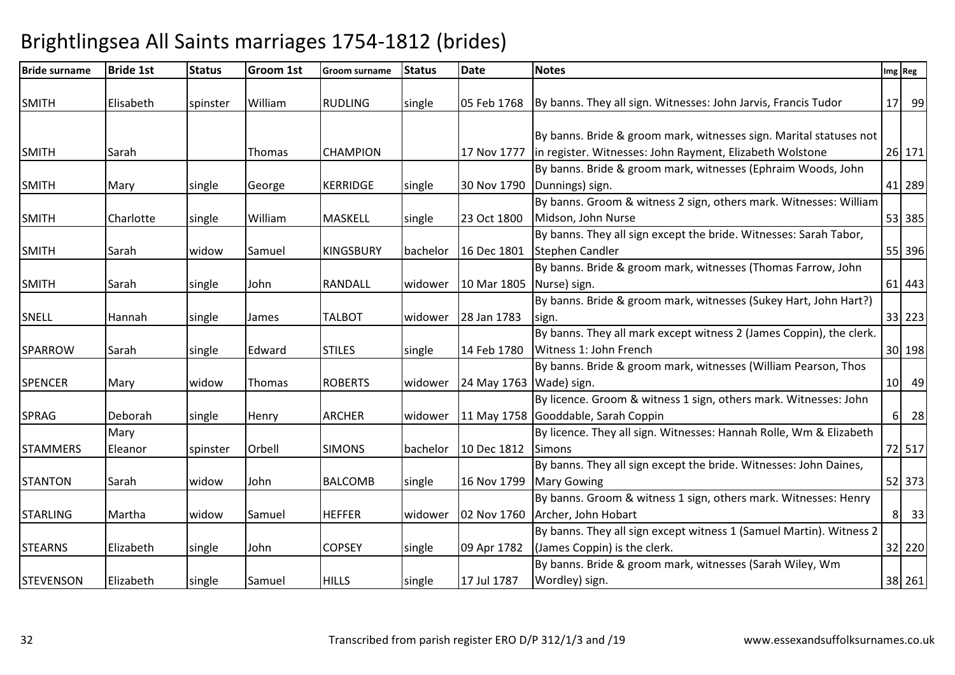#### Bride surnameBride 1st Status Groom 1st Groom surname Status Date e Notes **Ing Region Contract Contract Contract Contract Contract Contract Contract Contract Contract Contract Contract Contract Contract Contract Contract Contract Contract Contract Contract Contract Contract Contract Cont** SMITH Glisabeth Spinster William RUDLING Single 05 Feb 1768 By banns. They all sign. Witnesses: John Jarvis, Francis Tudor  $|17|$  99 SMITH Sarah | Thomas CHAMPION | 17 Nov 1777 By banns. Bride & groom mark, witnesses sign. Marital statuses not in register. Witnesses: John Rayment, Elizabeth Wolstone <sup>26</sup> <sup>171</sup>SMITH Mary Single George KERRIDGE single 30 Nov 1790 By banns. Bride & groom mark, witnesses (Ephraim Woods, John Dunnings) sign.. [41] 289 SMITH Charlotte single William MASKELL single 23 Oct 1800By banns. Groom & witness 2 sign, others mark. Witnesses: William Midson, John Nurse <sup>53</sup> <sup>385</sup>SMITH Sarah widow Samuel KINGSBURY bachelor 16 Dec 1801By banns. They all sign except the bride. Witnesses: Sarah Tabor, Stephen Candlerr 155 396 SMITH Sarah single John RANDALL widower 10 Mar 1805Nurse) sign.By banns. Bride & groom mark, witnesses (Thomas Farrow, John .  $\begin{bmatrix} 61 & 443 \end{bmatrix}$ SNELL Hannah single James TALBOT widower 28 Jan 1783By banns. Bride & groom mark, witnesses (Sukey Hart, John Hart?) sign. 33 223SPARROW Sarah Single Edward STILES single 14 Feb 1780 By banns. They all mark except witness 2 (James Coppin), the clerk. Witness 1: John French <sup>30</sup> <sup>198</sup>SPENCER Mary widow Thomas ROBERTS widower 24 May 1763Wade) sign.By banns. Bride & groom mark, witnesses (William Pearson, Thos . [10] 49 SPRAG Deborah single Henry ARCHER widower 11 May 1758Gooddable, Sarah CoppinBy licence. Groom & witness 1 sign, others mark. Witnesses: John n 6 28 **STAMMERS** Mary Eleanor spinster Orbell SIMONS bachelor 10 Dec 1812By licence. They all sign. Witnesses: Hannah Rolle, Wm & Elizabeth Simonss 2012 2013 2023 2024 2025 2026 2027 2028 2029 2020 2021 2022 2023 2024 2022 2023 2029 2022 2023 2026 2027 2028 2027 2028 2029 2020 2021 2022 2023 2029 2020 2021 2022 2023 2029 2027 2028 2029 2022 2023 2029 2029 2027 2028 STANTON Sarah Widow John BALCOMB Single 16 Nov 1799 By banns. They all sign except the bride. Witnesses: John Daines, Mary Gowingg 52 373 STARLING Martha widow Samuel HEFFER widower 02 Nov 1760By banns. Groom & witness 1 sign, others mark. Witnesses: Henry Archer, John Hobartt 8 33 STEARNS | Elizabeth | single | John | COPSEY | single | 09 Apr 1782 By banns. They all sign except witness 1 (Samuel Martin). Witness 2 (James Coppin) is the clerk. 32 220STEVENSON Elizabeth single Samuel HILLS single 17 Jul 1787 By banns. Bride & groom mark, witnesses (Sarah Wiley, Wm Wordley) sign. $38 \mid 261$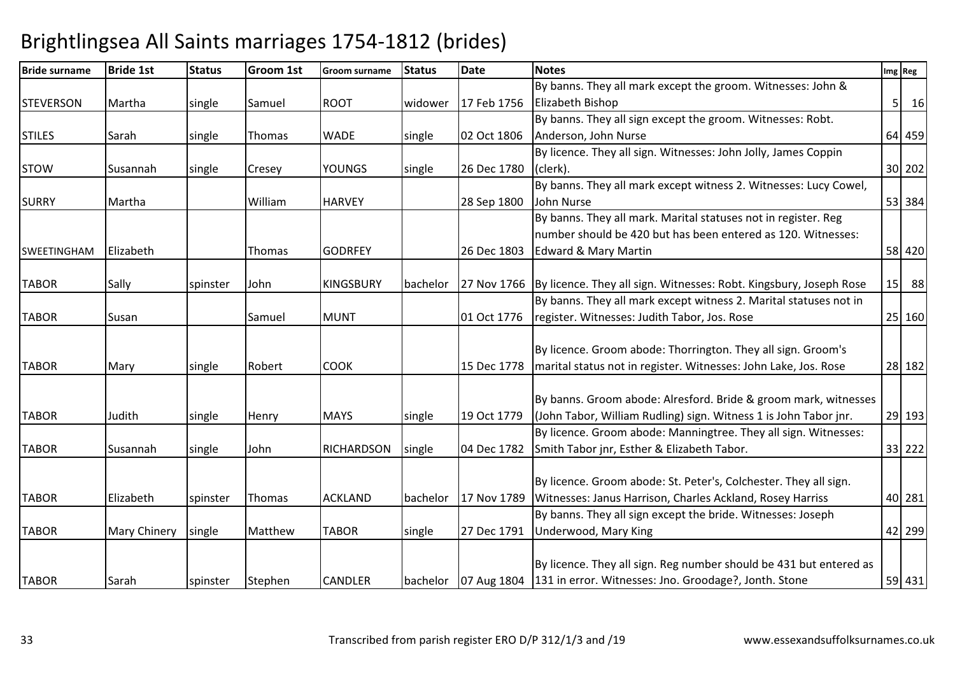| <b>Bride surname</b> | <b>Bride 1st</b> | <b>Status</b> | <b>Groom 1st</b> | <b>Groom surname</b> | <b>Status</b> | <b>Date</b> | <b>Notes</b>                                                                   | Img Reg        |           |
|----------------------|------------------|---------------|------------------|----------------------|---------------|-------------|--------------------------------------------------------------------------------|----------------|-----------|
|                      |                  |               |                  |                      |               |             | By banns. They all mark except the groom. Witnesses: John &                    |                |           |
| <b>STEVERSON</b>     | Martha           | single        | Samuel           | <b>ROOT</b>          | widower       | 17 Feb 1756 | <b>Elizabeth Bishop</b>                                                        | 5 <sup>1</sup> | <b>16</b> |
|                      |                  |               |                  |                      |               |             | By banns. They all sign except the groom. Witnesses: Robt.                     |                |           |
| <b>STILES</b>        | Sarah            | single        | Thomas           | <b>WADE</b>          | single        | 02 Oct 1806 | Anderson, John Nurse                                                           | 64 459         |           |
|                      |                  |               |                  |                      |               |             | By licence. They all sign. Witnesses: John Jolly, James Coppin                 |                |           |
| <b>STOW</b>          | Susannah         | single        | Cresey           | <b>YOUNGS</b>        | single        | 26 Dec 1780 | (clerk).                                                                       | 30 202         |           |
|                      |                  |               |                  |                      |               |             | By banns. They all mark except witness 2. Witnesses: Lucy Cowel,               |                |           |
| <b>SURRY</b>         | Martha           |               | William          | <b>HARVEY</b>        |               | 28 Sep 1800 | John Nurse                                                                     | 53 384         |           |
|                      |                  |               |                  |                      |               |             | By banns. They all mark. Marital statuses not in register. Reg                 |                |           |
|                      |                  |               |                  |                      |               |             | number should be 420 but has been entered as 120. Witnesses:                   |                |           |
| <b>SWEETINGHAM</b>   | Elizabeth        |               | Thomas           | <b>GODRFEY</b>       |               | 26 Dec 1803 | Edward & Mary Martin                                                           | 58 420         |           |
|                      |                  |               |                  |                      |               |             |                                                                                |                |           |
| <b>TABOR</b>         | Sally            | spinster      | John             | <b>KINGSBURY</b>     | bachelor      |             | 27 Nov 1766 By licence. They all sign. Witnesses: Robt. Kingsbury, Joseph Rose | 15 88          |           |
|                      |                  |               |                  |                      |               |             | By banns. They all mark except witness 2. Marital statuses not in              |                |           |
| <b>TABOR</b>         | Susan            |               | Samuel           | <b>MUNT</b>          |               | 01 Oct 1776 | register. Witnesses: Judith Tabor, Jos. Rose                                   | 25 160         |           |
|                      |                  |               |                  |                      |               |             |                                                                                |                |           |
|                      |                  |               |                  |                      |               |             | By licence. Groom abode: Thorrington. They all sign. Groom's                   |                |           |
| <b>TABOR</b>         | Mary             | single        | Robert           | <b>COOK</b>          |               | 15 Dec 1778 | marital status not in register. Witnesses: John Lake, Jos. Rose                | 28 182         |           |
|                      |                  |               |                  |                      |               |             |                                                                                |                |           |
|                      |                  |               |                  |                      |               |             | By banns. Groom abode: Alresford. Bride & groom mark, witnesses                |                |           |
| <b>TABOR</b>         | Judith           | single        | Henry            | <b>MAYS</b>          | single        | 19 Oct 1779 | (John Tabor, William Rudling) sign. Witness 1 is John Tabor jnr.               | 29 193         |           |
|                      |                  |               |                  |                      |               |             | By licence. Groom abode: Manningtree. They all sign. Witnesses:                |                |           |
| <b>TABOR</b>         | Susannah         | single        | John             | <b>RICHARDSON</b>    | single        | 04 Dec 1782 | Smith Tabor jnr, Esther & Elizabeth Tabor.                                     | 33 222         |           |
|                      |                  |               |                  |                      |               |             |                                                                                |                |           |
|                      |                  |               |                  |                      |               |             | By licence. Groom abode: St. Peter's, Colchester. They all sign.               |                |           |
| <b>TABOR</b>         | Elizabeth        | spinster      | Thomas           | <b>ACKLAND</b>       | bachelor      | 17 Nov 1789 | Witnesses: Janus Harrison, Charles Ackland, Rosey Harriss                      | 40 281         |           |
|                      |                  |               |                  |                      |               |             | By banns. They all sign except the bride. Witnesses: Joseph                    |                |           |
| <b>TABOR</b>         | Mary Chinery     | single        | Matthew          | <b>TABOR</b>         | single        | 27 Dec 1791 | <b>Underwood, Mary King</b>                                                    | 42 299         |           |
|                      |                  |               |                  |                      |               |             |                                                                                |                |           |
|                      |                  |               |                  |                      |               |             | By licence. They all sign. Reg number should be 431 but entered as             |                |           |
| <b>TABOR</b>         | Sarah            | spinster      | Stephen          | <b>CANDLER</b>       | bachelor      |             | 07 Aug 1804 131 in error. Witnesses: Jno. Groodage?, Jonth. Stone              | 59 431         |           |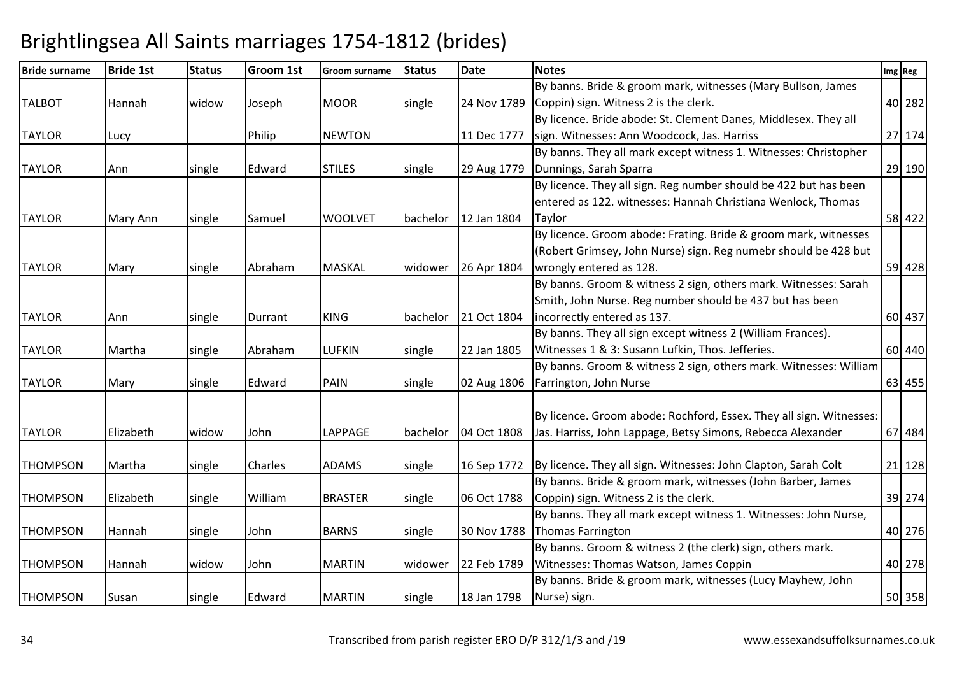| <b>Bride surname</b> | <b>Bride 1st</b> | <b>Status</b> | <b>Groom 1st</b> | <b>Groom surname</b> | <b>Status</b> | <b>Date</b> | <b>Notes</b>                                                        | Img Reg |
|----------------------|------------------|---------------|------------------|----------------------|---------------|-------------|---------------------------------------------------------------------|---------|
|                      |                  |               |                  |                      |               |             | By banns. Bride & groom mark, witnesses (Mary Bullson, James        |         |
| <b>TALBOT</b>        | Hannah           | widow         | Joseph           | <b>MOOR</b>          | single        | 24 Nov 1789 | Coppin) sign. Witness 2 is the clerk.                               | 40 282  |
|                      |                  |               |                  |                      |               |             | By licence. Bride abode: St. Clement Danes, Middlesex. They all     |         |
| <b>TAYLOR</b>        | Lucy             |               | Philip           | <b>NEWTON</b>        |               | 11 Dec 1777 | sign. Witnesses: Ann Woodcock, Jas. Harriss                         | 27 174  |
|                      |                  |               |                  |                      |               |             | By banns. They all mark except witness 1. Witnesses: Christopher    |         |
| <b>TAYLOR</b>        | Ann              | single        | Edward           | <b>STILES</b>        | single        | 29 Aug 1779 | Dunnings, Sarah Sparra                                              | 29 190  |
|                      |                  |               |                  |                      |               |             | By licence. They all sign. Reg number should be 422 but has been    |         |
|                      |                  |               |                  |                      |               |             | entered as 122. witnesses: Hannah Christiana Wenlock, Thomas        |         |
| <b>TAYLOR</b>        | Mary Ann         | single        | Samuel           | <b>WOOLVET</b>       | bachelor      | 12 Jan 1804 | Taylor                                                              | 58 422  |
|                      |                  |               |                  |                      |               |             | By licence. Groom abode: Frating. Bride & groom mark, witnesses     |         |
|                      |                  |               |                  |                      |               |             | (Robert Grimsey, John Nurse) sign. Reg numebr should be 428 but     |         |
| <b>TAYLOR</b>        | Mary             | single        | Abraham          | <b>MASKAL</b>        | widower       | 26 Apr 1804 | wrongly entered as 128.                                             | 59 428  |
|                      |                  |               |                  |                      |               |             | By banns. Groom & witness 2 sign, others mark. Witnesses: Sarah     |         |
|                      |                  |               |                  |                      |               |             | Smith, John Nurse. Reg number should be 437 but has been            |         |
| <b>TAYLOR</b>        | Ann              | single        | Durrant          | <b>KING</b>          | bachelor      | 21 Oct 1804 | incorrectly entered as 137.                                         | 60 437  |
|                      |                  |               |                  |                      |               |             | By banns. They all sign except witness 2 (William Frances).         |         |
| <b>TAYLOR</b>        | Martha           | single        | Abraham          | <b>LUFKIN</b>        | single        | 22 Jan 1805 | Witnesses 1 & 3: Susann Lufkin, Thos. Jefferies.                    | 60 440  |
|                      |                  |               |                  |                      |               |             | By banns. Groom & witness 2 sign, others mark. Witnesses: William   |         |
| <b>TAYLOR</b>        | Mary             | single        | Edward           | PAIN                 | single        | 02 Aug 1806 | Farrington, John Nurse                                              | 63 455  |
|                      |                  |               |                  |                      |               |             |                                                                     |         |
|                      |                  |               |                  |                      |               |             | By licence. Groom abode: Rochford, Essex. They all sign. Witnesses: |         |
| <b>TAYLOR</b>        | Elizabeth        | widow         | John             | <b>LAPPAGE</b>       | bachelor      | 04 Oct 1808 | Jas. Harriss, John Lappage, Betsy Simons, Rebecca Alexander         | 67 484  |
|                      |                  |               |                  |                      |               |             |                                                                     |         |
| <b>THOMPSON</b>      | Martha           | single        | Charles          | <b>ADAMS</b>         | single        | 16 Sep 1772 | By licence. They all sign. Witnesses: John Clapton, Sarah Colt      | 21 128  |
|                      |                  |               |                  |                      |               |             | By banns. Bride & groom mark, witnesses (John Barber, James         |         |
| <b>THOMPSON</b>      | Elizabeth        | single        | William          | <b>BRASTER</b>       | single        | 06 Oct 1788 | Coppin) sign. Witness 2 is the clerk.                               | 39 274  |
|                      |                  |               |                  |                      |               |             | By banns. They all mark except witness 1. Witnesses: John Nurse,    |         |
| <b>THOMPSON</b>      | Hannah           | single        | John             | <b>BARNS</b>         | single        | 30 Nov 1788 | Thomas Farrington                                                   | 40 276  |
|                      |                  |               |                  |                      |               |             | By banns. Groom & witness 2 (the clerk) sign, others mark.          |         |
| <b>THOMPSON</b>      | Hannah           | widow         | John             | <b>MARTIN</b>        | widower       | 22 Feb 1789 | Witnesses: Thomas Watson, James Coppin                              | 40 278  |
|                      |                  |               |                  |                      |               |             | By banns. Bride & groom mark, witnesses (Lucy Mayhew, John          |         |
| <b>THOMPSON</b>      | Susan            | single        | Edward           | <b>MARTIN</b>        | single        | 18 Jan 1798 | Nurse) sign.                                                        | 50 358  |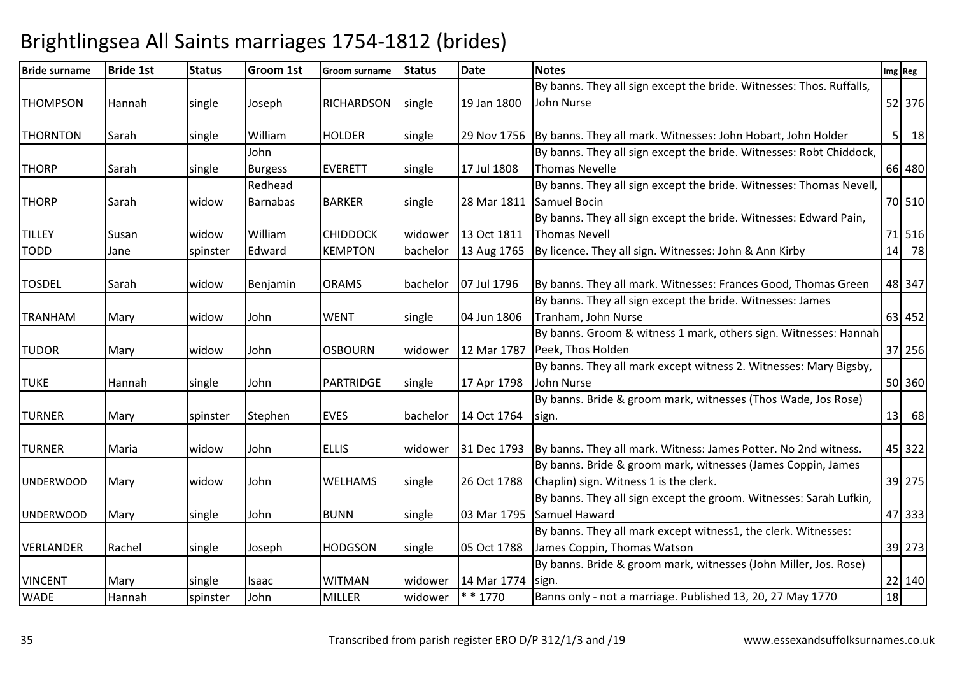| <b>Bride surname</b> | <b>Bride 1st</b> | <b>Status</b> | <b>Groom 1st</b> | <b>Groom surname</b> | <b>Status</b> | <b>Date</b> | <b>Notes</b>                                                               |    | Img Reg     |
|----------------------|------------------|---------------|------------------|----------------------|---------------|-------------|----------------------------------------------------------------------------|----|-------------|
|                      |                  |               |                  |                      |               |             | By banns. They all sign except the bride. Witnesses: Thos. Ruffalls,       |    |             |
| <b>THOMPSON</b>      | Hannah           | single        | Joseph           | RICHARDSON           | single        | 19 Jan 1800 | John Nurse                                                                 |    | 52 376      |
|                      |                  |               |                  |                      |               |             |                                                                            |    |             |
| <b>THORNTON</b>      | Sarah            | single        | William          | <b>HOLDER</b>        | single        |             | 29 Nov 1756   By banns. They all mark. Witnesses: John Hobart, John Holder |    | $5 \mid 18$ |
|                      |                  |               | John             |                      |               |             | By banns. They all sign except the bride. Witnesses: Robt Chiddock,        |    |             |
| <b>THORP</b>         | Sarah            | single        | <b>Burgess</b>   | EVERETT              | single        | 17 Jul 1808 | Thomas Nevelle                                                             |    | 66 480      |
|                      |                  |               | Redhead          |                      |               |             | By banns. They all sign except the bride. Witnesses: Thomas Nevell,        |    |             |
| <b>THORP</b>         | Sarah            | widow         | <b>Barnabas</b>  | <b>BARKER</b>        | single        | 28 Mar 1811 | Samuel Bocin                                                               |    | 70 510      |
|                      |                  |               |                  |                      |               |             | By banns. They all sign except the bride. Witnesses: Edward Pain,          |    |             |
| <b>TILLEY</b>        | Susan            | widow         | William          | <b>CHIDDOCK</b>      | widower       | 13 Oct 1811 | Thomas Nevell                                                              |    | 71 516      |
| <b>TODD</b>          | Jane             | spinster      | Edward           | <b>KEMPTON</b>       | bachelor      | 13 Aug 1765 | By licence. They all sign. Witnesses: John & Ann Kirby                     |    | 14 78       |
|                      |                  |               |                  |                      |               |             |                                                                            |    |             |
| <b>TOSDEL</b>        | Sarah            | widow         | Benjamin         | <b>ORAMS</b>         | bachelor      | 07 Jul 1796 | By banns. They all mark. Witnesses: Frances Good, Thomas Green             |    | 48 347      |
|                      |                  |               |                  |                      |               |             | By banns. They all sign except the bride. Witnesses: James                 |    |             |
| <b>TRANHAM</b>       | Mary             | widow         | John             | <b>WENT</b>          | single        | 04 Jun 1806 | Tranham, John Nurse                                                        |    | 63 452      |
|                      |                  |               |                  |                      |               |             | By banns. Groom & witness 1 mark, others sign. Witnesses: Hannah           |    |             |
| <b>TUDOR</b>         | Mary             | widow         | John             | <b>OSBOURN</b>       | widower       |             | 12 Mar 1787   Peek, Thos Holden                                            |    | 37 256      |
|                      |                  |               |                  |                      |               |             | By banns. They all mark except witness 2. Witnesses: Mary Bigsby,          |    |             |
| <b>TUKE</b>          | Hannah           | single        | John             | PARTRIDGE            | single        | 17 Apr 1798 | John Nurse                                                                 |    | 50 360      |
|                      |                  |               |                  |                      |               |             | By banns. Bride & groom mark, witnesses (Thos Wade, Jos Rose)              |    |             |
| <b>TURNER</b>        | Mary             | spinster      | Stephen          | <b>EVES</b>          | bachelor      | 14 Oct 1764 | sign.                                                                      |    | 13 68       |
|                      |                  |               |                  |                      |               |             |                                                                            |    |             |
| <b>TURNER</b>        | Maria            | widow         | John             | <b>ELLIS</b>         | widower       | 31 Dec 1793 | By banns. They all mark. Witness: James Potter. No 2nd witness.            |    | 45 322      |
|                      |                  |               |                  |                      |               |             | By banns. Bride & groom mark, witnesses (James Coppin, James               |    |             |
| <b>UNDERWOOD</b>     | Mary             | widow         | John             | <b>WELHAMS</b>       | single        | 26 Oct 1788 | Chaplin) sign. Witness 1 is the clerk.                                     |    | 39 275      |
|                      |                  |               |                  |                      |               |             | By banns. They all sign except the groom. Witnesses: Sarah Lufkin,         |    |             |
| <b>UNDERWOOD</b>     | Mary             | single        | John             | <b>BUNN</b>          | single        | 03 Mar 1795 | Samuel Haward                                                              |    | 47 333      |
|                      |                  |               |                  |                      |               |             | By banns. They all mark except witness1, the clerk. Witnesses:             |    |             |
| VERLANDER            | Rachel           | single        | Joseph           | <b>HODGSON</b>       | single        | 05 Oct 1788 | James Coppin, Thomas Watson                                                |    | 39 273      |
|                      |                  |               |                  |                      |               |             | By banns. Bride & groom mark, witnesses (John Miller, Jos. Rose)           |    |             |
| <b>VINCENT</b>       | Mary             | single        | Isaac            | <b>WITMAN</b>        | widower       | 14 Mar 1774 | sign.                                                                      |    | 22 140      |
| <b>WADE</b>          | Hannah           | spinster      | John             | <b>MILLER</b>        | widower       | $* * 1770$  | Banns only - not a marriage. Published 13, 20, 27 May 1770                 | 18 |             |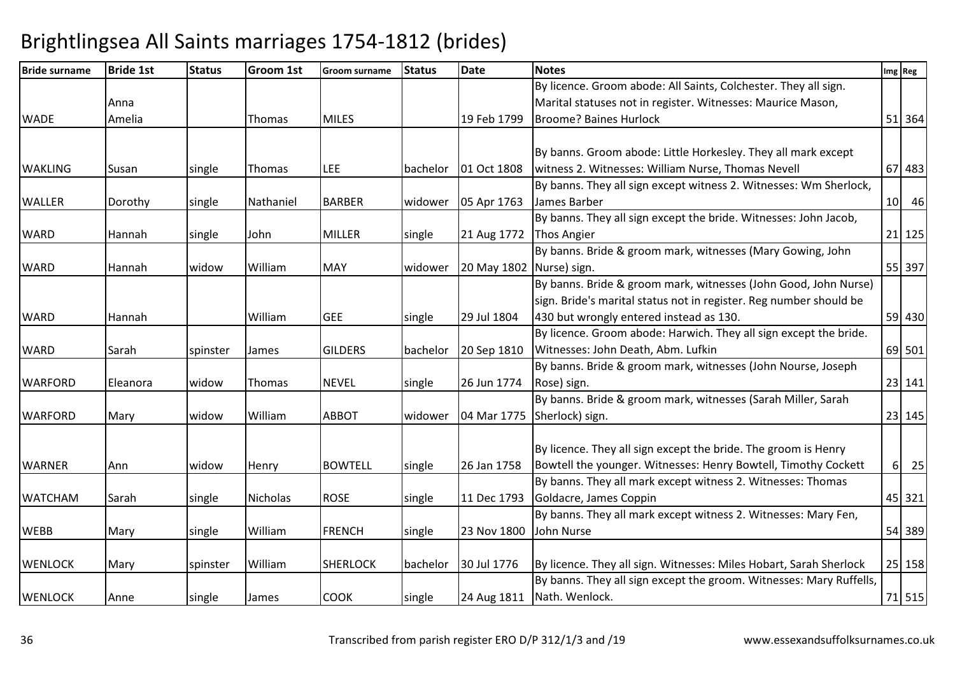| <b>Bride surname</b> | <b>Bride 1st</b> | <b>Status</b> | <b>Groom 1st</b> | <b>Groom surname</b> | <b>Status</b> | <b>Date</b>              | <b>Notes</b>                                                        | Img Reg |
|----------------------|------------------|---------------|------------------|----------------------|---------------|--------------------------|---------------------------------------------------------------------|---------|
|                      |                  |               |                  |                      |               |                          | By licence. Groom abode: All Saints, Colchester. They all sign.     |         |
|                      | Anna             |               |                  |                      |               |                          | Marital statuses not in register. Witnesses: Maurice Mason,         |         |
| <b>WADE</b>          | Amelia           |               | Thomas           | <b>MILES</b>         |               | 19 Feb 1799              | <b>Broome? Baines Hurlock</b>                                       | 51 364  |
|                      |                  |               |                  |                      |               |                          |                                                                     |         |
|                      |                  |               |                  |                      |               |                          | By banns. Groom abode: Little Horkesley. They all mark except       |         |
| <b>WAKLING</b>       | Susan            | single        | Thomas           | LEE                  | bachelor      | 01 Oct 1808              | witness 2. Witnesses: William Nurse, Thomas Nevell                  | 67 483  |
|                      |                  |               |                  |                      |               |                          | By banns. They all sign except witness 2. Witnesses: Wm Sherlock,   |         |
| <b>WALLER</b>        | Dorothy          | single        | Nathaniel        | <b>BARBER</b>        | widower       | 05 Apr 1763              | James Barber                                                        | 10 46   |
|                      |                  |               |                  |                      |               |                          | By banns. They all sign except the bride. Witnesses: John Jacob,    |         |
| <b>WARD</b>          | Hannah           | single        | John             | <b>MILLER</b>        | single        | 21 Aug 1772              | <b>Thos Angier</b>                                                  | 21 125  |
|                      |                  |               |                  |                      |               |                          | By banns. Bride & groom mark, witnesses (Mary Gowing, John          |         |
| <b>WARD</b>          | Hannah           | widow         | William          | <b>MAY</b>           | widower       | 20 May 1802 Nurse) sign. |                                                                     | 55 397  |
|                      |                  |               |                  |                      |               |                          | By banns. Bride & groom mark, witnesses (John Good, John Nurse)     |         |
|                      |                  |               |                  |                      |               |                          | sign. Bride's marital status not in register. Reg number should be  |         |
| <b>WARD</b>          | Hannah           |               | William          | <b>GEE</b>           | single        | 29 Jul 1804              | 430 but wrongly entered instead as 130.                             | 59 430  |
|                      |                  |               |                  |                      |               |                          | By licence. Groom abode: Harwich. They all sign except the bride.   |         |
| <b>WARD</b>          | Sarah            | spinster      | James            | <b>GILDERS</b>       | bachelor      | 20 Sep 1810              | Witnesses: John Death, Abm. Lufkin                                  | 69 501  |
|                      |                  |               |                  |                      |               |                          | By banns. Bride & groom mark, witnesses (John Nourse, Joseph        |         |
| <b>WARFORD</b>       | Eleanora         | widow         | Thomas           | <b>NEVEL</b>         | single        | 26 Jun 1774              | Rose) sign.                                                         | 23 141  |
|                      |                  |               |                  |                      |               |                          | By banns. Bride & groom mark, witnesses (Sarah Miller, Sarah        |         |
| <b>WARFORD</b>       | Mary             | widow         | William          | <b>ABBOT</b>         | widower       |                          | 04 Mar 1775 Sherlock) sign.                                         | 23 145  |
|                      |                  |               |                  |                      |               |                          |                                                                     |         |
|                      |                  |               |                  |                      |               |                          | By licence. They all sign except the bride. The groom is Henry      |         |
| <b>WARNER</b>        | Ann              | widow         | Henry            | <b>BOWTELL</b>       | single        | 26 Jan 1758              | Bowtell the younger. Witnesses: Henry Bowtell, Timothy Cockett      | 6 25    |
|                      |                  |               |                  |                      |               |                          | By banns. They all mark except witness 2. Witnesses: Thomas         |         |
| <b>WATCHAM</b>       | Sarah            | single        | <b>Nicholas</b>  | <b>ROSE</b>          | single        | 11 Dec 1793              | Goldacre, James Coppin                                              | 45 321  |
|                      |                  |               |                  |                      |               |                          | By banns. They all mark except witness 2. Witnesses: Mary Fen,      |         |
| <b>WEBB</b>          | Mary             | single        | William          | <b>FRENCH</b>        | single        | 23 Nov 1800              | John Nurse                                                          | 54 389  |
|                      |                  |               |                  |                      |               |                          |                                                                     |         |
| <b>WENLOCK</b>       | Mary             | spinster      | William          | <b>SHERLOCK</b>      | bachelor      | 30 Jul 1776              | By licence. They all sign. Witnesses: Miles Hobart, Sarah Sherlock  | 25 158  |
|                      |                  |               |                  |                      |               |                          | By banns. They all sign except the groom. Witnesses: Mary Ruffells, |         |
| <b>WENLOCK</b>       | Anne             | single        | James            | <b>COOK</b>          | single        |                          | 24 Aug 1811   Nath. Wenlock.                                        | 71 515  |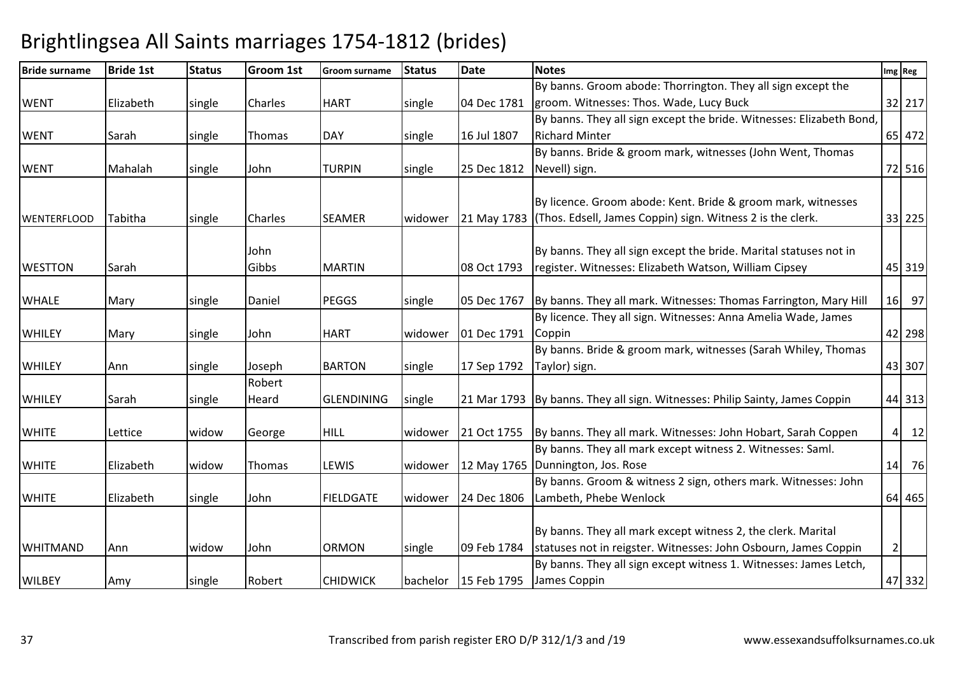| <b>Bride surname</b> | <b>Bride 1st</b> | <b>Status</b> | Groom 1st      | Groom surname     | <b>Status</b> | <b>Date</b>            | <b>Notes</b>                                                                  |                | Img Reg         |
|----------------------|------------------|---------------|----------------|-------------------|---------------|------------------------|-------------------------------------------------------------------------------|----------------|-----------------|
|                      |                  |               |                |                   |               |                        | By banns. Groom abode: Thorrington. They all sign except the                  |                |                 |
| <b>WENT</b>          | Elizabeth        | single        | <b>Charles</b> | <b>HART</b>       | single        | 04 Dec 1781            | groom. Witnesses: Thos. Wade, Lucy Buck                                       |                | 32 217          |
|                      |                  |               |                |                   |               |                        | By banns. They all sign except the bride. Witnesses: Elizabeth Bond,          |                |                 |
| <b>WENT</b>          | Sarah            | single        | Thomas         | <b>DAY</b>        | single        | 16 Jul 1807            | <b>Richard Minter</b>                                                         |                | 65 472          |
|                      |                  |               |                |                   |               |                        | By banns. Bride & groom mark, witnesses (John Went, Thomas                    |                |                 |
| <b>WENT</b>          | Mahalah          | single        | John           | <b>TURPIN</b>     | single        | 25 Dec 1812            | Nevell) sign.                                                                 |                | 72 516          |
|                      |                  |               |                |                   |               |                        |                                                                               |                |                 |
|                      |                  |               |                |                   |               |                        | By licence. Groom abode: Kent. Bride & groom mark, witnesses                  |                |                 |
| <b>WENTERFLOOD</b>   | Tabitha          | single        | Charles        | <b>SEAMER</b>     | widower       | 21 May 1783            | (Thos. Edsell, James Coppin) sign. Witness 2 is the clerk.                    |                | 33 225          |
|                      |                  |               | John           |                   |               |                        | By banns. They all sign except the bride. Marital statuses not in             |                |                 |
| <b>WESTTON</b>       |                  |               | Gibbs          | <b>MARTIN</b>     |               | 08 Oct 1793            | register. Witnesses: Elizabeth Watson, William Cipsey                         |                | 45 319          |
|                      | Sarah            |               |                |                   |               |                        |                                                                               |                |                 |
| <b>WHALE</b>         | Mary             | single        | Daniel         | <b>PEGGS</b>      | single        |                        | 05 Dec 1767 By banns. They all mark. Witnesses: Thomas Farrington, Mary Hill  | 16             | 97              |
|                      |                  |               |                |                   |               |                        | By licence. They all sign. Witnesses: Anna Amelia Wade, James                 |                |                 |
| <b>WHILEY</b>        | Mary             | single        | John           | <b>HART</b>       | widower       | 01 Dec 1791            | Coppin                                                                        |                | 42 298          |
|                      |                  |               |                |                   |               |                        | By banns. Bride & groom mark, witnesses (Sarah Whiley, Thomas                 |                |                 |
| <b>WHILEY</b>        | Ann              | single        | Joseph         | <b>BARTON</b>     | single        | 17 Sep 1792            | Taylor) sign.                                                                 |                | 43 307          |
|                      |                  |               | Robert         |                   |               |                        |                                                                               |                |                 |
| <b>WHILEY</b>        | Sarah            | single        | Heard          | <b>GLENDINING</b> | single        |                        | 21 Mar 1793   By banns. They all sign. Witnesses: Philip Sainty, James Coppin |                | 44 313          |
| <b>WHITE</b>         | Lettice          | widow         | George         | <b>HILL</b>       | widower       |                        | 21 Oct 1755   By banns. They all mark. Witnesses: John Hobart, Sarah Coppen   |                | $\vert$ 4<br>12 |
|                      |                  |               |                |                   |               |                        | By banns. They all mark except witness 2. Witnesses: Saml.                    |                |                 |
| <b>WHITE</b>         | Elizabeth        | widow         | Thomas         | LEWIS             | widower       |                        | 12 May 1765 Dunnington, Jos. Rose                                             | 14             | 76              |
|                      |                  |               |                |                   |               |                        | By banns. Groom & witness 2 sign, others mark. Witnesses: John                |                |                 |
| <b>WHITE</b>         | Elizabeth        | single        | John           | FIELDGATE         | widower       |                        | 24 Dec 1806   Lambeth, Phebe Wenlock                                          |                | 64 465          |
|                      |                  |               |                |                   |               |                        |                                                                               |                |                 |
|                      |                  |               |                |                   |               |                        | By banns. They all mark except witness 2, the clerk. Marital                  |                |                 |
| <b>WHITMAND</b>      | Ann              | widow         | John           | <b>ORMON</b>      | single        | 09 Feb 1784            | statuses not in reigster. Witnesses: John Osbourn, James Coppin               | $\overline{2}$ |                 |
|                      |                  |               |                |                   |               |                        | By banns. They all sign except witness 1. Witnesses: James Letch,             |                |                 |
| <b>WILBEY</b>        | Amy              | single        | Robert         | <b>CHIDWICK</b>   |               | bachelor   15 Feb 1795 | James Coppin                                                                  |                | 47 332          |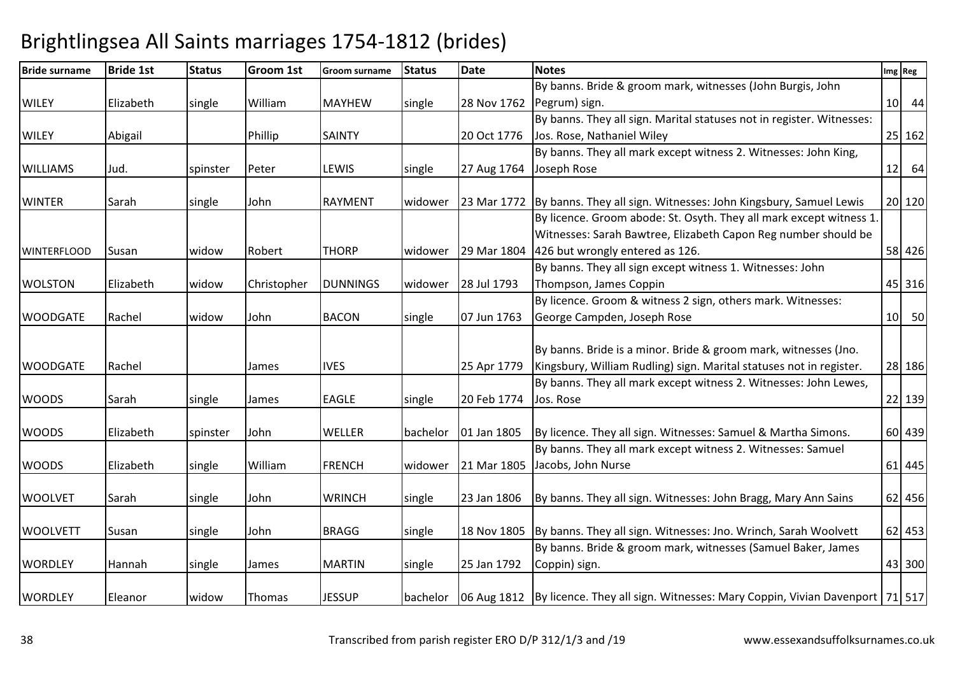| <b>Bride surname</b> | <b>Bride 1st</b> | <b>Status</b> | Groom 1st   | <b>Groom surname</b> | <b>Status</b> | <b>Date</b> | <b>Notes</b>                                                                                            | Img Reg |
|----------------------|------------------|---------------|-------------|----------------------|---------------|-------------|---------------------------------------------------------------------------------------------------------|---------|
|                      |                  |               |             |                      |               |             | By banns. Bride & groom mark, witnesses (John Burgis, John                                              |         |
| <b>WILEY</b>         | Elizabeth        | single        | William     | <b>MAYHEW</b>        | single        | 28 Nov 1762 | Pegrum) sign.                                                                                           | 10 44   |
|                      |                  |               |             |                      |               |             | By banns. They all sign. Marital statuses not in register. Witnesses:                                   |         |
| <b>WILEY</b>         | Abigail          |               | Phillip     | <b>SAINTY</b>        |               | 20 Oct 1776 | Jos. Rose, Nathaniel Wiley                                                                              | 25 162  |
|                      |                  |               |             |                      |               |             | By banns. They all mark except witness 2. Witnesses: John King,                                         |         |
| <b>WILLIAMS</b>      | Jud.             | spinster      | Peter       | <b>LEWIS</b>         | single        | 27 Aug 1764 | Joseph Rose                                                                                             | $12$ 64 |
|                      |                  |               |             |                      |               |             |                                                                                                         |         |
| <b>WINTER</b>        | Sarah            | single        | John        | <b>RAYMENT</b>       | widower       |             | 23 Mar 1772 By banns. They all sign. Witnesses: John Kingsbury, Samuel Lewis                            | 20 120  |
|                      |                  |               |             |                      |               |             | By licence. Groom abode: St. Osyth. They all mark except witness 1.                                     |         |
|                      |                  |               |             |                      |               |             | Witnesses: Sarah Bawtree, Elizabeth Capon Reg number should be                                          |         |
| <b>WINTERFLOOD</b>   | Susan            | widow         | Robert      | <b>THORP</b>         | widower       | 29 Mar 1804 | 426 but wrongly entered as 126.                                                                         | 58 426  |
|                      |                  |               |             |                      |               |             | By banns. They all sign except witness 1. Witnesses: John                                               |         |
| <b>WOLSTON</b>       | Elizabeth        | widow         | Christopher | <b>DUNNINGS</b>      | widower       | 28 Jul 1793 | Thompson, James Coppin                                                                                  | 45 316  |
|                      |                  |               |             |                      |               |             | By licence. Groom & witness 2 sign, others mark. Witnesses:                                             |         |
| <b>WOODGATE</b>      | Rachel           | widow         | John        | <b>BACON</b>         | single        | 07 Jun 1763 | George Campden, Joseph Rose                                                                             | 10 50   |
|                      |                  |               |             |                      |               |             |                                                                                                         |         |
|                      |                  |               |             |                      |               |             | By banns. Bride is a minor. Bride & groom mark, witnesses (Jno.                                         |         |
| <b>WOODGATE</b>      | Rachel           |               | James       | <b>IVES</b>          |               | 25 Apr 1779 | Kingsbury, William Rudling) sign. Marital statuses not in register.                                     | 28 186  |
|                      |                  |               |             |                      |               |             | By banns. They all mark except witness 2. Witnesses: John Lewes,                                        |         |
| <b>WOODS</b>         | Sarah            | single        | James       | <b>EAGLE</b>         | single        | 20 Feb 1774 | Jos. Rose                                                                                               | 22 139  |
| <b>WOODS</b>         | Elizabeth        | spinster      | John        | <b>WELLER</b>        | bachelor      | 01 Jan 1805 | By licence. They all sign. Witnesses: Samuel & Martha Simons.                                           | 60 439  |
|                      |                  |               |             |                      |               |             | By banns. They all mark except witness 2. Witnesses: Samuel                                             |         |
| <b>WOODS</b>         | Elizabeth        | single        | William     | <b>FRENCH</b>        | widower       |             | 21 Mar 1805 Jacobs, John Nurse                                                                          | 61 445  |
|                      |                  |               |             |                      |               |             |                                                                                                         |         |
| <b>WOOLVET</b>       | Sarah            | single        | John        | <b>WRINCH</b>        | single        | 23 Jan 1806 | By banns. They all sign. Witnesses: John Bragg, Mary Ann Sains                                          | 62 456  |
| <b>WOOLVETT</b>      | Susan            | single        | John        | <b>BRAGG</b>         | single        |             | 18 Nov 1805 By banns. They all sign. Witnesses: Jno. Wrinch, Sarah Woolvett                             | 62 453  |
|                      |                  |               |             |                      |               |             | By banns. Bride & groom mark, witnesses (Samuel Baker, James                                            |         |
| <b>WORDLEY</b>       | Hannah           | single        | James       | <b>MARTIN</b>        | single        | 25 Jan 1792 | Coppin) sign.                                                                                           | 43 300  |
|                      |                  |               |             |                      |               |             |                                                                                                         |         |
| <b>WORDLEY</b>       | Eleanor          | widow         | Thomas      | <b>JESSUP</b>        |               |             | bachelor   06 Aug 1812   By licence. They all sign. Witnesses: Mary Coppin, Vivian Davenport   71   517 |         |